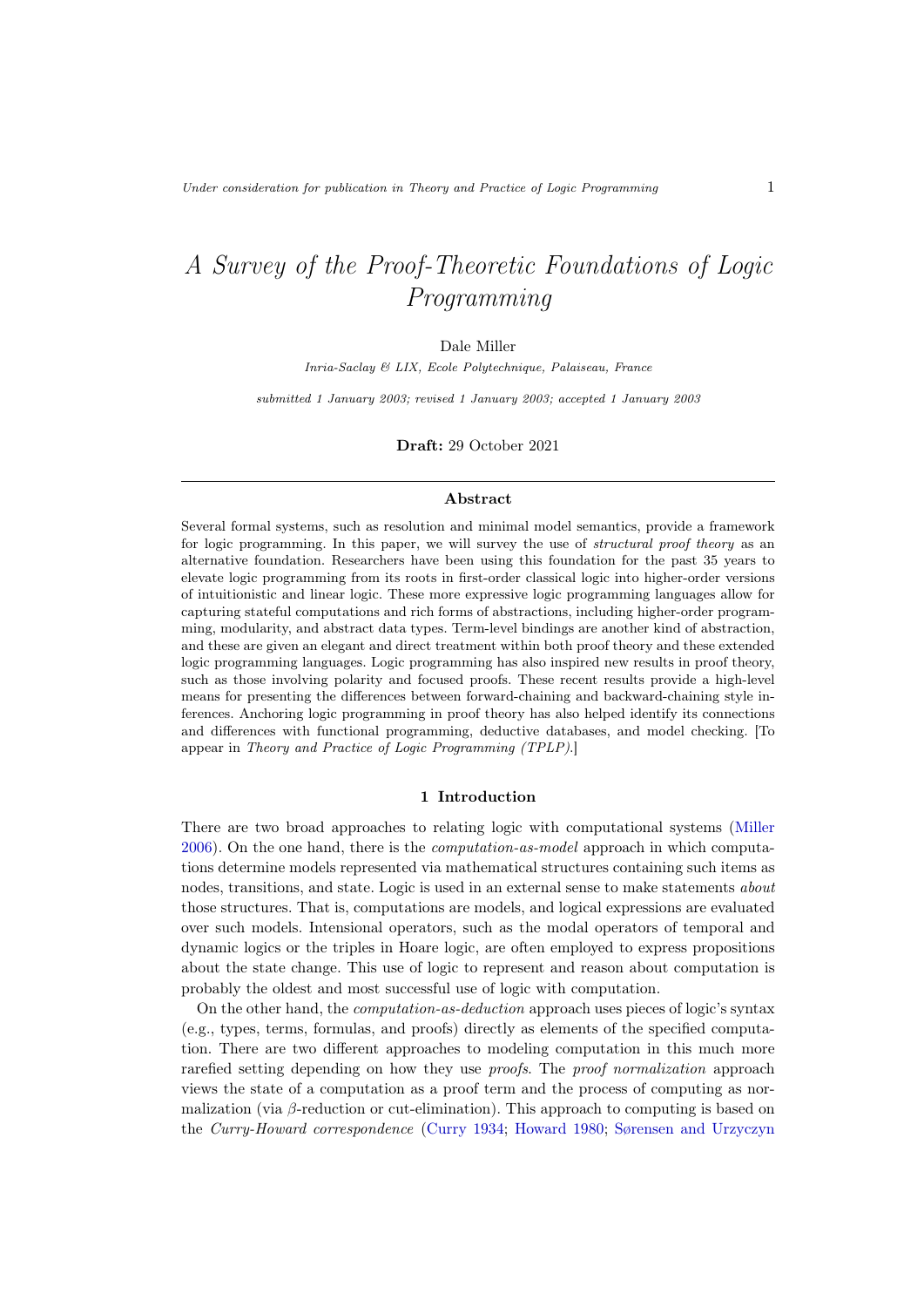# A Survey of the Proof-Theoretic Foundations of Logic Programming

Dale Miller

Inria-Saclay & LIX, Ecole Polytechnique, Palaiseau, France

submitted 1 January 2003; revised 1 January 2003; accepted 1 January 2003

Draft: 29 October 2021

# Abstract

Several formal systems, such as resolution and minimal model semantics, provide a framework for logic programming. In this paper, we will survey the use of *structural proof theory* as an alternative foundation. Researchers have been using this foundation for the past 35 years to elevate logic programming from its roots in first-order classical logic into higher-order versions of intuitionistic and linear logic. These more expressive logic programming languages allow for capturing stateful computations and rich forms of abstractions, including higher-order programming, modularity, and abstract data types. Term-level bindings are another kind of abstraction, and these are given an elegant and direct treatment within both proof theory and these extended logic programming languages. Logic programming has also inspired new results in proof theory, such as those involving polarity and focused proofs. These recent results provide a high-level means for presenting the differences between forward-chaining and backward-chaining style inferences. Anchoring logic programming in proof theory has also helped identify its connections and differences with functional programming, deductive databases, and model checking. [To appear in Theory and Practice of Logic Programming (TPLP).]

#### 1 Introduction

<span id="page-0-0"></span>There are two broad approaches to relating logic with computational systems [\(Miller](#page-42-0) [2006\)](#page-42-0). On the one hand, there is the computation-as-model approach in which computations determine models represented via mathematical structures containing such items as nodes, transitions, and state. Logic is used in an external sense to make statements about those structures. That is, computations are models, and logical expressions are evaluated over such models. Intensional operators, such as the modal operators of temporal and dynamic logics or the triples in Hoare logic, are often employed to express propositions about the state change. This use of logic to represent and reason about computation is probably the oldest and most successful use of logic with computation.

On the other hand, the computation-as-deduction approach uses pieces of logic's syntax (e.g., types, terms, formulas, and proofs) directly as elements of the specified computation. There are two different approaches to modeling computation in this much more rarefied setting depending on how they use *proofs*. The *proof normalization* approach views the state of a computation as a proof term and the process of computing as normalization (via  $\beta$ -reduction or cut-elimination). This approach to computing is based on the Curry-Howard correspondence [\(Curry 1934;](#page-37-0) [Howard 1980;](#page-40-0) [Sørensen and Urzyczyn](#page-45-0)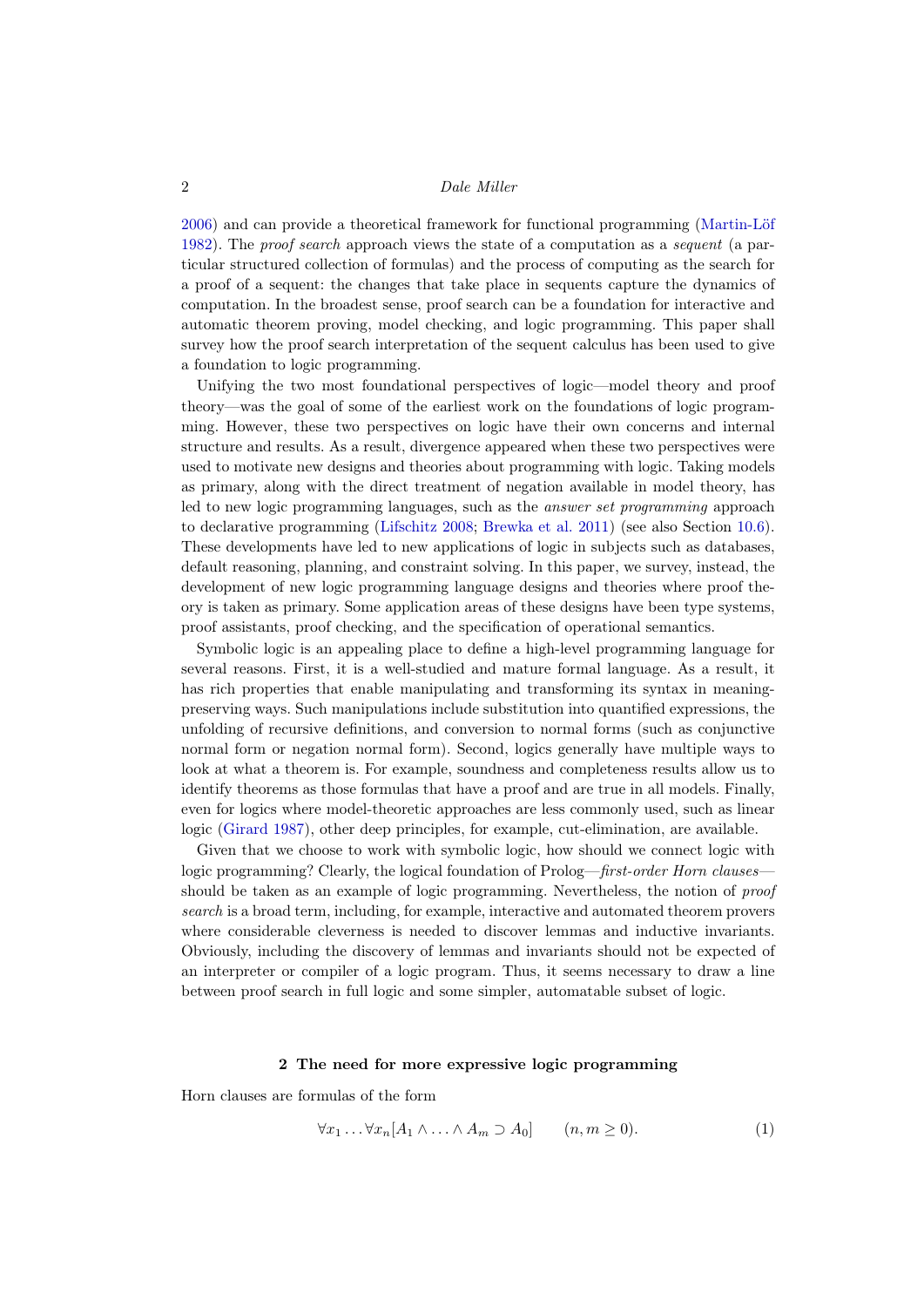[2006\)](#page-45-0) and can provide a theoretical framework for functional programming [\(Martin-Löf](#page-41-0) [1982\)](#page-41-0). The proof search approach views the state of a computation as a sequent (a particular structured collection of formulas) and the process of computing as the search for a proof of a sequent: the changes that take place in sequents capture the dynamics of computation. In the broadest sense, proof search can be a foundation for interactive and automatic theorem proving, model checking, and logic programming. This paper shall survey how the proof search interpretation of the sequent calculus has been used to give a foundation to logic programming.

Unifying the two most foundational perspectives of logic—model theory and proof theory—was the goal of some of the earliest work on the foundations of logic programming. However, these two perspectives on logic have their own concerns and internal structure and results. As a result, divergence appeared when these two perspectives were used to motivate new designs and theories about programming with logic. Taking models as primary, along with the direct treatment of negation available in model theory, has led to new logic programming languages, such as the answer set programming approach to declarative programming [\(Lifschitz 2008;](#page-41-1) [Brewka et al. 2011\)](#page-35-0) (see also Section [10.6\)](#page-33-0). These developments have led to new applications of logic in subjects such as databases, default reasoning, planning, and constraint solving. In this paper, we survey, instead, the development of new logic programming language designs and theories where proof theory is taken as primary. Some application areas of these designs have been type systems, proof assistants, proof checking, and the specification of operational semantics.

Symbolic logic is an appealing place to define a high-level programming language for several reasons. First, it is a well-studied and mature formal language. As a result, it has rich properties that enable manipulating and transforming its syntax in meaningpreserving ways. Such manipulations include substitution into quantified expressions, the unfolding of recursive definitions, and conversion to normal forms (such as conjunctive normal form or negation normal form). Second, logics generally have multiple ways to look at what a theorem is. For example, soundness and completeness results allow us to identify theorems as those formulas that have a proof and are true in all models. Finally, even for logics where model-theoretic approaches are less commonly used, such as linear logic [\(Girard 1987\)](#page-38-0), other deep principles, for example, cut-elimination, are available.

Given that we choose to work with symbolic logic, how should we connect logic with logic programming? Clearly, the logical foundation of Prolog—first-order Horn clausesshould be taken as an example of logic programming. Nevertheless, the notion of proof search is a broad term, including, for example, interactive and automated theorem provers where considerable cleverness is needed to discover lemmas and inductive invariants. Obviously, including the discovery of lemmas and invariants should not be expected of an interpreter or compiler of a logic program. Thus, it seems necessary to draw a line between proof search in full logic and some simpler, automatable subset of logic.

# 2 The need for more expressive logic programming

<span id="page-1-0"></span>Horn clauses are formulas of the form

$$
\forall x_1 \dots \forall x_n [A_1 \land \dots \land A_m \supset A_0] \qquad (n, m \ge 0). \tag{1}
$$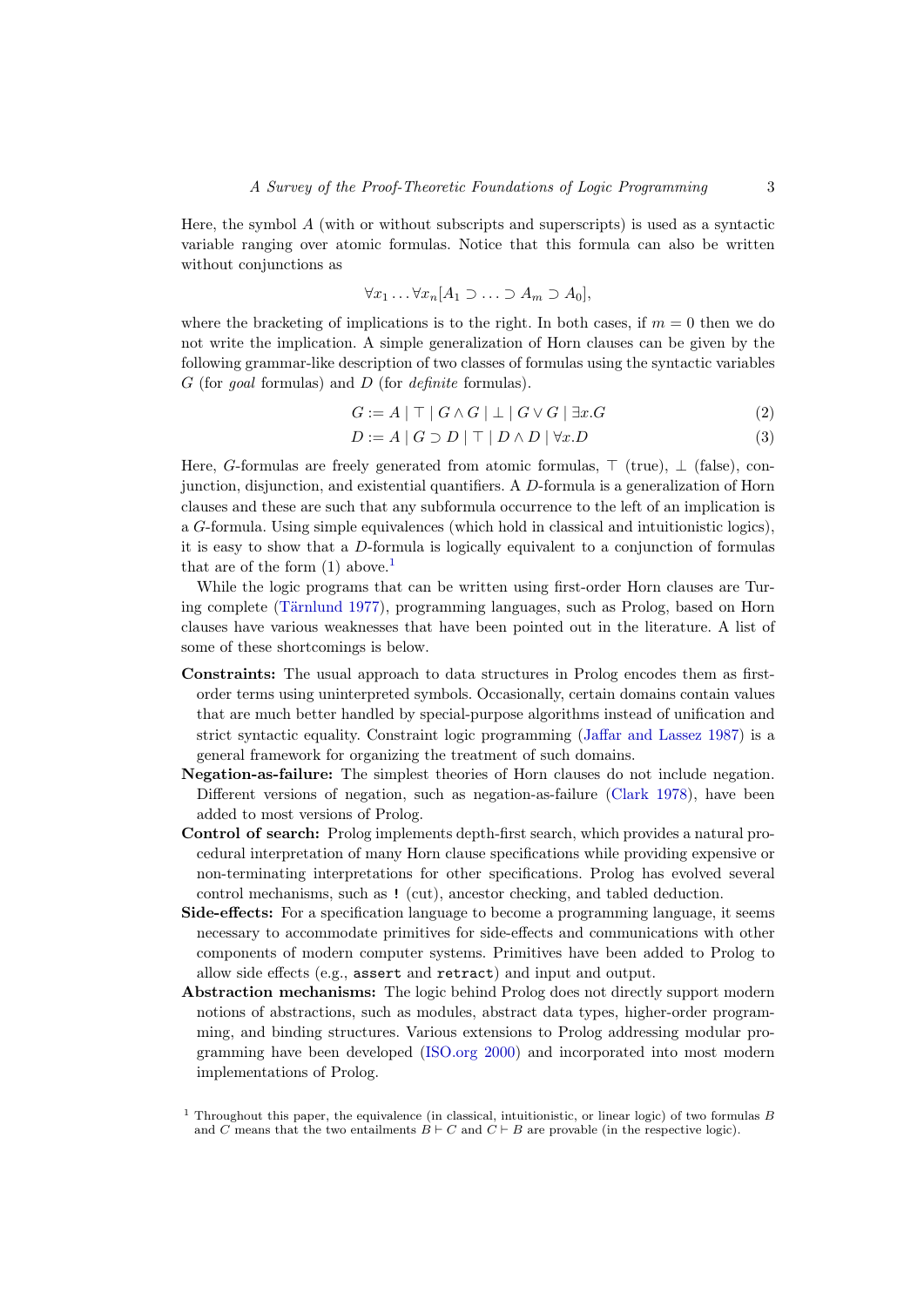Here, the symbol  $A$  (with or without subscripts and superscripts) is used as a syntactic variable ranging over atomic formulas. Notice that this formula can also be written without conjunctions as

$$
\forall x_1 \ldots \forall x_n [A_1 \supset \ldots \supset A_m \supset A_0],
$$

where the bracketing of implications is to the right. In both cases, if  $m = 0$  then we do not write the implication. A simple generalization of Horn clauses can be given by the following grammar-like description of two classes of formulas using the syntactic variables  $G$  (for goal formulas) and  $D$  (for definite formulas).

<span id="page-2-2"></span><span id="page-2-1"></span>
$$
G := A \mid \top \mid G \land G \mid \bot \mid G \lor G \mid \exists x . G \tag{2}
$$

$$
D := A \mid G \supset D \mid \top \mid D \land D \mid \forall x . D \tag{3}
$$

Here, G-formulas are freely generated from atomic formulas,  $\top$  (true),  $\bot$  (false), conjunction, disjunction, and existential quantifiers. A D-formula is a generalization of Horn clauses and these are such that any subformula occurrence to the left of an implication is a G-formula. Using simple equivalences (which hold in classical and intuitionistic logics), it is easy to show that a D-formula is logically equivalent to a conjunction of formulas that are of the form  $(1)$  $(1)$  $(1)$  above.<sup>1</sup>

While the logic programs that can be written using first-order Horn clauses are Turing complete [\(Tärnlund 1977\)](#page-45-1), programming languages, such as Prolog, based on Horn clauses have various weaknesses that have been pointed out in the literature. A list of some of these shortcomings is below.

- Constraints: The usual approach to data structures in Prolog encodes them as firstorder terms using uninterpreted symbols. Occasionally, certain domains contain values that are much better handled by special-purpose algorithms instead of unification and strict syntactic equality. Constraint logic programming [\(Jaffar and Lassez 1987\)](#page-40-1) is a general framework for organizing the treatment of such domains.
- Negation-as-failure: The simplest theories of Horn clauses do not include negation. Different versions of negation, such as negation-as-failure [\(Clark 1978\)](#page-36-0), have been added to most versions of Prolog.
- Control of search: Prolog implements depth-first search, which provides a natural procedural interpretation of many Horn clause specifications while providing expensive or non-terminating interpretations for other specifications. Prolog has evolved several control mechanisms, such as ! (cut), ancestor checking, and tabled deduction.
- Side-effects: For a specification language to become a programming language, it seems necessary to accommodate primitives for side-effects and communications with other components of modern computer systems. Primitives have been added to Prolog to allow side effects (e.g., assert and retract) and input and output.
- Abstraction mechanisms: The logic behind Prolog does not directly support modern notions of abstractions, such as modules, abstract data types, higher-order programming, and binding structures. Various extensions to Prolog addressing modular programming have been developed [\(ISO.org 2000\)](#page-40-2) and incorporated into most modern implementations of Prolog.

<span id="page-2-0"></span><sup>&</sup>lt;sup>1</sup> Throughout this paper, the equivalence (in classical, intuitionistic, or linear logic) of two formulas B and C means that the two entailments  $B \vdash C$  and  $C \vdash B$  are provable (in the respective logic).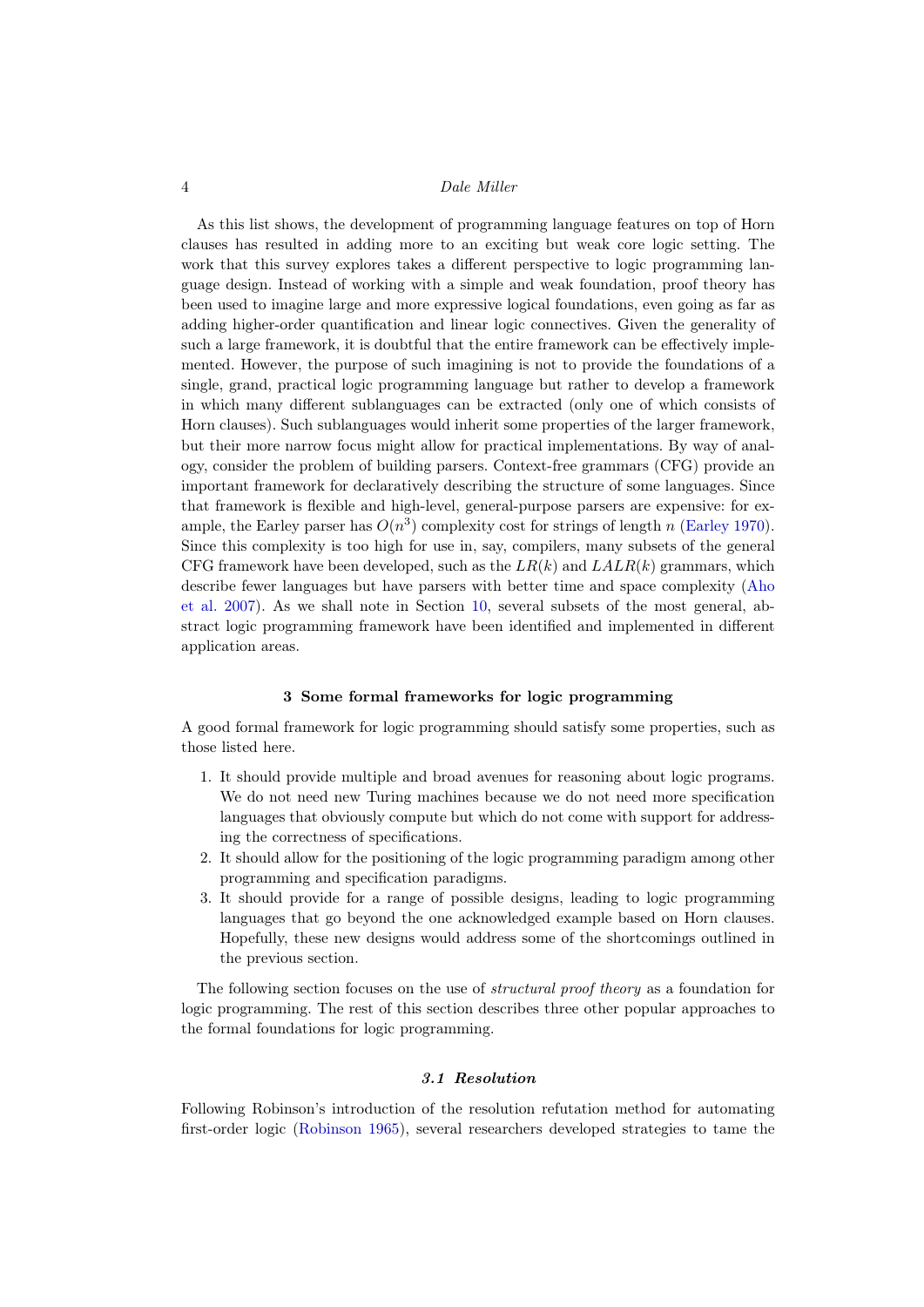As this list shows, the development of programming language features on top of Horn clauses has resulted in adding more to an exciting but weak core logic setting. The work that this survey explores takes a different perspective to logic programming language design. Instead of working with a simple and weak foundation, proof theory has been used to imagine large and more expressive logical foundations, even going as far as adding higher-order quantification and linear logic connectives. Given the generality of such a large framework, it is doubtful that the entire framework can be effectively implemented. However, the purpose of such imagining is not to provide the foundations of a single, grand, practical logic programming language but rather to develop a framework in which many different sublanguages can be extracted (only one of which consists of Horn clauses). Such sublanguages would inherit some properties of the larger framework, but their more narrow focus might allow for practical implementations. By way of analogy, consider the problem of building parsers. Context-free grammars (CFG) provide an important framework for declaratively describing the structure of some languages. Since that framework is flexible and high-level, general-purpose parsers are expensive: for example, the Earley parser has  $O(n^3)$  complexity cost for strings of length n [\(Earley 1970\)](#page-37-1). Since this complexity is too high for use in, say, compilers, many subsets of the general CFG framework have been developed, such as the  $LR(k)$  and  $LLLR(k)$  grammars, which describe fewer languages but have parsers with better time and space complexity [\(Aho](#page-34-0) [et al. 2007\)](#page-34-0). As we shall note in Section [10,](#page-30-0) several subsets of the most general, abstract logic programming framework have been identified and implemented in different application areas.

#### 3 Some formal frameworks for logic programming

A good formal framework for logic programming should satisfy some properties, such as those listed here.

- 1. It should provide multiple and broad avenues for reasoning about logic programs. We do not need new Turing machines because we do not need more specification languages that obviously compute but which do not come with support for addressing the correctness of specifications.
- 2. It should allow for the positioning of the logic programming paradigm among other programming and specification paradigms.
- 3. It should provide for a range of possible designs, leading to logic programming languages that go beyond the one acknowledged example based on Horn clauses. Hopefully, these new designs would address some of the shortcomings outlined in the previous section.

The following section focuses on the use of *structural proof theory* as a foundation for logic programming. The rest of this section describes three other popular approaches to the formal foundations for logic programming.

# 3.1 Resolution

Following Robinson's introduction of the resolution refutation method for automating first-order logic [\(Robinson 1965\)](#page-44-0), several researchers developed strategies to tame the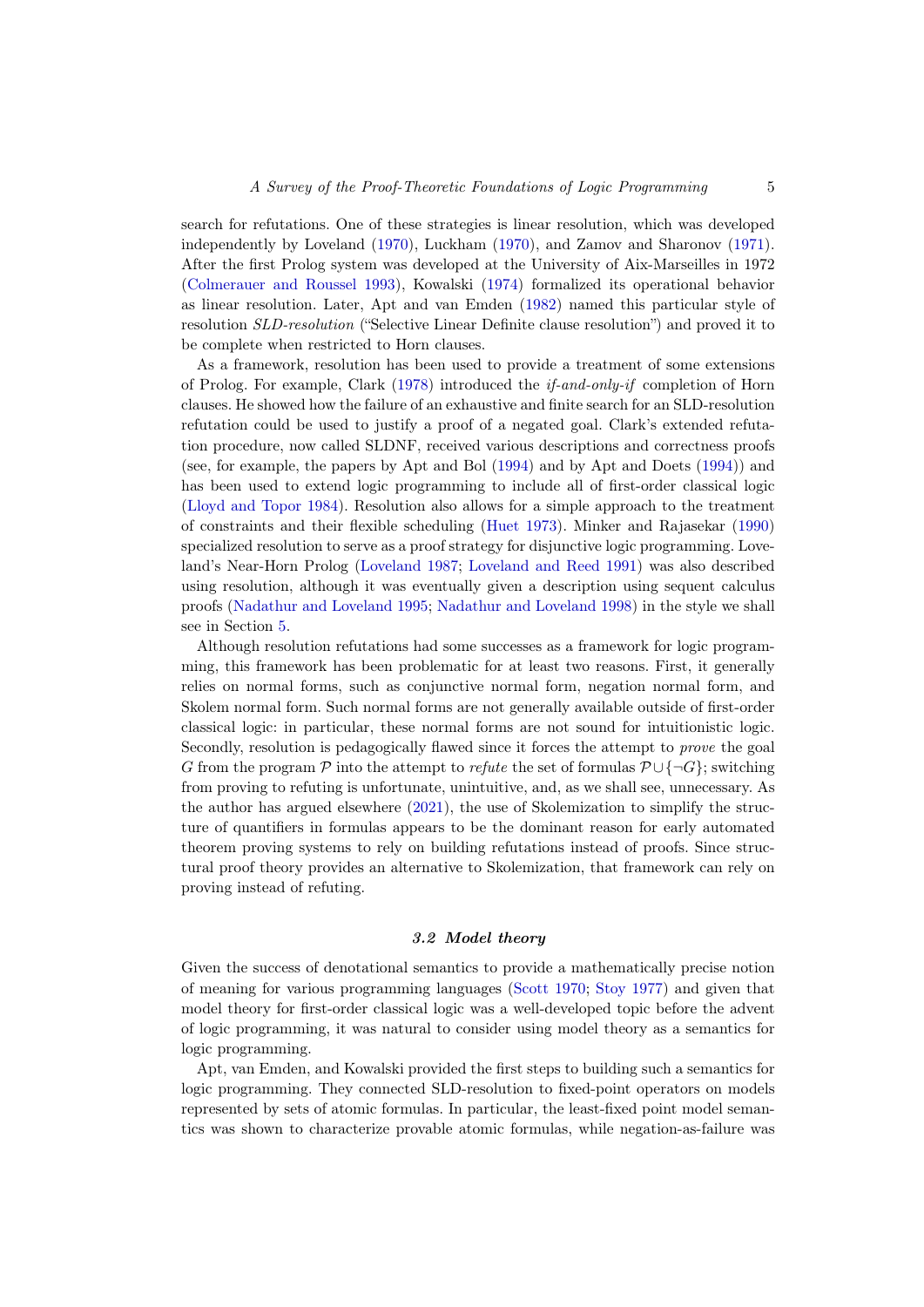search for refutations. One of these strategies is linear resolution, which was developed independently by Loveland [\(1970\)](#page-41-2), Luckham [\(1970\)](#page-41-3), and Zamov and Sharonov [\(1971\)](#page-46-0). After the first Prolog system was developed at the University of Aix-Marseilles in 1972 [\(Colmerauer and Roussel 1993\)](#page-36-1), Kowalski [\(1974\)](#page-40-3) formalized its operational behavior as linear resolution. Later, Apt and van Emden [\(1982\)](#page-35-1) named this particular style of resolution SLD-resolution ("Selective Linear Definite clause resolution") and proved it to be complete when restricted to Horn clauses.

As a framework, resolution has been used to provide a treatment of some extensions of Prolog. For example, Clark [\(1978\)](#page-36-0) introduced the if-and-only-if completion of Horn clauses. He showed how the failure of an exhaustive and finite search for an SLD-resolution refutation could be used to justify a proof of a negated goal. Clark's extended refutation procedure, now called SLDNF, received various descriptions and correctness proofs (see, for example, the papers by Apt and Bol [\(1994\)](#page-35-2) and by Apt and Doets [\(1994\)](#page-35-3)) and has been used to extend logic programming to include all of first-order classical logic [\(Lloyd and Topor 1984\)](#page-41-4). Resolution also allows for a simple approach to the treatment of constraints and their flexible scheduling [\(Huet 1973\)](#page-40-4). Minker and Rajasekar [\(1990\)](#page-42-1) specialized resolution to serve as a proof strategy for disjunctive logic programming. Loveland's Near-Horn Prolog [\(Loveland 1987;](#page-41-5) [Loveland and Reed 1991\)](#page-41-6) was also described using resolution, although it was eventually given a description using sequent calculus proofs [\(Nadathur and Loveland 1995;](#page-43-0) [Nadathur and Loveland 1998\)](#page-43-1) in the style we shall see in Section [5.](#page-6-0)

Although resolution refutations had some successes as a framework for logic programming, this framework has been problematic for at least two reasons. First, it generally relies on normal forms, such as conjunctive normal form, negation normal form, and Skolem normal form. Such normal forms are not generally available outside of first-order classical logic: in particular, these normal forms are not sound for intuitionistic logic. Secondly, resolution is pedagogically flawed since it forces the attempt to prove the goal G from the program P into the attempt to refute the set of formulas  $\mathcal{P} \cup {\neg G}$ ; switching from proving to refuting is unfortunate, unintuitive, and, as we shall see, unnecessary. As the author has argued elsewhere [\(2021\)](#page-42-2), the use of Skolemization to simplify the structure of quantifiers in formulas appears to be the dominant reason for early automated theorem proving systems to rely on building refutations instead of proofs. Since structural proof theory provides an alternative to Skolemization, that framework can rely on proving instead of refuting.

# 3.2 Model theory

Given the success of denotational semantics to provide a mathematically precise notion of meaning for various programming languages [\(Scott 1970;](#page-44-1) [Stoy 1977\)](#page-45-2) and given that model theory for first-order classical logic was a well-developed topic before the advent of logic programming, it was natural to consider using model theory as a semantics for logic programming.

Apt, van Emden, and Kowalski provided the first steps to building such a semantics for logic programming. They connected SLD-resolution to fixed-point operators on models represented by sets of atomic formulas. In particular, the least-fixed point model semantics was shown to characterize provable atomic formulas, while negation-as-failure was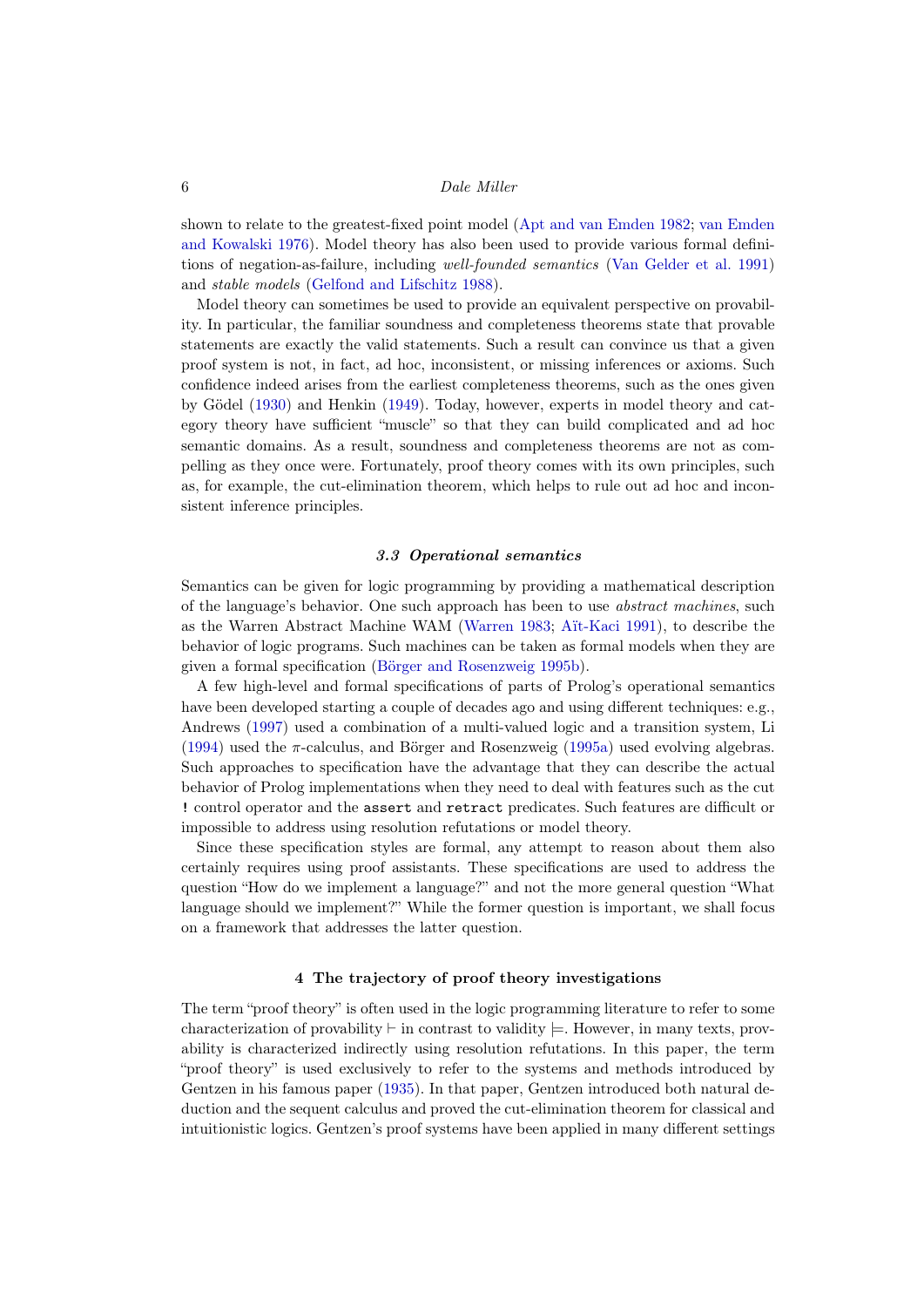shown to relate to the greatest-fixed point model [\(Apt and van Emden 1982;](#page-35-1) [van Emden](#page-37-2) [and Kowalski 1976\)](#page-37-2). Model theory has also been used to provide various formal definitions of negation-as-failure, including well-founded semantics [\(Van Gelder et al. 1991\)](#page-45-3) and stable models [\(Gelfond and Lifschitz 1988\)](#page-38-1).

Model theory can sometimes be used to provide an equivalent perspective on provability. In particular, the familiar soundness and completeness theorems state that provable statements are exactly the valid statements. Such a result can convince us that a given proof system is not, in fact, ad hoc, inconsistent, or missing inferences or axioms. Such confidence indeed arises from the earliest completeness theorems, such as the ones given by Gödel [\(1930\)](#page-38-2) and Henkin [\(1949\)](#page-39-0). Today, however, experts in model theory and category theory have sufficient "muscle" so that they can build complicated and ad hoc semantic domains. As a result, soundness and completeness theorems are not as compelling as they once were. Fortunately, proof theory comes with its own principles, such as, for example, the cut-elimination theorem, which helps to rule out ad hoc and inconsistent inference principles.

# 3.3 Operational semantics

Semantics can be given for logic programming by providing a mathematical description of the language's behavior. One such approach has been to use abstract machines, such as the Warren Abstract Machine WAM [\(Warren 1983;](#page-45-4) [Aït-Kaci 1991\)](#page-34-1), to describe the behavior of logic programs. Such machines can be taken as formal models when they are given a formal specification [\(Börger and Rosenzweig 1995b\)](#page-35-4).

A few high-level and formal specifications of parts of Prolog's operational semantics have been developed starting a couple of decades ago and using different techniques: e.g., Andrews [\(1997\)](#page-34-2) used a combination of a multi-valued logic and a transition system, Li  $(1994)$  used the  $\pi$ -calculus, and Börger and Rosenzweig  $(1995a)$  used evolving algebras. Such approaches to specification have the advantage that they can describe the actual behavior of Prolog implementations when they need to deal with features such as the cut ! control operator and the assert and retract predicates. Such features are difficult or impossible to address using resolution refutations or model theory.

Since these specification styles are formal, any attempt to reason about them also certainly requires using proof assistants. These specifications are used to address the question "How do we implement a language?" and not the more general question "What language should we implement?" While the former question is important, we shall focus on a framework that addresses the latter question.

#### 4 The trajectory of proof theory investigations

The term "proof theory" is often used in the logic programming literature to refer to some characterization of provability  $\vdash$  in contrast to validity  $\models$ . However, in many texts, provability is characterized indirectly using resolution refutations. In this paper, the term "proof theory" is used exclusively to refer to the systems and methods introduced by Gentzen in his famous paper [\(1935\)](#page-38-3). In that paper, Gentzen introduced both natural deduction and the sequent calculus and proved the cut-elimination theorem for classical and intuitionistic logics. Gentzen's proof systems have been applied in many different settings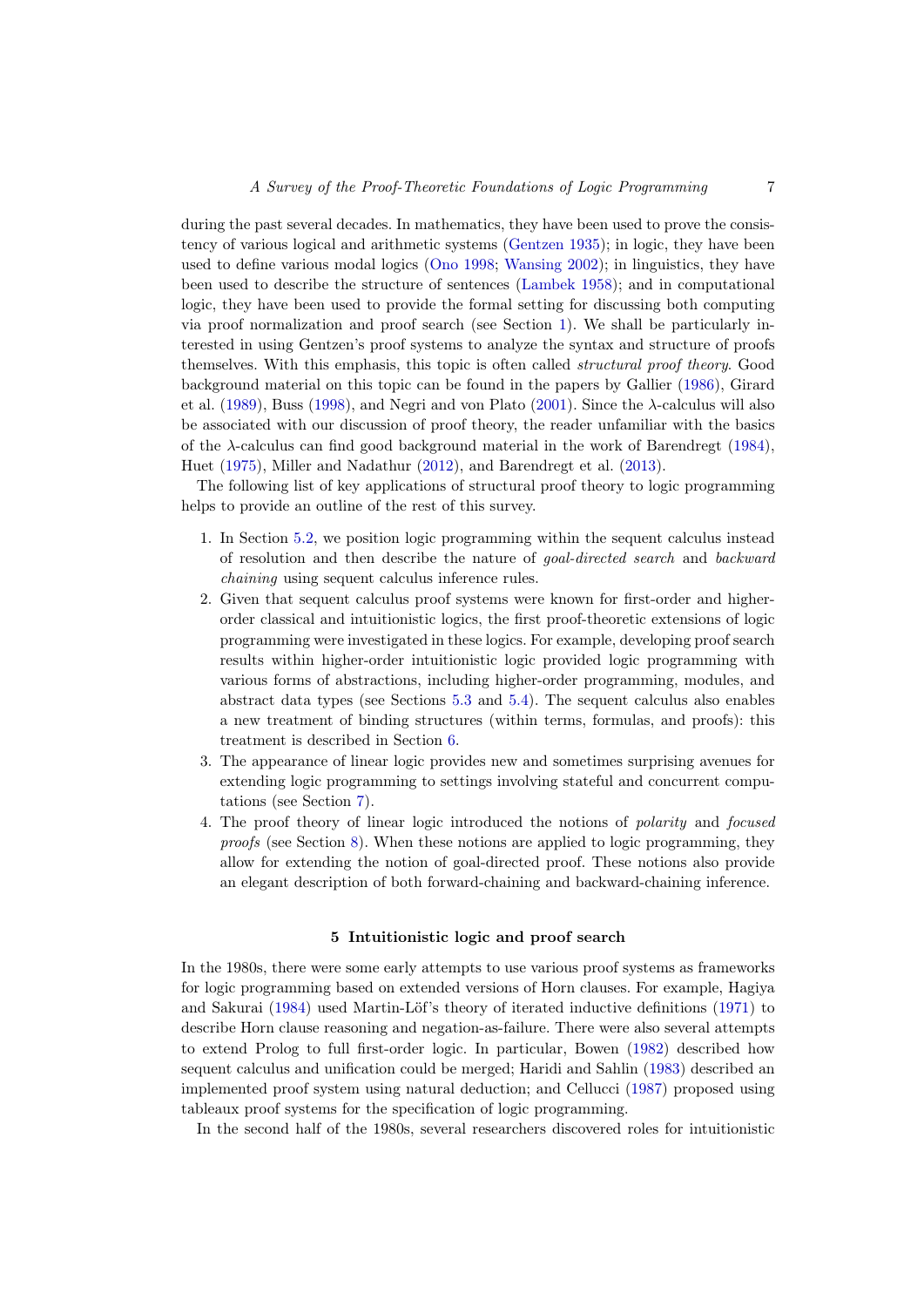during the past several decades. In mathematics, they have been used to prove the consistency of various logical and arithmetic systems [\(Gentzen 1935\)](#page-38-3); in logic, they have been used to define various modal logics [\(Ono 1998;](#page-43-2) [Wansing 2002\)](#page-45-5); in linguistics, they have been used to describe the structure of sentences [\(Lambek 1958\)](#page-40-6); and in computational logic, they have been used to provide the formal setting for discussing both computing via proof normalization and proof search (see Section [1\)](#page-0-0). We shall be particularly interested in using Gentzen's proof systems to analyze the syntax and structure of proofs themselves. With this emphasis, this topic is often called structural proof theory. Good background material on this topic can be found in the papers by Gallier [\(1986\)](#page-38-4), Girard et al. [\(1989\)](#page-38-5), Buss [\(1998\)](#page-36-2), and Negri and von Plato [\(2001\)](#page-43-3). Since the  $\lambda$ -calculus will also be associated with our discussion of proof theory, the reader unfamiliar with the basics of the  $\lambda$ -calculus can find good background material in the work of Barendregt [\(1984\)](#page-35-6), Huet [\(1975\)](#page-40-7), Miller and Nadathur [\(2012\)](#page-42-3), and Barendregt et al. [\(2013\)](#page-35-7).

The following list of key applications of structural proof theory to logic programming helps to provide an outline of the rest of this survey.

- 1. In Section [5.2,](#page-9-0) we position logic programming within the sequent calculus instead of resolution and then describe the nature of goal-directed search and backward chaining using sequent calculus inference rules.
- 2. Given that sequent calculus proof systems were known for first-order and higherorder classical and intuitionistic logics, the first proof-theoretic extensions of logic programming were investigated in these logics. For example, developing proof search results within higher-order intuitionistic logic provided logic programming with various forms of abstractions, including higher-order programming, modules, and abstract data types (see Sections [5.3](#page-11-0) and [5.4\)](#page-12-0). The sequent calculus also enables a new treatment of binding structures (within terms, formulas, and proofs): this treatment is described in Section [6.](#page-13-0)
- 3. The appearance of linear logic provides new and sometimes surprising avenues for extending logic programming to settings involving stateful and concurrent computations (see Section [7\)](#page-18-0).
- 4. The proof theory of linear logic introduced the notions of polarity and focused proofs (see Section [8\)](#page-24-0). When these notions are applied to logic programming, they allow for extending the notion of goal-directed proof. These notions also provide an elegant description of both forward-chaining and backward-chaining inference.

# 5 Intuitionistic logic and proof search

<span id="page-6-0"></span>In the 1980s, there were some early attempts to use various proof systems as frameworks for logic programming based on extended versions of Horn clauses. For example, Hagiya and Sakurai [\(1984\)](#page-39-1) used Martin-Löf's theory of iterated inductive definitions [\(1971\)](#page-41-7) to describe Horn clause reasoning and negation-as-failure. There were also several attempts to extend Prolog to full first-order logic. In particular, Bowen [\(1982\)](#page-35-8) described how sequent calculus and unification could be merged; Haridi and Sahlin [\(1983\)](#page-39-2) described an implemented proof system using natural deduction; and Cellucci [\(1987\)](#page-36-3) proposed using tableaux proof systems for the specification of logic programming.

In the second half of the 1980s, several researchers discovered roles for intuitionistic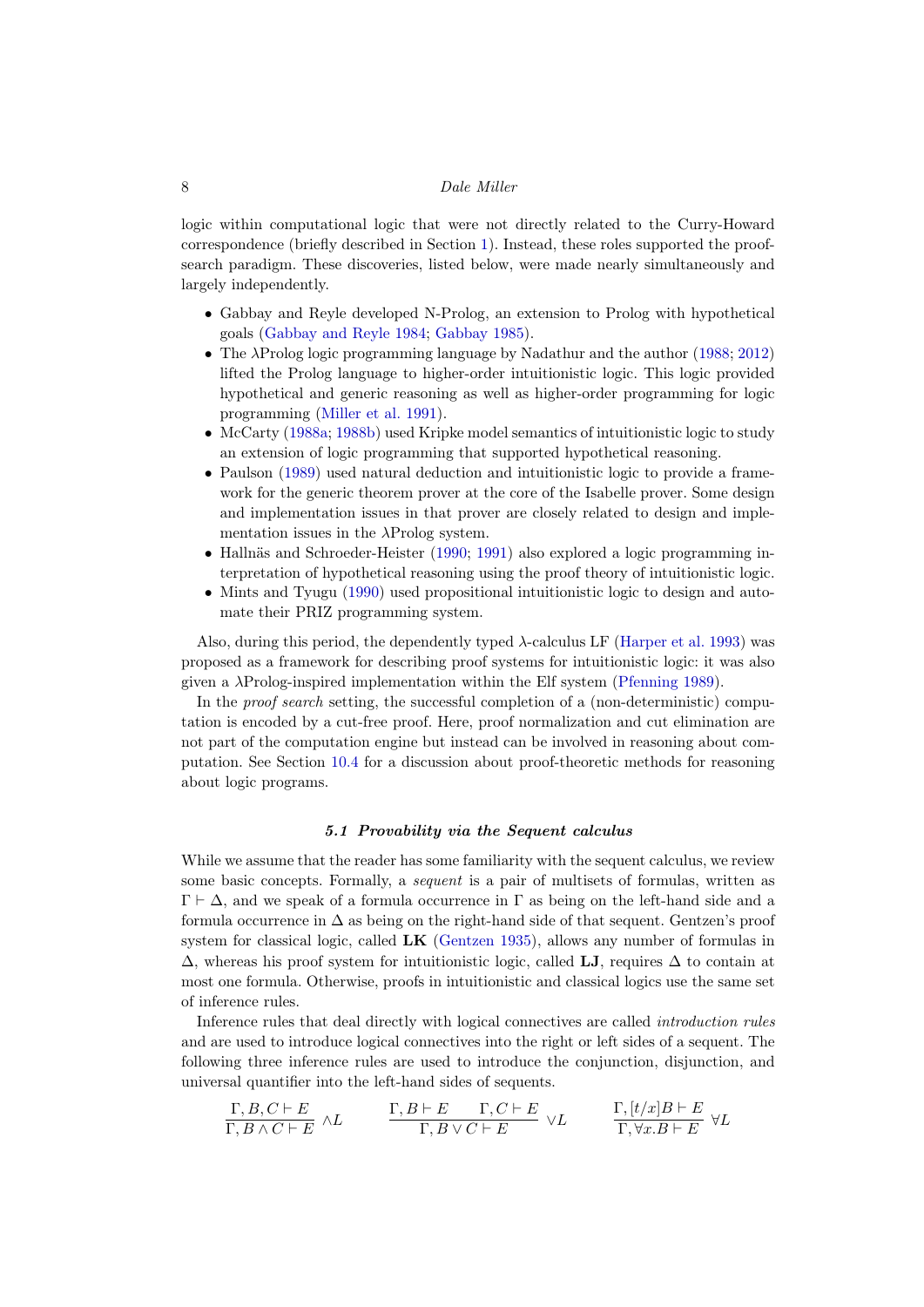logic within computational logic that were not directly related to the Curry-Howard correspondence (briefly described in Section [1\)](#page-0-0). Instead, these roles supported the proofsearch paradigm. These discoveries, listed below, were made nearly simultaneously and largely independently.

- Gabbay and Reyle developed N-Prolog, an extension to Prolog with hypothetical goals [\(Gabbay and Reyle 1984;](#page-38-6) [Gabbay 1985\)](#page-38-7).
- The  $\lambda$ Prolog logic programming language by Nadathur and the author [\(1988;](#page-43-4) [2012\)](#page-42-3) lifted the Prolog language to higher-order intuitionistic logic. This logic provided hypothetical and generic reasoning as well as higher-order programming for logic programming [\(Miller et al. 1991\)](#page-42-4).
- McCarty [\(1988a;](#page-41-8) [1988b\)](#page-41-9) used Kripke model semantics of intuitionistic logic to study an extension of logic programming that supported hypothetical reasoning.
- Paulson [\(1989\)](#page-43-5) used natural deduction and intuitionistic logic to provide a framework for the generic theorem prover at the core of the Isabelle prover. Some design and implementation issues in that prover are closely related to design and implementation issues in the  $\lambda$ Prolog system.
- Hallnäs and Schroeder-Heister [\(1990;](#page-39-3) [1991\)](#page-39-4) also explored a logic programming interpretation of hypothetical reasoning using the proof theory of intuitionistic logic.
- Mints and Tyugu [\(1990\)](#page-42-5) used propositional intuitionistic logic to design and automate their PRIZ programming system.

Also, during this period, the dependently typed  $\lambda$ -calculus LF [\(Harper et al. 1993\)](#page-39-5) was proposed as a framework for describing proof systems for intuitionistic logic: it was also given a  $\lambda$ Prolog-inspired implementation within the Elf system [\(Pfenning 1989\)](#page-44-2).

In the *proof search* setting, the successful completion of a (non-deterministic) computation is encoded by a cut-free proof. Here, proof normalization and cut elimination are not part of the computation engine but instead can be involved in reasoning about computation. See Section [10.4](#page-32-0) for a discussion about proof-theoretic methods for reasoning about logic programs.

# 5.1 Provability via the Sequent calculus

While we assume that the reader has some familiarity with the sequent calculus, we review some basic concepts. Formally, a *sequent* is a pair of multisets of formulas, written as  $\Gamma \vdash \Delta$ , and we speak of a formula occurrence in  $\Gamma$  as being on the left-hand side and a formula occurrence in  $\Delta$  as being on the right-hand side of that sequent. Gentzen's proof system for classical logic, called LK [\(Gentzen 1935\)](#page-38-3), allows any number of formulas in  $\Delta$ , whereas his proof system for intuitionistic logic, called LJ, requires  $\Delta$  to contain at most one formula. Otherwise, proofs in intuitionistic and classical logics use the same set of inference rules.

Inference rules that deal directly with logical connectives are called introduction rules and are used to introduce logical connectives into the right or left sides of a sequent. The following three inference rules are used to introduce the conjunction, disjunction, and universal quantifier into the left-hand sides of sequents.

$$
\frac{\Gamma, B, C \vdash E}{\Gamma, B \land C \vdash E} \land L \qquad \frac{\Gamma, B \vdash E \qquad \Gamma, C \vdash E}{\Gamma, B \lor C \vdash E} \lor L \qquad \frac{\Gamma, [t/x]B \vdash E}{\Gamma, \forall x. B \vdash E} \forall L
$$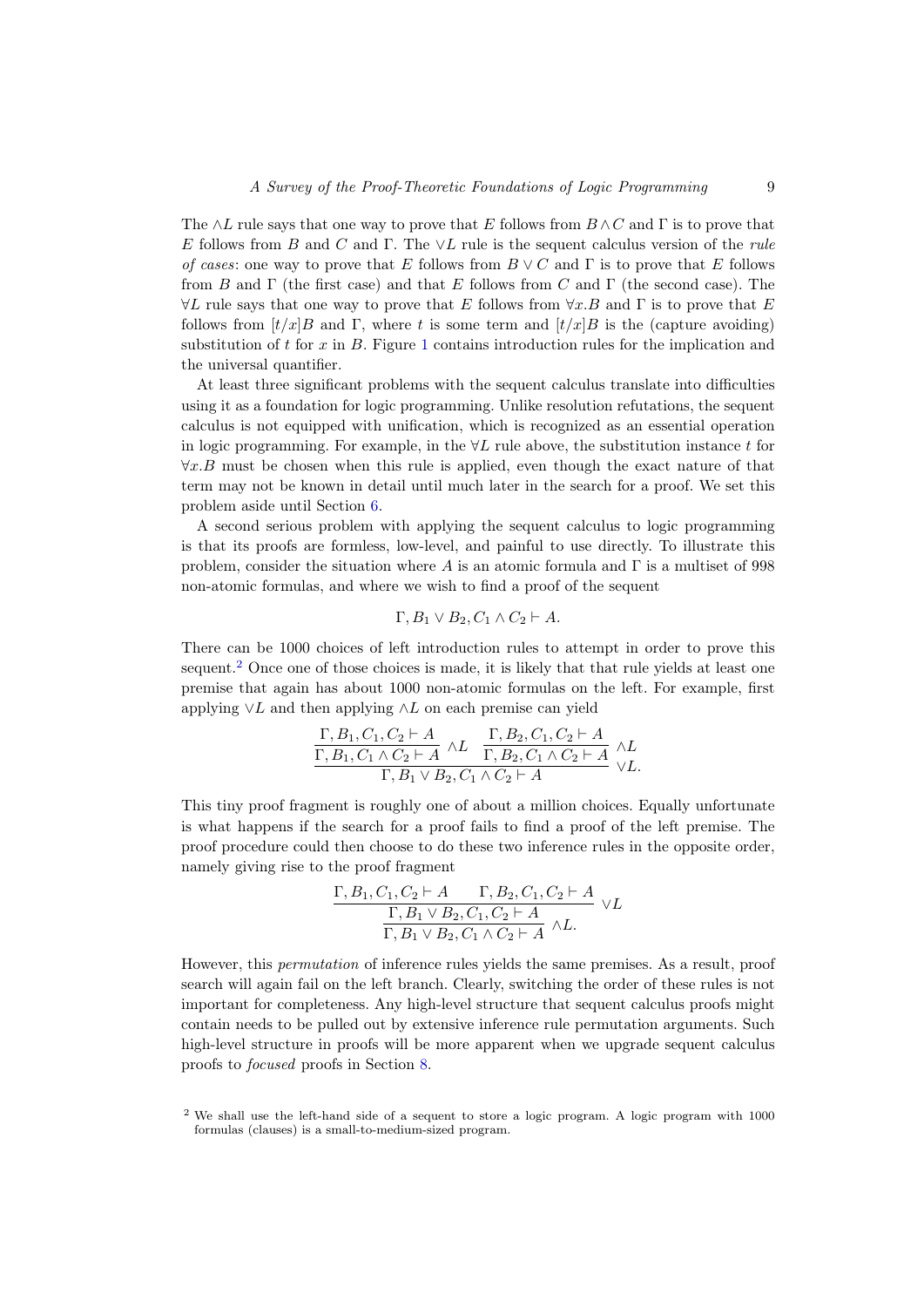The  $\wedge L$  rule says that one way to prove that E follows from  $B \wedge C$  and  $\Gamma$  is to prove that E follows from B and C and  $\Gamma$ . The  $\vee L$  rule is the sequent calculus version of the rule of cases: one way to prove that E follows from  $B \vee C$  and  $\Gamma$  is to prove that E follows from B and  $\Gamma$  (the first case) and that E follows from C and  $\Gamma$  (the second case). The  $\forall L$  rule says that one way to prove that E follows from  $\forall x.B$  and  $\Gamma$  is to prove that E follows from  $[t/x]B$  and Γ, where t is some term and  $[t/x]B$  is the (capture avoiding) substitution of t for x in B. Figure [1](#page-9-1) contains introduction rules for the implication and the universal quantifier.

At least three significant problems with the sequent calculus translate into difficulties using it as a foundation for logic programming. Unlike resolution refutations, the sequent calculus is not equipped with unification, which is recognized as an essential operation in logic programming. For example, in the  $\forall L$  rule above, the substitution instance t for  $\forall x.B$  must be chosen when this rule is applied, even though the exact nature of that term may not be known in detail until much later in the search for a proof. We set this problem aside until Section [6.](#page-13-0)

A second serious problem with applying the sequent calculus to logic programming is that its proofs are formless, low-level, and painful to use directly. To illustrate this problem, consider the situation where A is an atomic formula and  $\Gamma$  is a multiset of 998 non-atomic formulas, and where we wish to find a proof of the sequent

$$
\Gamma, B_1 \vee B_2, C_1 \wedge C_2 \vdash A.
$$

There can be 1000 choices of left introduction rules to attempt in order to prove this sequent.<sup>[2](#page-8-0)</sup> Once one of those choices is made, it is likely that that rule yields at least one premise that again has about 1000 non-atomic formulas on the left. For example, first applying  $\vee$ L and then applying  $\wedge$ L on each premise can yield

$$
\frac{\Gamma, B_1, C_1, C_2 \vdash A \quad \Gamma, B_2, C_1, C_2 \vdash A \quad \Gamma, B_1, C_1 \land C_2 \vdash A \quad \Gamma, B_2, C_1 \land C_2 \vdash A \quad \land L}{\Gamma, B_1 \lor B_2, C_1 \land C_2 \vdash A} \quad \land L.
$$

This tiny proof fragment is roughly one of about a million choices. Equally unfortunate is what happens if the search for a proof fails to find a proof of the left premise. The proof procedure could then choose to do these two inference rules in the opposite order, namely giving rise to the proof fragment

$$
\frac{\Gamma, B_1, C_1, C_2 \vdash A \qquad \Gamma, B_2, C_1, C_2 \vdash A}{\Gamma, B_1 \lor B_2, C_1, C_2 \vdash A} \lor L
$$
  

$$
\frac{\Gamma, B_1 \lor B_2, C_1, C_2 \vdash A}{\Gamma, B_1 \lor B_2, C_1 \land C_2 \vdash A} \land L.
$$

However, this permutation of inference rules yields the same premises. As a result, proof search will again fail on the left branch. Clearly, switching the order of these rules is not important for completeness. Any high-level structure that sequent calculus proofs might contain needs to be pulled out by extensive inference rule permutation arguments. Such high-level structure in proofs will be more apparent when we upgrade sequent calculus proofs to focused proofs in Section [8.](#page-24-0)

<span id="page-8-0"></span><sup>&</sup>lt;sup>2</sup> We shall use the left-hand side of a sequent to store a logic program. A logic program with 1000 formulas (clauses) is a small-to-medium-sized program.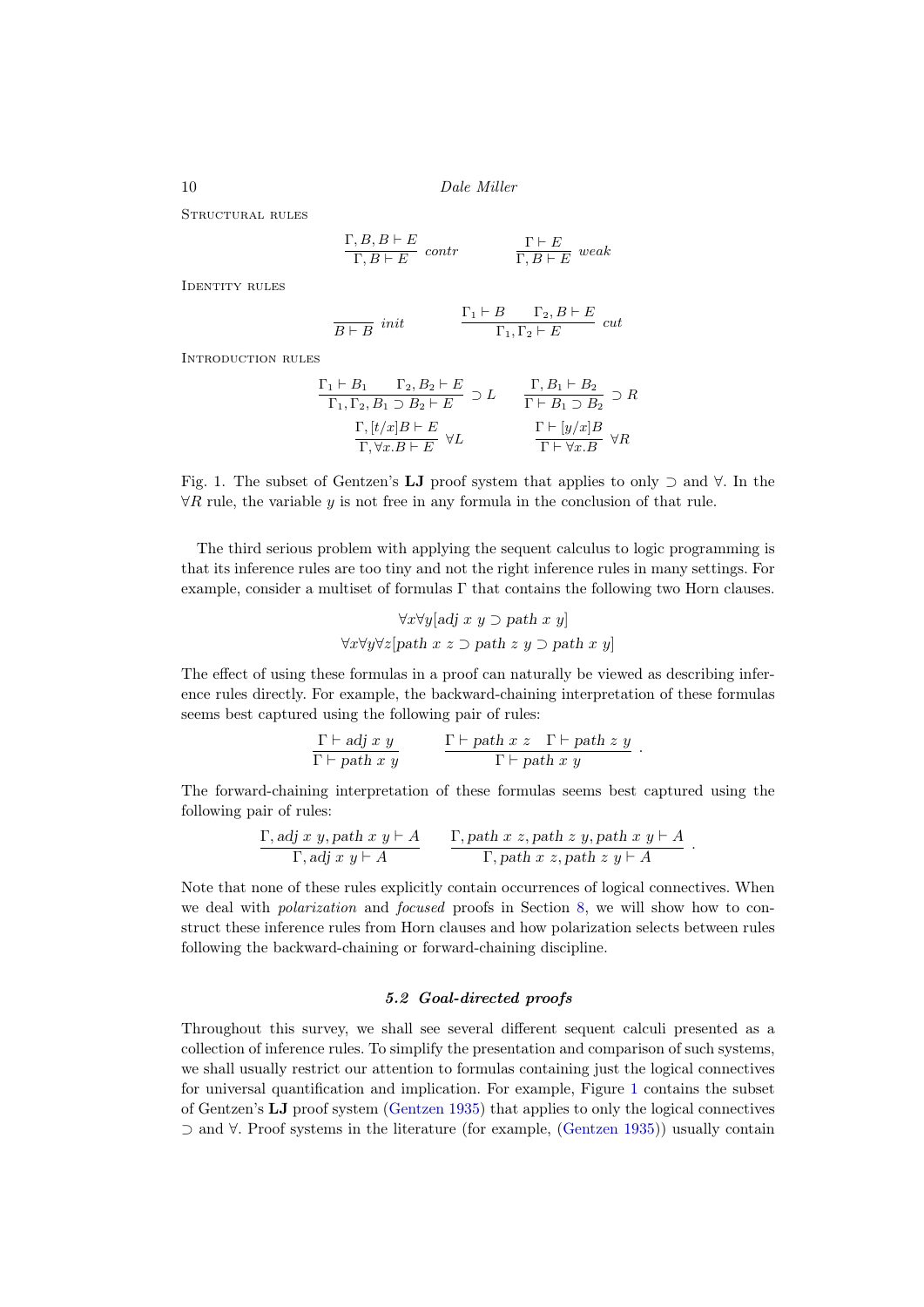Structural rules

$$
\frac{\Gamma, B, B \vdash E}{\Gamma, B \vdash E} \quad contr \qquad \qquad \frac{\Gamma \vdash E}{\Gamma, B \vdash E} \quad weak
$$

IDENTITY RULES

$$
\frac{\Gamma_1 \vdash B}{B \vdash B} \text{ init} \qquad \frac{\Gamma_1 \vdash B \qquad \Gamma_2, B \vdash E}{\Gamma_1, \Gamma_2 \vdash E} \text{ cut}
$$

Introduction rules

$$
\frac{\Gamma_1 \vdash B_1 \qquad \Gamma_2, B_2 \vdash E}{\Gamma_1, \Gamma_2, B_1 \supset B_2 \vdash E} \supset L \qquad \frac{\Gamma, B_1 \vdash B_2}{\Gamma \vdash B_1 \supset B_2} \supset R
$$
  

$$
\frac{\Gamma, [t/x]B \vdash E}{\Gamma, \forall x.B \vdash E} \forall L \qquad \frac{\Gamma \vdash [y/x]B}{\Gamma \vdash \forall x.B} \forall R
$$

<span id="page-9-1"></span>Fig. 1. The subset of Gentzen's LJ proof system that applies to only ⊃ and ∀. In the  $\forall R$  rule, the variable y is not free in any formula in the conclusion of that rule.

The third serious problem with applying the sequent calculus to logic programming is that its inference rules are too tiny and not the right inference rules in many settings. For example, consider a multiset of formulas Γ that contains the following two Horn clauses.

$$
\forall x \forall y [adj \ x \ y \supset path \ x \ y]
$$

$$
\forall x \forall y \forall z [path \ x \ z \supset path \ z \ y \supset path \ x \ y]
$$

The effect of using these formulas in a proof can naturally be viewed as describing inference rules directly. For example, the backward-chaining interpretation of these formulas seems best captured using the following pair of rules:

$$
\frac{\Gamma \vdash adj \; x \; y}{\Gamma \vdash path \; x \; y} \qquad \frac{\Gamma \vdash path \; x \; z \quad \Gamma \vdash path \; z \; y}{\Gamma \vdash path \; x \; y} \; .
$$

The forward-chaining interpretation of these formulas seems best captured using the following pair of rules:

$$
\frac{\Gamma, \text{adj } x \ y, \text{path } x \ y \vdash A}{\Gamma, \text{adj } x \ y \vdash A} \qquad \frac{\Gamma, \text{path } x \ z, \text{path } z \ y, \text{path } x \ y \vdash A}{\Gamma, \text{path } x \ z, \text{path } z \ y \vdash A}.
$$

Note that none of these rules explicitly contain occurrences of logical connectives. When we deal with polarization and focused proofs in Section [8,](#page-24-0) we will show how to construct these inference rules from Horn clauses and how polarization selects between rules following the backward-chaining or forward-chaining discipline.

# 5.2 Goal-directed proofs

<span id="page-9-0"></span>Throughout this survey, we shall see several different sequent calculi presented as a collection of inference rules. To simplify the presentation and comparison of such systems, we shall usually restrict our attention to formulas containing just the logical connectives for universal quantification and implication. For example, Figure [1](#page-9-1) contains the subset of Gentzen's LJ proof system [\(Gentzen 1935\)](#page-38-3) that applies to only the logical connectives ⊃ and ∀. Proof systems in the literature (for example, [\(Gentzen 1935\)](#page-38-3)) usually contain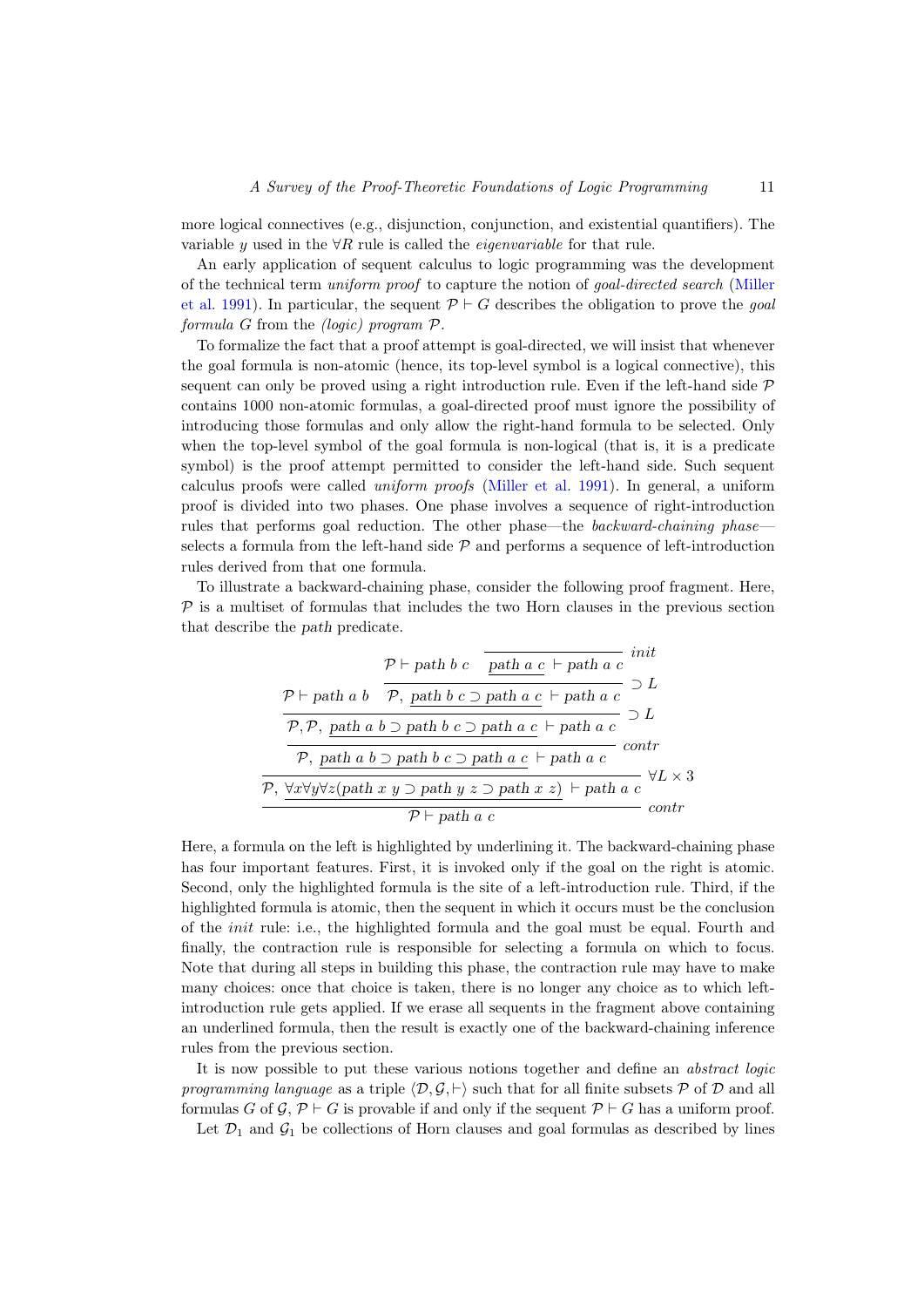more logical connectives (e.g., disjunction, conjunction, and existential quantifiers). The variable y used in the  $\forall R$  rule is called the *eigenvariable* for that rule.

An early application of sequent calculus to logic programming was the development of the technical term uniform proof to capture the notion of goal-directed search [\(Miller](#page-42-4) [et al. 1991\)](#page-42-4). In particular, the sequent  $\mathcal{P} \vdash G$  describes the obligation to prove the *goal* formula G from the (logic) program  $P$ .

To formalize the fact that a proof attempt is goal-directed, we will insist that whenever the goal formula is non-atomic (hence, its top-level symbol is a logical connective), this sequent can only be proved using a right introduction rule. Even if the left-hand side  $\mathcal P$ contains 1000 non-atomic formulas, a goal-directed proof must ignore the possibility of introducing those formulas and only allow the right-hand formula to be selected. Only when the top-level symbol of the goal formula is non-logical (that is, it is a predicate symbol) is the proof attempt permitted to consider the left-hand side. Such sequent calculus proofs were called uniform proofs [\(Miller et al. 1991\)](#page-42-4). In general, a uniform proof is divided into two phases. One phase involves a sequence of right-introduction rules that performs goal reduction. The other phase—the *backward-chaining phase* selects a formula from the left-hand side  $P$  and performs a sequence of left-introduction rules derived from that one formula.

To illustrate a backward-chaining phase, consider the following proof fragment. Here,  $P$  is a multiset of formulas that includes the two Horn clauses in the previous section that describe the path predicate.

$$
\mathcal{P} \vdash \text{path } b \ c \quad \overline{\text{path } a \ c} \vdash \text{path } a \ c \vdash \text{path } a \ c \vdash \text{path } a \ c \vdash \text{path } a \ c \vdash \text{path } a \ c \vdash \text{path } a \ c \vdash \text{path } a \ c \vdash \text{path } a \ c \vdash \text{path } a \ c \vdash \text{path } a \ c \vdash \text{path } a \ c \vdash \text{path } a \ c \vdash \text{path } a \ c \vdash \text{path } a \ c \vdash \text{path } a \ c \vdash \text{path } a \ c \vdash \text{path } a \ c \vdash \text{path } a \ c \vdash \text{path } a \ c \vdash \text{path } a \ c \vdash \text{path } a \ c \vdash \text{path } a \ c \qquad \text{other } a \ c \vdash \text{path } a \ c \qquad \text{other } a \ c \vdash \text{path } a \ c \qquad \text{other } a \ c \vdash \text{path } a \ c \qquad \text{other } a \ c \vdash \text{path } a \ c \qquad \text{other } a \ c \vdash \text{path } a \ c \qquad \text{other } a \ c \vdash \text{path } a \ c \qquad \text{other } a \ c \vdash \text{path } a \ c \qquad \text{other } a \ c \vdash \text{path } a \ c \qquad \text{other } a \ c \vdash \text{path } a \ c \qquad \text{other } a \ c \vdash \text{path } a \ c \vdash \text{path } a \ c \vdash \text{path } a \ c \vdash \text{path } a \ c \vdash \text{path } a \ c \vdash \text{path } a \ c \vdash \text{path } a \ c \vdash \text{path } a \ c \vdash \text{path } a \ c \vdash \text{path } a \ c \vdash \text{path } a \ c \vdash \text{path } a \ c \vdash \text{path } a \ c \vdash \text{path } a \ c \vdash \text{path } a \ c \vdash \text{path } a \ c \vdash \text{path } a \ c \vdash \text{path } a \ c \vdash \text{path } a \ c \vdash \text{path } a \ c \vdash \text{path } a \ c \vdash \text{path } a \ c \vdash \text{path } a \ c \vdash \text{path } a \ c \vdash \text{path } a \ c \vdash
$$

Here, a formula on the left is highlighted by underlining it. The backward-chaining phase has four important features. First, it is invoked only if the goal on the right is atomic. Second, only the highlighted formula is the site of a left-introduction rule. Third, if the highlighted formula is atomic, then the sequent in which it occurs must be the conclusion of the init rule: i.e., the highlighted formula and the goal must be equal. Fourth and finally, the contraction rule is responsible for selecting a formula on which to focus. Note that during all steps in building this phase, the contraction rule may have to make many choices: once that choice is taken, there is no longer any choice as to which leftintroduction rule gets applied. If we erase all sequents in the fragment above containing an underlined formula, then the result is exactly one of the backward-chaining inference rules from the previous section.

It is now possible to put these various notions together and define an abstract logic programming language as a triple  $\langle \mathcal{D}, \mathcal{G}, \vdash \rangle$  such that for all finite subsets P of D and all formulas G of G,  $\mathcal{P} \vdash G$  is provable if and only if the sequent  $\mathcal{P} \vdash G$  has a uniform proof.

Let  $\mathcal{D}_1$  and  $\mathcal{G}_1$  be collections of Horn clauses and goal formulas as described by lines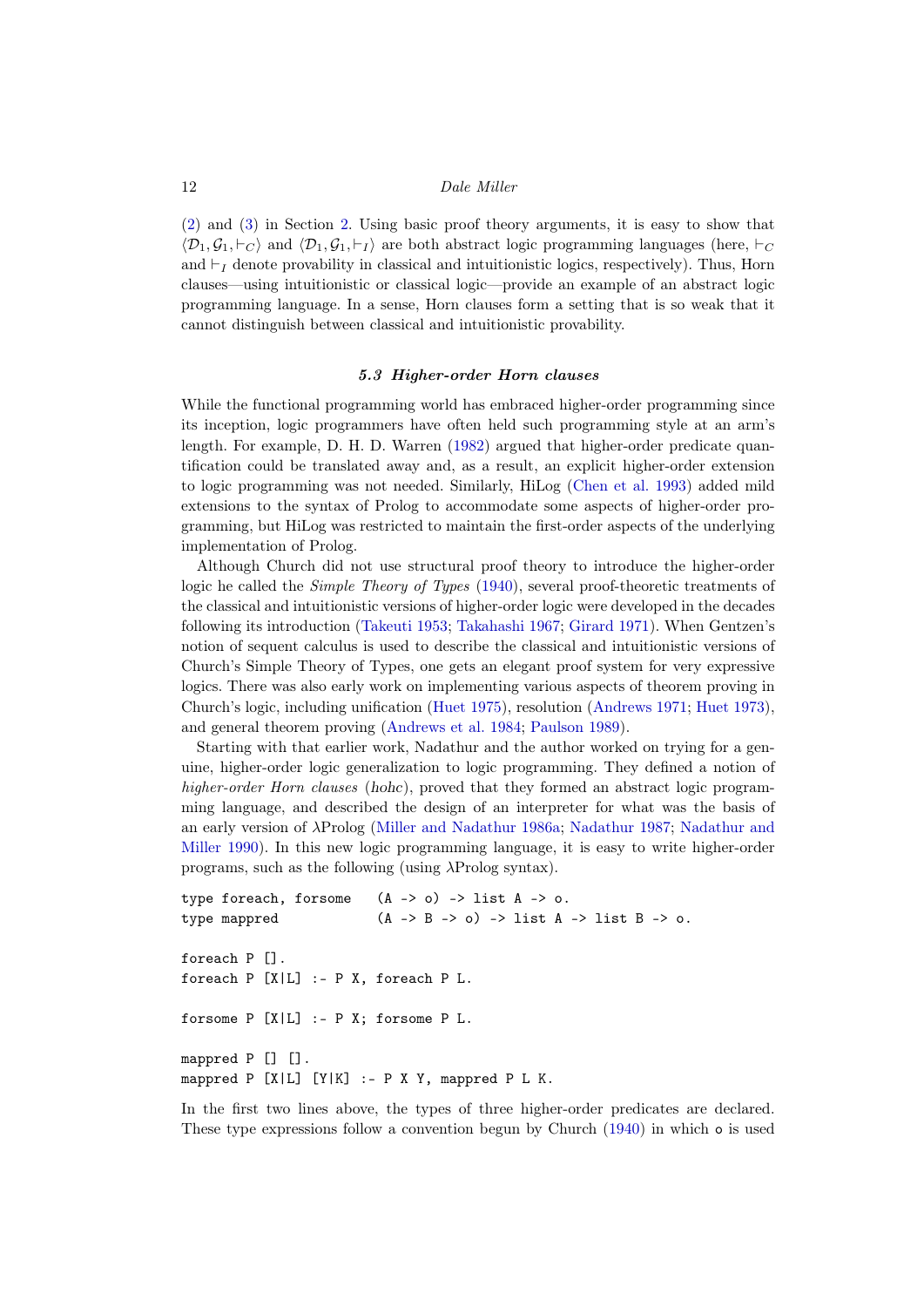[\(2\)](#page-2-1) and [\(3\)](#page-2-2) in Section [2.](#page-1-0) Using basic proof theory arguments, it is easy to show that  $\langle \mathcal{D}_1, \mathcal{G}_1, \vdash_C \rangle$  and  $\langle \mathcal{D}_1, \mathcal{G}_1, \vdash_I \rangle$  are both abstract logic programming languages (here,  $\vdash_C$ and  $\vdash_I$  denote provability in classical and intuitionistic logics, respectively). Thus, Horn clauses—using intuitionistic or classical logic—provide an example of an abstract logic programming language. In a sense, Horn clauses form a setting that is so weak that it cannot distinguish between classical and intuitionistic provability.

#### 5.3 Higher-order Horn clauses

<span id="page-11-0"></span>While the functional programming world has embraced higher-order programming since its inception, logic programmers have often held such programming style at an arm's length. For example, D. H. D. Warren [\(1982\)](#page-45-6) argued that higher-order predicate quantification could be translated away and, as a result, an explicit higher-order extension to logic programming was not needed. Similarly, HiLog [\(Chen et al. 1993\)](#page-36-4) added mild extensions to the syntax of Prolog to accommodate some aspects of higher-order programming, but HiLog was restricted to maintain the first-order aspects of the underlying implementation of Prolog.

Although Church did not use structural proof theory to introduce the higher-order logic he called the *Simple Theory of Types* [\(1940\)](#page-36-5), several proof-theoretic treatments of the classical and intuitionistic versions of higher-order logic were developed in the decades following its introduction [\(Takeuti 1953;](#page-45-7) [Takahashi 1967;](#page-45-8) [Girard 1971\)](#page-38-8). When Gentzen's notion of sequent calculus is used to describe the classical and intuitionistic versions of Church's Simple Theory of Types, one gets an elegant proof system for very expressive logics. There was also early work on implementing various aspects of theorem proving in Church's logic, including unification [\(Huet 1975\)](#page-40-7), resolution [\(Andrews 1971;](#page-34-3) [Huet 1973\)](#page-40-4), and general theorem proving [\(Andrews et al. 1984;](#page-35-9) [Paulson 1989\)](#page-43-5).

Starting with that earlier work, Nadathur and the author worked on trying for a genuine, higher-order logic generalization to logic programming. They defined a notion of higher-order Horn clauses (hohc), proved that they formed an abstract logic programming language, and described the design of an interpreter for what was the basis of an early version of λProlog [\(Miller and Nadathur 1986a;](#page-42-6) [Nadathur 1987;](#page-42-7) [Nadathur and](#page-43-6) [Miller 1990\)](#page-43-6). In this new logic programming language, it is easy to write higher-order programs, such as the following (using  $\lambda$ Prolog syntax).

```
type foreach, forsome (A \rightarrow o) \rightarrow list A \rightarrow o.
type mappred (A \rightarrow B \rightarrow o) \rightarrow list A \rightarrow list B \rightarrow o.
foreach P [].
foreach P [X|L] :- P X, foreach P L.
forsome P [X|L] :- P X; forsome P L.
mappred P [] [].
mappred P [X|L] [Y|K] :- P X Y, mappred P L K.
```
In the first two lines above, the types of three higher-order predicates are declared. These type expressions follow a convention begun by Church [\(1940\)](#page-36-5) in which o is used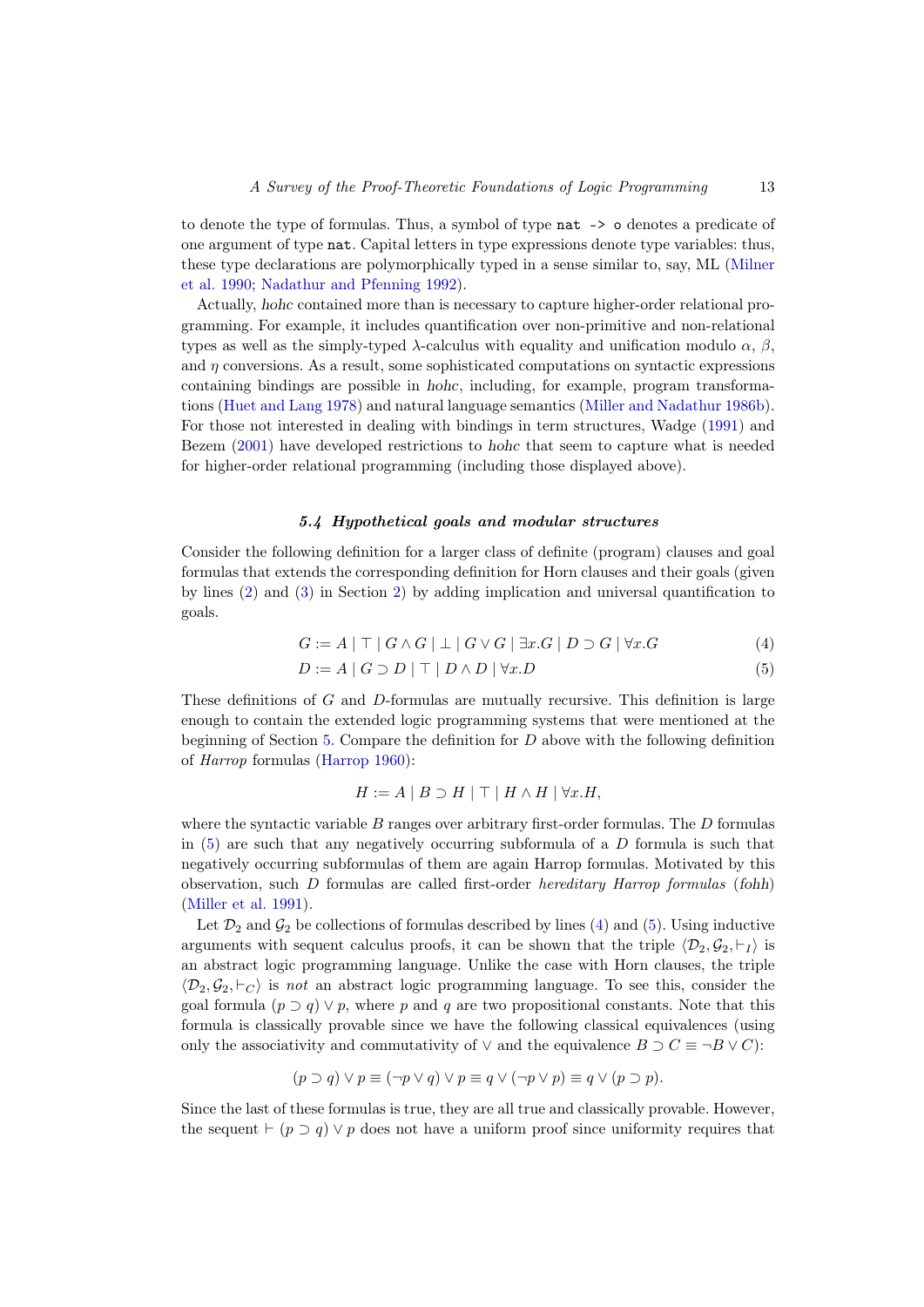to denote the type of formulas. Thus, a symbol of type nat -> o denotes a predicate of one argument of type nat. Capital letters in type expressions denote type variables: thus, these type declarations are polymorphically typed in a sense similar to, say, ML [\(Milner](#page-42-8) [et al. 1990;](#page-42-8) [Nadathur and Pfenning 1992\)](#page-43-7).

Actually, hohc contained more than is necessary to capture higher-order relational programming. For example, it includes quantification over non-primitive and non-relational types as well as the simply-typed  $\lambda$ -calculus with equality and unification modulo  $\alpha$ ,  $\beta$ , and  $\eta$  conversions. As a result, some sophisticated computations on syntactic expressions containing bindings are possible in hohc, including, for example, program transformations [\(Huet and Lang 1978\)](#page-40-8) and natural language semantics [\(Miller and Nadathur 1986b\)](#page-42-9). For those not interested in dealing with bindings in term structures, Wadge [\(1991\)](#page-45-9) and Bezem [\(2001\)](#page-35-10) have developed restrictions to hohc that seem to capture what is needed for higher-order relational programming (including those displayed above).

#### 5.4 Hypothetical goals and modular structures

<span id="page-12-0"></span>Consider the following definition for a larger class of definite (program) clauses and goal formulas that extends the corresponding definition for Horn clauses and their goals (given by lines [\(2\)](#page-2-1) and [\(3\)](#page-2-2) in Section [2\)](#page-1-0) by adding implication and universal quantification to goals.

$$
G := A | \top | G \wedge G | \bot | G \vee G | \exists x . G | D \supset G | \forall x . G
$$
 (4)

$$
D := A \mid G \supset D \mid \top \mid D \land D \mid \forall x . D \tag{5}
$$

These definitions of G and D-formulas are mutually recursive. This definition is large enough to contain the extended logic programming systems that were mentioned at the beginning of Section [5.](#page-6-0) Compare the definition for  $D$  above with the following definition of Harrop formulas [\(Harrop 1960\)](#page-39-6):

<span id="page-12-2"></span><span id="page-12-1"></span>
$$
H := A | B \supset H | \top | H \wedge H | \forall x . H,
$$

where the syntactic variable  $B$  ranges over arbitrary first-order formulas. The  $D$  formulas in  $(5)$  are such that any negatively occurring subformula of a D formula is such that negatively occurring subformulas of them are again Harrop formulas. Motivated by this observation, such D formulas are called first-order hereditary Harrop formulas (fohh) [\(Miller et al. 1991\)](#page-42-4).

Let  $\mathcal{D}_2$  and  $\mathcal{G}_2$  be collections of formulas described by lines [\(4\)](#page-12-2) and [\(5\)](#page-12-1). Using inductive arguments with sequent calculus proofs, it can be shown that the triple  $\langle \mathcal{D}_2, \mathcal{G}_2, \vdash_I \rangle$  is an abstract logic programming language. Unlike the case with Horn clauses, the triple  $\langle \mathcal{D}_2, \mathcal{G}_2, \vdash_C \rangle$  is not an abstract logic programming language. To see this, consider the goal formula  $(p \supset q) \vee p$ , where p and q are two propositional constants. Note that this formula is classically provable since we have the following classical equivalences (using only the associativity and commutativity of  $\vee$  and the equivalence  $B \supset C \equiv \neg B \vee C$ :

$$
(p \supset q) \vee p \equiv (\neg p \vee q) \vee p \equiv q \vee (\neg p \vee p) \equiv q \vee (p \supset p).
$$

Since the last of these formulas is true, they are all true and classically provable. However, the sequent  $\vdash$  ( $p \supset q$ )  $\vee p$  does not have a uniform proof since uniformity requires that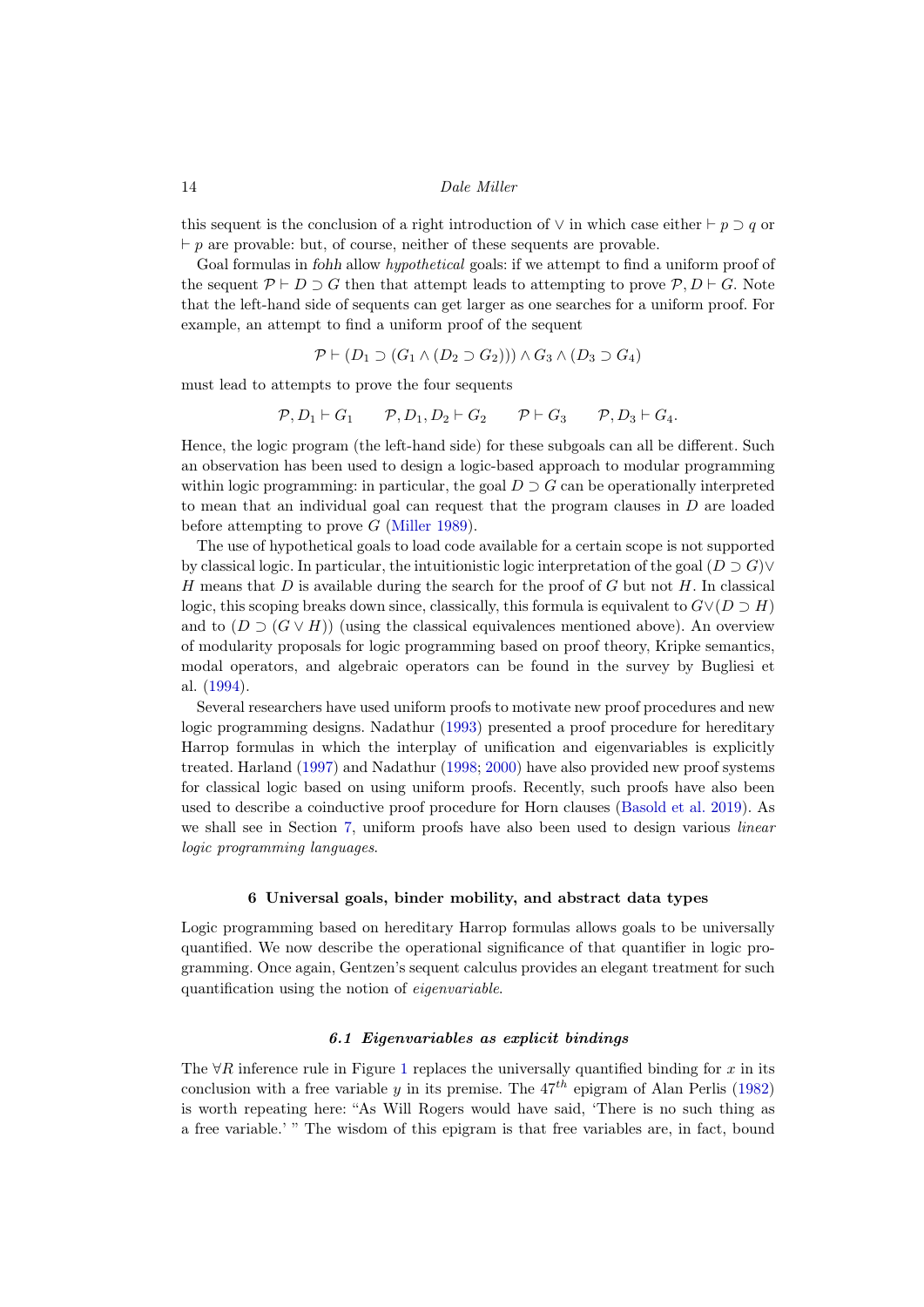this sequent is the conclusion of a right introduction of  $\vee$  in which case either  $\vdash p \supset q$  or  $\vdash p$  are provable: but, of course, neither of these sequents are provable.

Goal formulas in *fohh* allow *hypothetical* goals: if we attempt to find a uniform proof of the sequent  $\mathcal{P} \vdash D \supset G$  then that attempt leads to attempting to prove  $\mathcal{P}, D \vdash G$ . Note that the left-hand side of sequents can get larger as one searches for a uniform proof. For example, an attempt to find a uniform proof of the sequent

$$
\mathcal{P} \vdash (D_1 \supset (G_1 \land (D_2 \supset G_2))) \land G_3 \land (D_3 \supset G_4)
$$

must lead to attempts to prove the four sequents

$$
\mathcal{P}, D_1 \vdash G_1 \qquad \mathcal{P}, D_1, D_2 \vdash G_2 \qquad \mathcal{P} \vdash G_3 \qquad \mathcal{P}, D_3 \vdash G_4.
$$

Hence, the logic program (the left-hand side) for these subgoals can all be different. Such an observation has been used to design a logic-based approach to modular programming within logic programming: in particular, the goal  $D \supset G$  can be operationally interpreted to mean that an individual goal can request that the program clauses in D are loaded before attempting to prove G [\(Miller 1989\)](#page-41-10).

The use of hypothetical goals to load code available for a certain scope is not supported by classical logic. In particular, the intuitionistic logic interpretation of the goal  $(D \supset G) \vee$ H means that  $D$  is available during the search for the proof of  $G$  but not  $H$ . In classical logic, this scoping breaks down since, classically, this formula is equivalent to  $G\vee(D \supset H)$ and to  $(D \supset (G \vee H))$  (using the classical equivalences mentioned above). An overview of modularity proposals for logic programming based on proof theory, Kripke semantics, modal operators, and algebraic operators can be found in the survey by Bugliesi et al. [\(1994\)](#page-36-6).

Several researchers have used uniform proofs to motivate new proof procedures and new logic programming designs. Nadathur [\(1993\)](#page-43-8) presented a proof procedure for hereditary Harrop formulas in which the interplay of unification and eigenvariables is explicitly treated. Harland [\(1997\)](#page-39-7) and Nadathur [\(1998;](#page-43-9) [2000\)](#page-43-10) have also provided new proof systems for classical logic based on using uniform proofs. Recently, such proofs have also been used to describe a coinductive proof procedure for Horn clauses [\(Basold et al. 2019\)](#page-35-11). As we shall see in Section [7,](#page-18-0) uniform proofs have also been used to design various *linear* logic programming languages.

# 6 Universal goals, binder mobility, and abstract data types

<span id="page-13-0"></span>Logic programming based on hereditary Harrop formulas allows goals to be universally quantified. We now describe the operational significance of that quantifier in logic programming. Once again, Gentzen's sequent calculus provides an elegant treatment for such quantification using the notion of eigenvariable.

# 6.1 Eigenvariables as explicit bindings

The  $\forall R$  inference rule in Figure [1](#page-9-1) replaces the universally quantified binding for x in its conclusion with a free variable y in its premise. The  $47^{th}$  epigram of Alan Perlis [\(1982\)](#page-43-11) is worth repeating here: "As Will Rogers would have said, 'There is no such thing as a free variable.' " The wisdom of this epigram is that free variables are, in fact, bound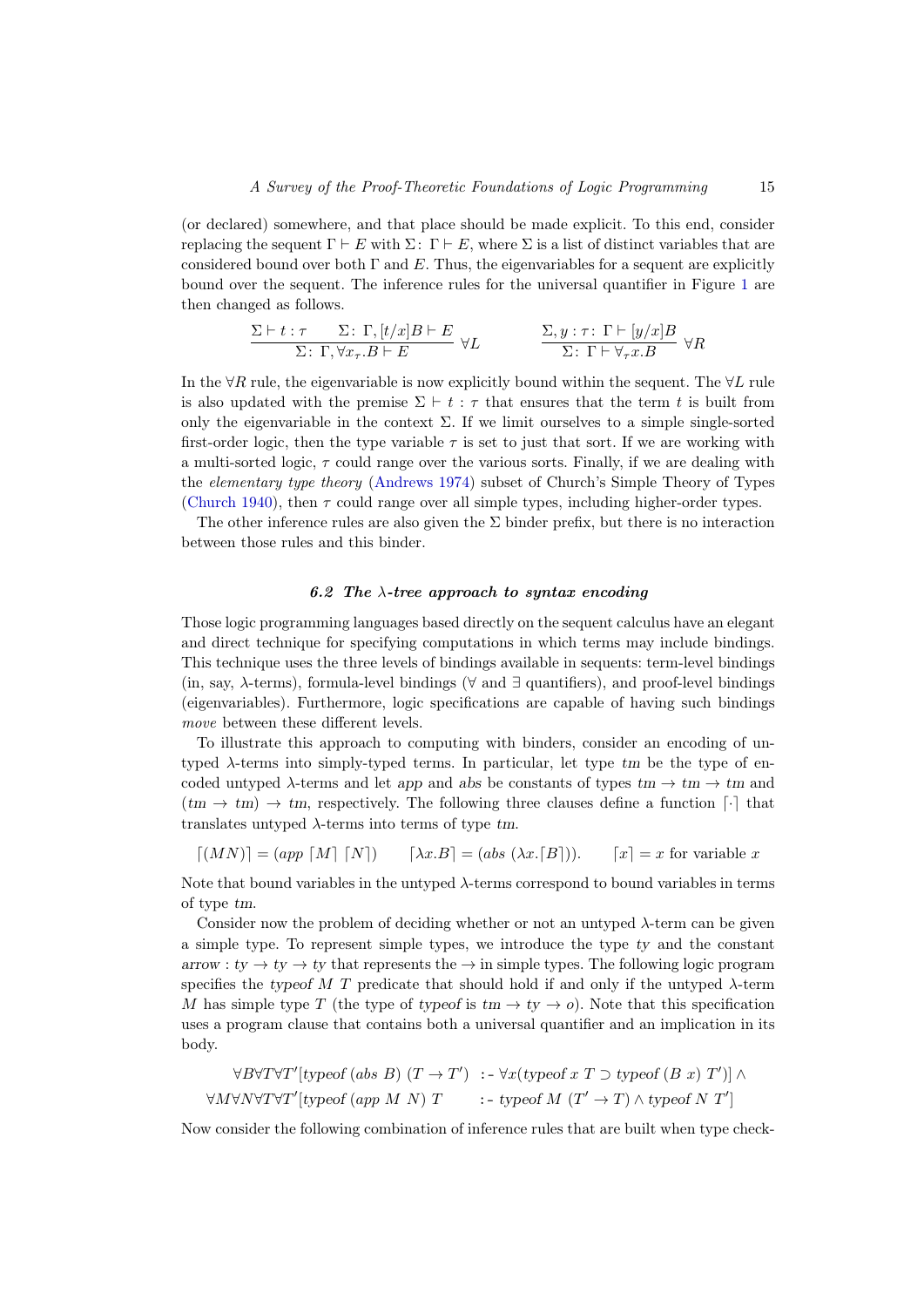(or declared) somewhere, and that place should be made explicit. To this end, consider replacing the sequent  $\Gamma \vdash E$  with  $\Sigma: \Gamma \vdash E$ , where  $\Sigma$  is a list of distinct variables that are considered bound over both  $\Gamma$  and E. Thus, the eigenvariables for a sequent are explicitly bound over the sequent. The inference rules for the universal quantifier in Figure [1](#page-9-1) are then changed as follows.

$$
\frac{\Sigma\vdash t:\tau\qquad \Sigma\colon\Gamma,[t/x]B\vdash E}{\Sigma\colon\Gamma,\forall x_\tau.B\vdash E}\ \forall L\qquad\qquad \frac{\Sigma,y:\tau\colon\Gamma\vdash [y/x]B}{\Sigma\colon\Gamma\vdash\forall_\tau x.B}\ \forall R
$$

In the ∀R rule, the eigenvariable is now explicitly bound within the sequent. The  $\forall L$  rule is also updated with the premise  $\Sigma \vdash t : \tau$  that ensures that the term t is built from only the eigenvariable in the context  $\Sigma$ . If we limit ourselves to a simple single-sorted first-order logic, then the type variable  $\tau$  is set to just that sort. If we are working with a multi-sorted logic,  $\tau$  could range over the various sorts. Finally, if we are dealing with the elementary type theory [\(Andrews 1974\)](#page-35-12) subset of Church's Simple Theory of Types [\(Church 1940\)](#page-36-5), then  $\tau$  could range over all simple types, including higher-order types.

The other inference rules are also given the  $\Sigma$  binder prefix, but there is no interaction between those rules and this binder.

# 6.2 The  $\lambda$ -tree approach to syntax encoding

<span id="page-14-0"></span>Those logic programming languages based directly on the sequent calculus have an elegant and direct technique for specifying computations in which terms may include bindings. This technique uses the three levels of bindings available in sequents: term-level bindings (in, say,  $\lambda$ -terms), formula-level bindings ( $\forall$  and  $\exists$  quantifiers), and proof-level bindings (eigenvariables). Furthermore, logic specifications are capable of having such bindings move between these different levels.

To illustrate this approach to computing with binders, consider an encoding of untyped  $\lambda$ -terms into simply-typed terms. In particular, let type  $tm$  be the type of encoded untyped  $\lambda$ -terms and let app and abs be constants of types  $tm \to tm \to tm$  and  $(tm \rightarrow tm) \rightarrow tm$ , respectively. The following three clauses define a function  $\lceil \cdot \rceil$  that translates untyped  $\lambda$ -terms into terms of type tm.

 $\lceil (MN) \rceil = (app \lceil M \rceil \lceil N \rceil) \quad \text{[}\lambda x.B \text{]} = (abs \ (\lambda x.[B])). \quad \text{[}x \text{]} = x \text{ for variable } x$ 

Note that bound variables in the untyped  $\lambda$ -terms correspond to bound variables in terms of type tm.

Consider now the problem of deciding whether or not an untyped  $\lambda$ -term can be given a simple type. To represent simple types, we introduce the type ty and the constant arrow :  $ty \rightarrow ty \rightarrow ty$  that represents the  $\rightarrow$  in simple types. The following logic program specifies the typeof M T predicate that should hold if and only if the untyped  $\lambda$ -term M has simple type T (the type of type of is  $tm \to ty \to o$ ). Note that this specification uses a program clause that contains both a universal quantifier and an implication in its body.

$$
\forall B \forall T \forall T' [\text{typeof (abs } B) (T \to T') \ : - \forall x (\text{typeof } x T \supset \text{typeof } (B x) T')] \land
$$
  

$$
\forall M \forall N \forall T \forall T' [\text{typeof (app } M \ N) T \ : - \text{typeof } M (T' \to T) \land \text{typeof } N T']
$$

Now consider the following combination of inference rules that are built when type check-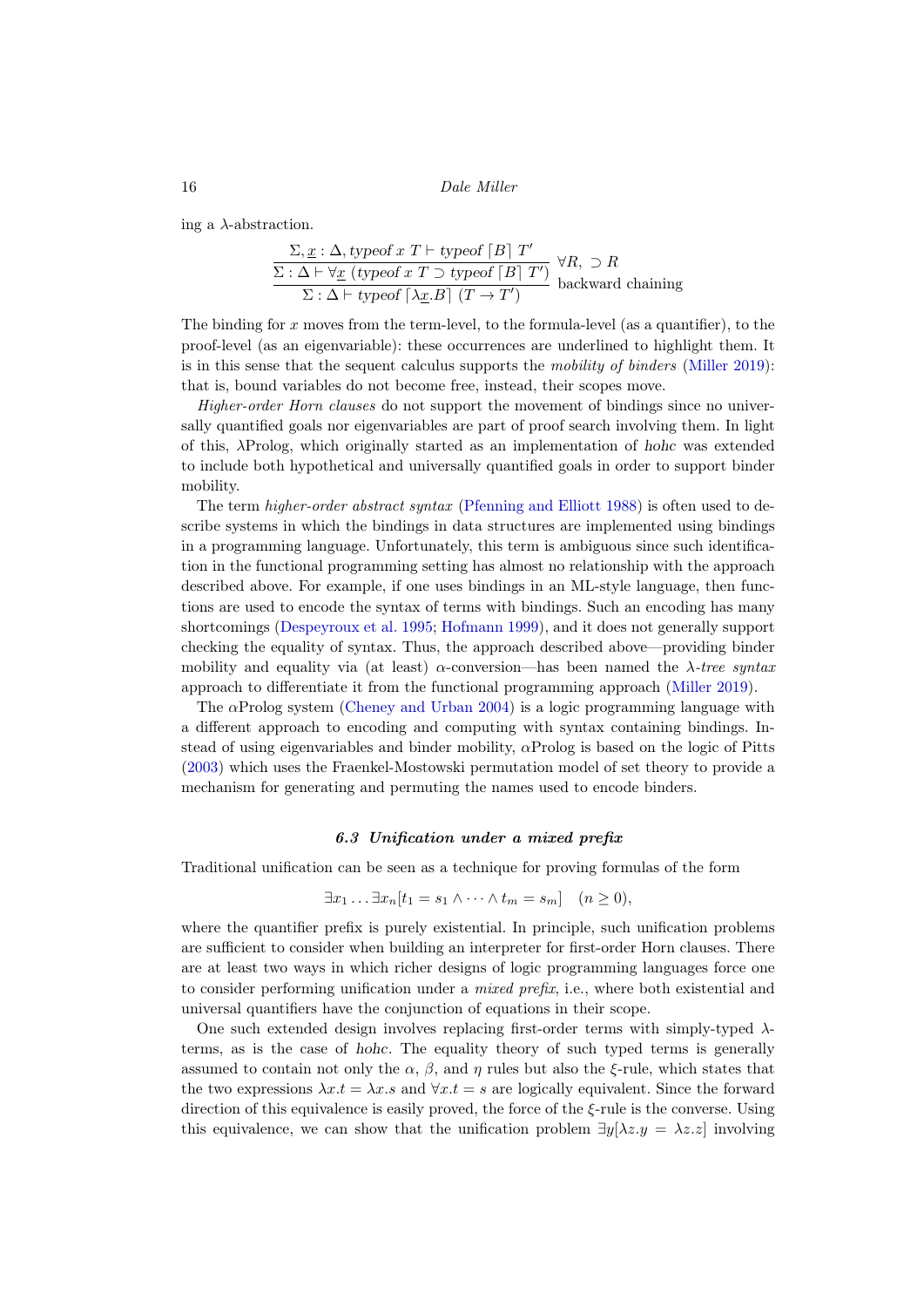ing a  $\lambda$ -abstraction.

$$
\frac{\Sigma, \underline{x} : \Delta, \text{typeof } x \text{ } T \vdash \text{typeof } [B] \text{ } T'}{\Sigma : \Delta \vdash \forall \underline{x} \text{ (typeof } x \text{ } T \supset \text{typeof } [B] \text{ } T') } \forall R, \supset R
$$
  

$$
\Sigma : \Delta \vdash \text{typeof } [\lambda \underline{x}.B] \text{ } (T \rightarrow T')
$$
backward chaining

The binding for x moves from the term-level, to the formula-level (as a quantifier), to the proof-level (as an eigenvariable): these occurrences are underlined to highlight them. It is in this sense that the sequent calculus supports the mobility of binders [\(Miller 2019\)](#page-42-10): that is, bound variables do not become free, instead, their scopes move.

Higher-order Horn clauses do not support the movement of bindings since no universally quantified goals nor eigenvariables are part of proof search involving them. In light of this, λProlog, which originally started as an implementation of hohc was extended to include both hypothetical and universally quantified goals in order to support binder mobility.

The term higher-order abstract syntax [\(Pfenning and Elliott 1988\)](#page-44-3) is often used to describe systems in which the bindings in data structures are implemented using bindings in a programming language. Unfortunately, this term is ambiguous since such identification in the functional programming setting has almost no relationship with the approach described above. For example, if one uses bindings in an ML-style language, then functions are used to encode the syntax of terms with bindings. Such an encoding has many shortcomings [\(Despeyroux et al. 1995;](#page-37-3) [Hofmann 1999\)](#page-40-9), and it does not generally support checking the equality of syntax. Thus, the approach described above—providing binder mobility and equality via (at least)  $\alpha$ -conversion—has been named the  $\lambda$ -tree syntax approach to differentiate it from the functional programming approach [\(Miller 2019\)](#page-42-10).

The  $\alpha$ Prolog system [\(Cheney and Urban 2004\)](#page-36-7) is a logic programming language with a different approach to encoding and computing with syntax containing bindings. Instead of using eigenvariables and binder mobility,  $\alpha$ Prolog is based on the logic of Pitts [\(2003\)](#page-44-4) which uses the Fraenkel-Mostowski permutation model of set theory to provide a mechanism for generating and permuting the names used to encode binders.

# 6.3 Unification under a mixed prefix

<span id="page-15-0"></span>Traditional unification can be seen as a technique for proving formulas of the form

$$
\exists x_1 \ldots \exists x_n [t_1 = s_1 \wedge \cdots \wedge t_m = s_m] \quad (n \ge 0),
$$

where the quantifier prefix is purely existential. In principle, such unification problems are sufficient to consider when building an interpreter for first-order Horn clauses. There are at least two ways in which richer designs of logic programming languages force one to consider performing unification under a *mixed prefix*, i.e., where both existential and universal quantifiers have the conjunction of equations in their scope.

One such extended design involves replacing first-order terms with simply-typed  $\lambda$ terms, as is the case of hohc. The equality theory of such typed terms is generally assumed to contain not only the  $\alpha$ ,  $\beta$ , and  $\eta$  rules but also the  $\xi$ -rule, which states that the two expressions  $\lambda x.t = \lambda x.s$  and  $\forall x.t = s$  are logically equivalent. Since the forward direction of this equivalence is easily proved, the force of the  $\xi$ -rule is the converse. Using this equivalence, we can show that the unification problem  $\exists y[\lambda z.y = \lambda z.z]$  involving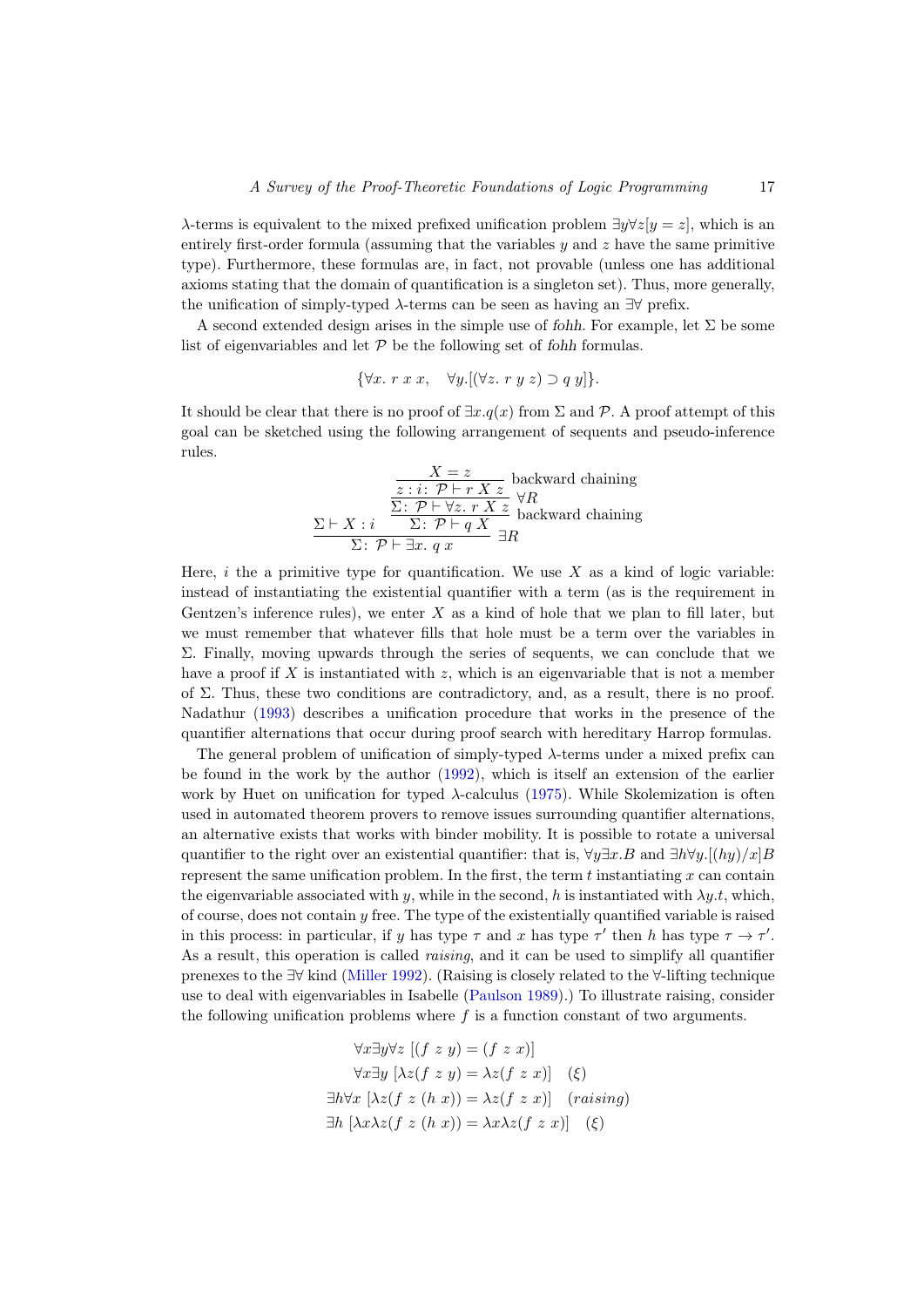$\lambda$ -terms is equivalent to the mixed prefixed unification problem  $\exists y \forall z[y = z]$ , which is an entirely first-order formula (assuming that the variables  $y$  and  $z$  have the same primitive type). Furthermore, these formulas are, in fact, not provable (unless one has additional axioms stating that the domain of quantification is a singleton set). Thus, more generally, the unification of simply-typed  $\lambda$ -terms can be seen as having an  $\exists \forall$  prefix.

A second extended design arises in the simple use of fohh. For example, let  $\Sigma$  be some list of eigenvariables and let  $P$  be the following set of fohh formulas.

$$
\{\forall x. \ r \ x \ x, \quad \forall y. \left[ (\forall z. \ r \ y \ z) \supset q \ y \right] \}.
$$

It should be clear that there is no proof of  $\exists x.q(x)$  from  $\Sigma$  and  $\mathcal P$ . A proof attempt of this goal can be sketched using the following arrangement of sequents and pseudo-inference rules.

$$
\frac{X = z}{z : i : \mathcal{P} \vdash r X z} \text{ backward chaining}
$$
\n
$$
\frac{\sum \vdash X : i}{\sum : \mathcal{P} \vdash \forall z. \ r X z} \forall R
$$
\n
$$
\frac{\sum \vdash X : i}{\sum : \mathcal{P} \vdash q X} \exists R
$$
\n
$$
\frac{\sum \vdash X : i}{\sum : \mathcal{P} \vdash \exists x. \ q x} \exists R
$$

Here,  $i$  the a primitive type for quantification. We use  $X$  as a kind of logic variable: instead of instantiating the existential quantifier with a term (as is the requirement in Gentzen's inference rules), we enter  $X$  as a kind of hole that we plan to fill later, but we must remember that whatever fills that hole must be a term over the variables in Σ. Finally, moving upwards through the series of sequents, we can conclude that we have a proof if X is instantiated with  $z$ , which is an eigenvariable that is not a member of  $\Sigma$ . Thus, these two conditions are contradictory, and, as a result, there is no proof. Nadathur [\(1993\)](#page-43-8) describes a unification procedure that works in the presence of the quantifier alternations that occur during proof search with hereditary Harrop formulas.

The general problem of unification of simply-typed  $\lambda$ -terms under a mixed prefix can be found in the work by the author [\(1992\)](#page-42-11), which is itself an extension of the earlier work by Huet on unification for typed  $\lambda$ -calculus [\(1975\)](#page-40-7). While Skolemization is often used in automated theorem provers to remove issues surrounding quantifier alternations, an alternative exists that works with binder mobility. It is possible to rotate a universal quantifier to the right over an existential quantifier: that is,  $\forall y \exists x . B$  and  $\exists h \forall y . [(hy)/x]B$ represent the same unification problem. In the first, the term  $t$  instantiating  $x$  can contain the eigenvariable associated with y, while in the second, h is instantiated with  $\lambda y.t$ , which, of course, does not contain  $y$  free. The type of the existentially quantified variable is raised in this process: in particular, if y has type  $\tau$  and x has type  $\tau'$  then h has type  $\tau \to \tau'$ . As a result, this operation is called *raising*, and it can be used to simplify all quantifier prenexes to the ∃∀ kind [\(Miller 1992\)](#page-42-11). (Raising is closely related to the ∀-lifting technique use to deal with eigenvariables in Isabelle [\(Paulson 1989\)](#page-43-5).) To illustrate raising, consider the following unification problems where  $f$  is a function constant of two arguments.

$$
\forall x \exists y \forall z [(f z y) = (f z x)]
$$
  

$$
\forall x \exists y [\lambda z (f z y) = \lambda z (f z x)]
$$
 (ξ)  

$$
\exists h \forall x [\lambda z (f z (h x)) = \lambda z (f z x)]
$$
 (raising)  

$$
\exists h [\lambda x \lambda z (f z (h x)) = \lambda x \lambda z (f z x)]
$$
 (ξ)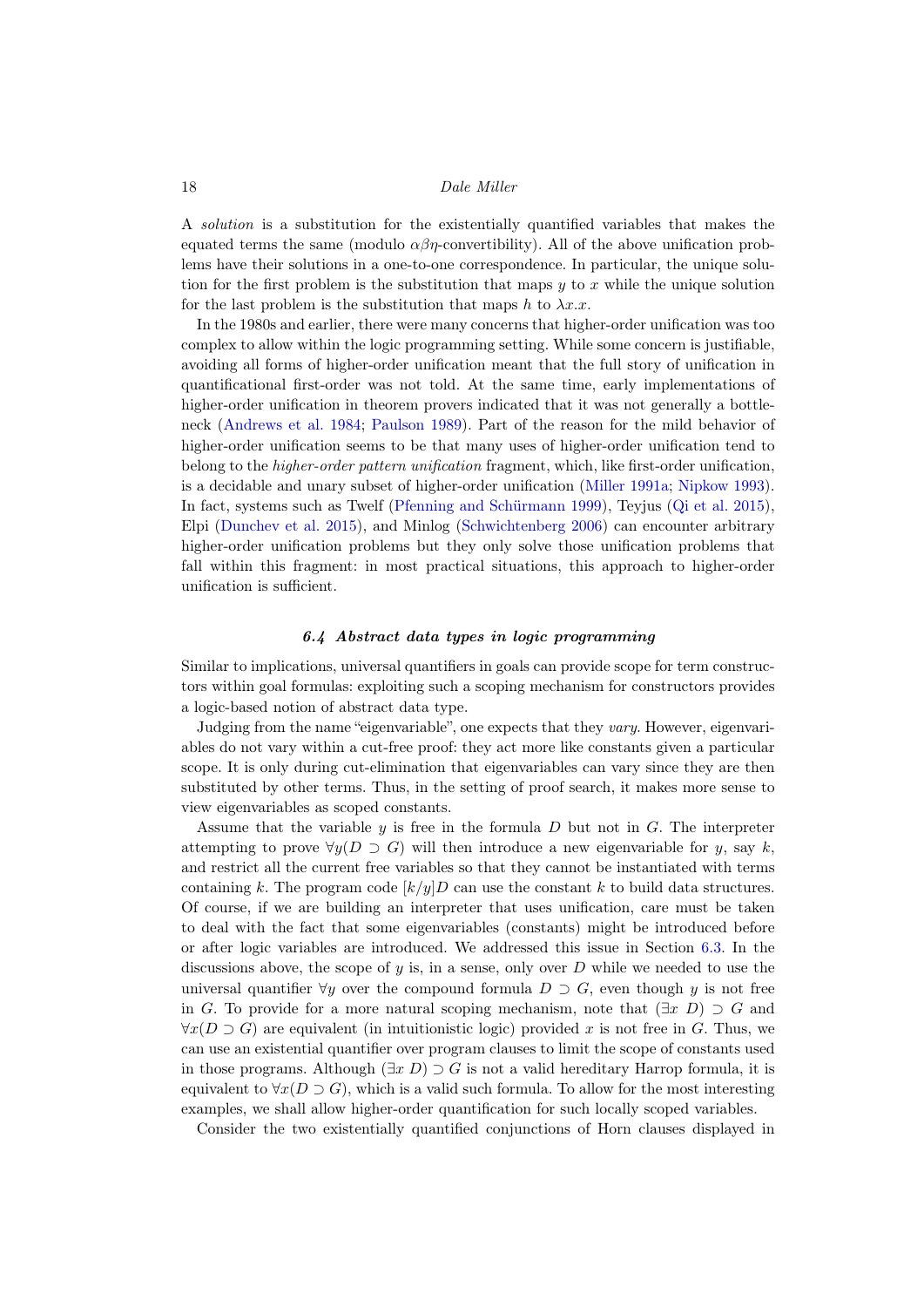A solution is a substitution for the existentially quantified variables that makes the equated terms the same (modulo  $\alpha\beta\eta$ -convertibility). All of the above unification problems have their solutions in a one-to-one correspondence. In particular, the unique solution for the first problem is the substitution that maps  $y$  to  $x$  while the unique solution for the last problem is the substitution that maps h to  $\lambda x.x$ .

In the 1980s and earlier, there were many concerns that higher-order unification was too complex to allow within the logic programming setting. While some concern is justifiable, avoiding all forms of higher-order unification meant that the full story of unification in quantificational first-order was not told. At the same time, early implementations of higher-order unification in theorem provers indicated that it was not generally a bottleneck [\(Andrews et al. 1984;](#page-35-9) [Paulson 1989\)](#page-43-5). Part of the reason for the mild behavior of higher-order unification seems to be that many uses of higher-order unification tend to belong to the *higher-order pattern unification* fragment, which, like first-order unification, is a decidable and unary subset of higher-order unification [\(Miller 1991a;](#page-41-11) [Nipkow 1993\)](#page-43-12). In fact, systems such as Twelf [\(Pfenning and Schürmann 1999\)](#page-44-5), Teyjus [\(Qi et al. 2015\)](#page-44-6), Elpi [\(Dunchev et al. 2015\)](#page-37-4), and Minlog [\(Schwichtenberg 2006\)](#page-44-7) can encounter arbitrary higher-order unification problems but they only solve those unification problems that fall within this fragment: in most practical situations, this approach to higher-order unification is sufficient.

# 6.4 Abstract data types in logic programming

<span id="page-17-0"></span>Similar to implications, universal quantifiers in goals can provide scope for term constructors within goal formulas: exploiting such a scoping mechanism for constructors provides a logic-based notion of abstract data type.

Judging from the name "eigenvariable", one expects that they vary. However, eigenvariables do not vary within a cut-free proof: they act more like constants given a particular scope. It is only during cut-elimination that eigenvariables can vary since they are then substituted by other terms. Thus, in the setting of proof search, it makes more sense to view eigenvariables as scoped constants.

Assume that the variable  $y$  is free in the formula  $D$  but not in  $G$ . The interpreter attempting to prove  $\forall y(D \supset G)$  will then introduce a new eigenvariable for y, say k, and restrict all the current free variables so that they cannot be instantiated with terms containing k. The program code  $\left[k/y\right]D$  can use the constant k to build data structures. Of course, if we are building an interpreter that uses unification, care must be taken to deal with the fact that some eigenvariables (constants) might be introduced before or after logic variables are introduced. We addressed this issue in Section [6.3.](#page-15-0) In the discussions above, the scope of y is, in a sense, only over  $D$  while we needed to use the universal quantifier  $\forall y$  over the compound formula  $D \supset G$ , even though y is not free in G. To provide for a more natural scoping mechanism, note that  $(\exists x D) \supset G$  and  $\forall x(D \supset G)$  are equivalent (in intuitionistic logic) provided x is not free in G. Thus, we can use an existential quantifier over program clauses to limit the scope of constants used in those programs. Although  $(\exists x D) \supset G$  is not a valid hereditary Harrop formula, it is equivalent to  $\forall x(D \supset G)$ , which is a valid such formula. To allow for the most interesting examples, we shall allow higher-order quantification for such locally scoped variables.

Consider the two existentially quantified conjunctions of Horn clauses displayed in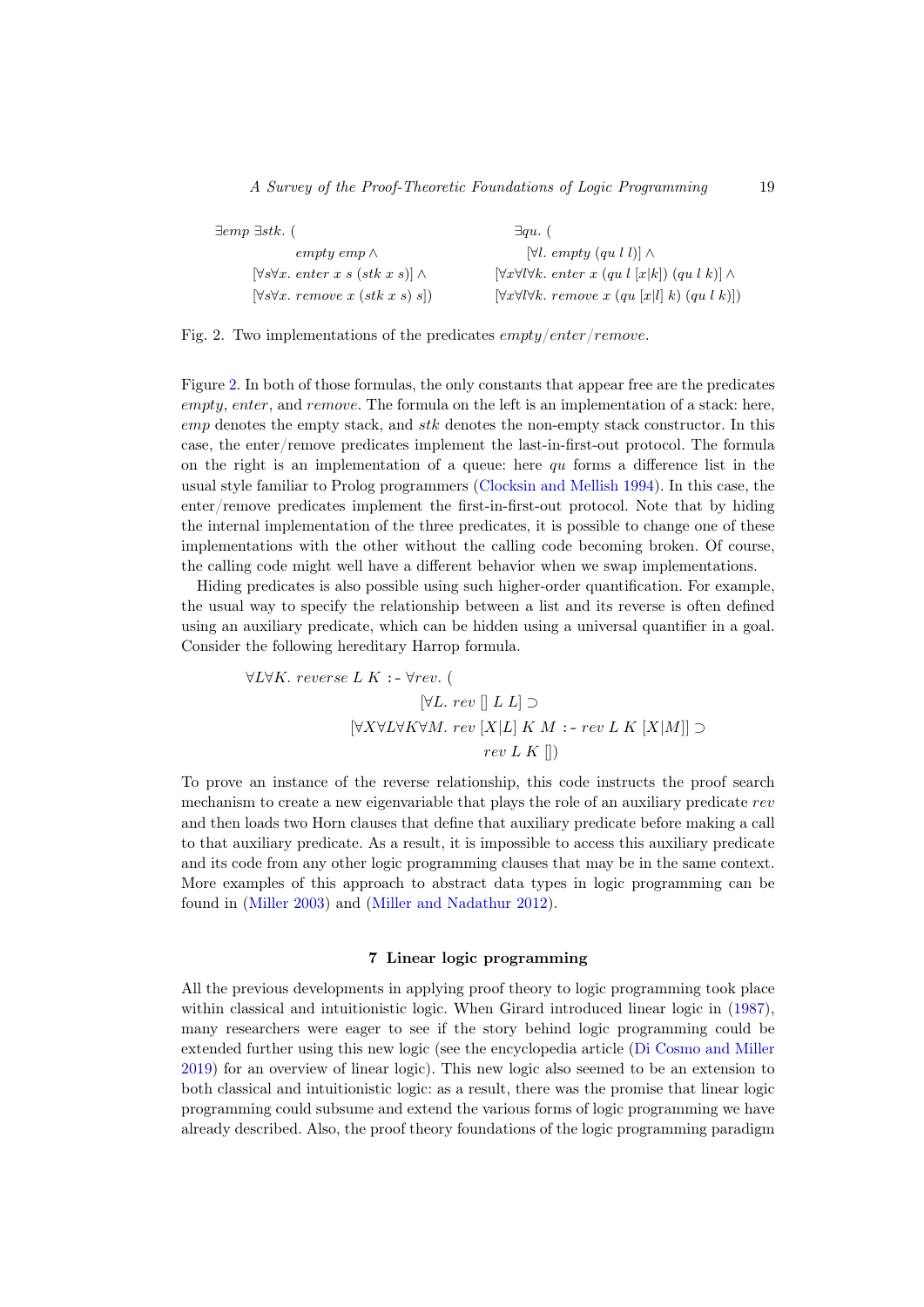| $\exists emp \; \exists stk.$ (                       | $\exists qu.$ (                                                                                       |
|-------------------------------------------------------|-------------------------------------------------------------------------------------------------------|
| $empty \,emp \wedge$                                  | $[\forall l. \emptyset]$ empty $\{qu, l\}\}\wedge$                                                    |
| $[\forall s \forall x.$ enter x s (stk x s)] $\wedge$ | $[\forall x \forall l \forall k.$ enter x $(qu \, l \, [x k])$ $(qu \, l \, k)] \wedge$               |
| $\forall s \forall x.$ remove x $(stk x s) s$ )       | $\forall x \forall l \forall k.$ remove x $(qu \vert x \vert l \vert k)$ $(qu \vert k \vert l \vert)$ |

<span id="page-18-1"></span>Fig. 2. Two implementations of the predicates *empty/enter/remove*.

Figure [2.](#page-18-1) In both of those formulas, the only constants that appear free are the predicates empty, enter, and remove. The formula on the left is an implementation of a stack: here,  $emp$  denotes the empty stack, and  $stk$  denotes the non-empty stack constructor. In this case, the enter/remove predicates implement the last-in-first-out protocol. The formula on the right is an implementation of a queue: here  $qu$  forms a difference list in the usual style familiar to Prolog programmers [\(Clocksin and Mellish 1994\)](#page-36-8). In this case, the enter/remove predicates implement the first-in-first-out protocol. Note that by hiding the internal implementation of the three predicates, it is possible to change one of these implementations with the other without the calling code becoming broken. Of course, the calling code might well have a different behavior when we swap implementations.

Hiding predicates is also possible using such higher-order quantification. For example, the usual way to specify the relationship between a list and its reverse is often defined using an auxiliary predicate, which can be hidden using a universal quantifier in a goal. Consider the following hereditary Harrop formula.

$$
\forall L \forall K. \text{ reverse } L \text{ } K : \text{--} \forall rev. \text{ } (\text{ }
$$
\n
$$
[\forall L. \text{ } rev \text{ }[[ \text{ } L \text{ } L ] \text{ } ]
$$
\n
$$
[\forall X \forall L \forall K \forall M. \text{ } rev \text{ }[X|L] \text{ } K \text{ } M : \text{--} \text{ } rev \text{ } L \text{ } K \text{ }[X|M]] \text{ } ]
$$
\n
$$
rev \text{ } L \text{ } K \text{ }[] )
$$

To prove an instance of the reverse relationship, this code instructs the proof search mechanism to create a new eigenvariable that plays the role of an auxiliary predicate rev and then loads two Horn clauses that define that auxiliary predicate before making a call to that auxiliary predicate. As a result, it is impossible to access this auxiliary predicate and its code from any other logic programming clauses that may be in the same context. More examples of this approach to abstract data types in logic programming can be found in [\(Miller 2003\)](#page-42-12) and [\(Miller and Nadathur 2012\)](#page-42-3).

# 7 Linear logic programming

<span id="page-18-0"></span>All the previous developments in applying proof theory to logic programming took place within classical and intuitionistic logic. When Girard introduced linear logic in [\(1987\)](#page-38-0), many researchers were eager to see if the story behind logic programming could be extended further using this new logic (see the encyclopedia article [\(Di Cosmo and Miller](#page-37-5) [2019\)](#page-37-5) for an overview of linear logic). This new logic also seemed to be an extension to both classical and intuitionistic logic: as a result, there was the promise that linear logic programming could subsume and extend the various forms of logic programming we have already described. Also, the proof theory foundations of the logic programming paradigm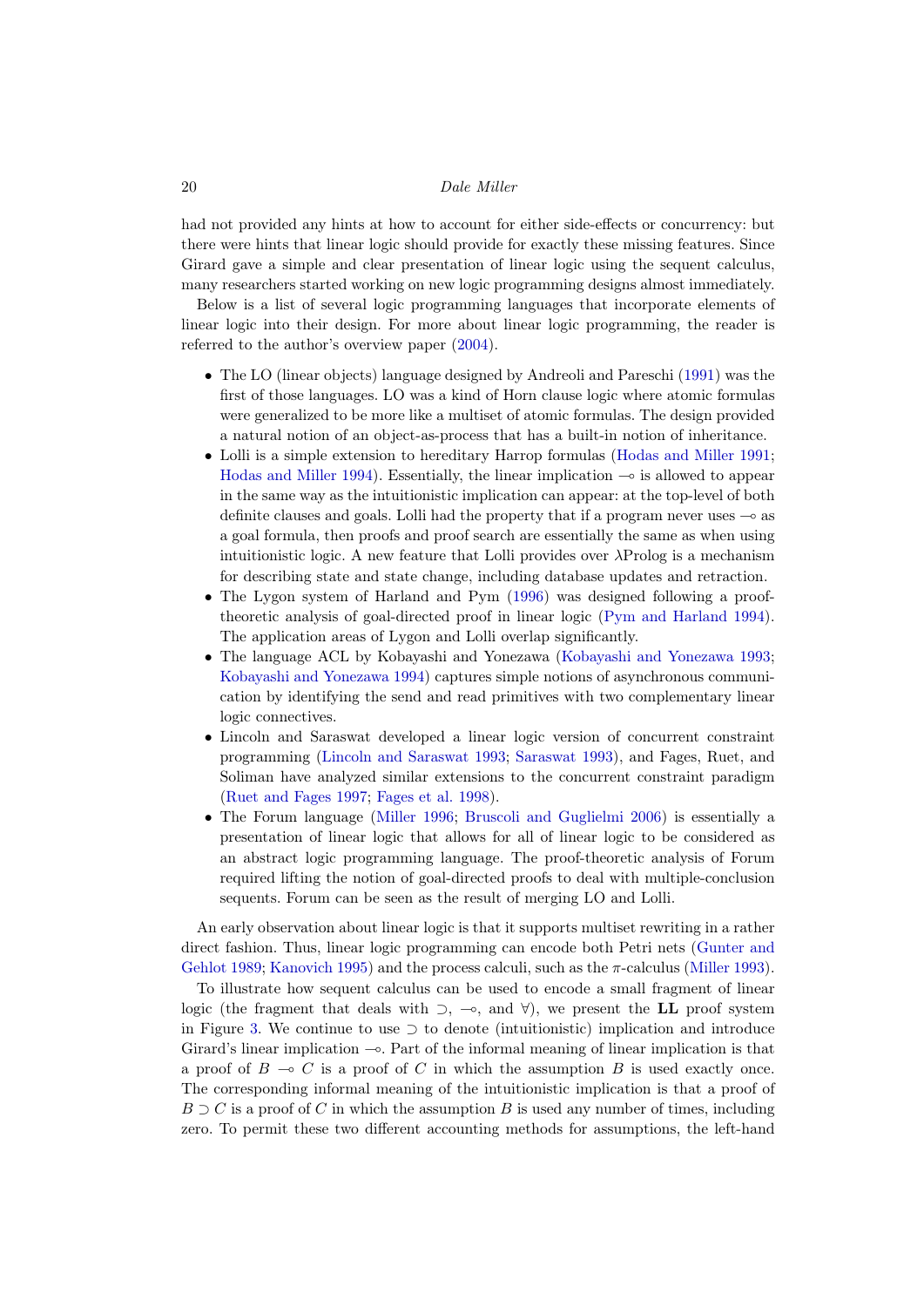had not provided any hints at how to account for either side-effects or concurrency: but there were hints that linear logic should provide for exactly these missing features. Since Girard gave a simple and clear presentation of linear logic using the sequent calculus, many researchers started working on new logic programming designs almost immediately.

Below is a list of several logic programming languages that incorporate elements of linear logic into their design. For more about linear logic programming, the reader is referred to the author's overview paper [\(2004\)](#page-42-13).

- The LO (linear objects) language designed by Andreoli and Pareschi [\(1991\)](#page-34-4) was the first of those languages. LO was a kind of Horn clause logic where atomic formulas were generalized to be more like a multiset of atomic formulas. The design provided a natural notion of an object-as-process that has a built-in notion of inheritance.
- Lolli is a simple extension to hereditary Harrop formulas [\(Hodas and Miller 1991;](#page-39-8) [Hodas and Miller 1994\)](#page-39-9). Essentially, the linear implication  $\sim$  is allowed to appear in the same way as the intuitionistic implication can appear: at the top-level of both definite clauses and goals. Lolli had the property that if a program never uses  $\sim$  as a goal formula, then proofs and proof search are essentially the same as when using intuitionistic logic. A new feature that Lolli provides over  $\lambda$ Prolog is a mechanism for describing state and state change, including database updates and retraction.
- The Lygon system of Harland and Pym [\(1996\)](#page-39-10) was designed following a prooftheoretic analysis of goal-directed proof in linear logic [\(Pym and Harland 1994\)](#page-44-8). The application areas of Lygon and Lolli overlap significantly.
- The language ACL by Kobayashi and Yonezawa [\(Kobayashi and Yonezawa 1993;](#page-40-10) [Kobayashi and Yonezawa 1994\)](#page-40-11) captures simple notions of asynchronous communication by identifying the send and read primitives with two complementary linear logic connectives.
- Lincoln and Saraswat developed a linear logic version of concurrent constraint programming [\(Lincoln and Saraswat 1993;](#page-41-12) [Saraswat 1993\)](#page-44-9), and Fages, Ruet, and Soliman have analyzed similar extensions to the concurrent constraint paradigm [\(Ruet and Fages 1997;](#page-44-10) [Fages et al. 1998\)](#page-37-6).
- The Forum language [\(Miller 1996;](#page-42-14) [Bruscoli and Guglielmi 2006\)](#page-36-9) is essentially a presentation of linear logic that allows for all of linear logic to be considered as an abstract logic programming language. The proof-theoretic analysis of Forum required lifting the notion of goal-directed proofs to deal with multiple-conclusion sequents. Forum can be seen as the result of merging LO and Lolli.

An early observation about linear logic is that it supports multiset rewriting in a rather direct fashion. Thus, linear logic programming can encode both Petri nets [\(Gunter and](#page-39-11) [Gehlot 1989;](#page-39-11) [Kanovich 1995\)](#page-40-12) and the process calculi, such as the π-calculus [\(Miller 1993\)](#page-42-15).

To illustrate how sequent calculus can be used to encode a small fragment of linear logic (the fragment that deals with  $\supset$ ,  $\multimap$ , and  $\forall$ ), we present the LL proof system in Figure [3.](#page-20-0) We continue to use  $\supset$  to denote (intuitionistic) implication and introduce Girard's linear implication  $\sim$ . Part of the informal meaning of linear implication is that a proof of  $B \multimap C$  is a proof of C in which the assumption B is used exactly once. The corresponding informal meaning of the intuitionistic implication is that a proof of  $B \supset C$  is a proof of C in which the assumption B is used any number of times, including zero. To permit these two different accounting methods for assumptions, the left-hand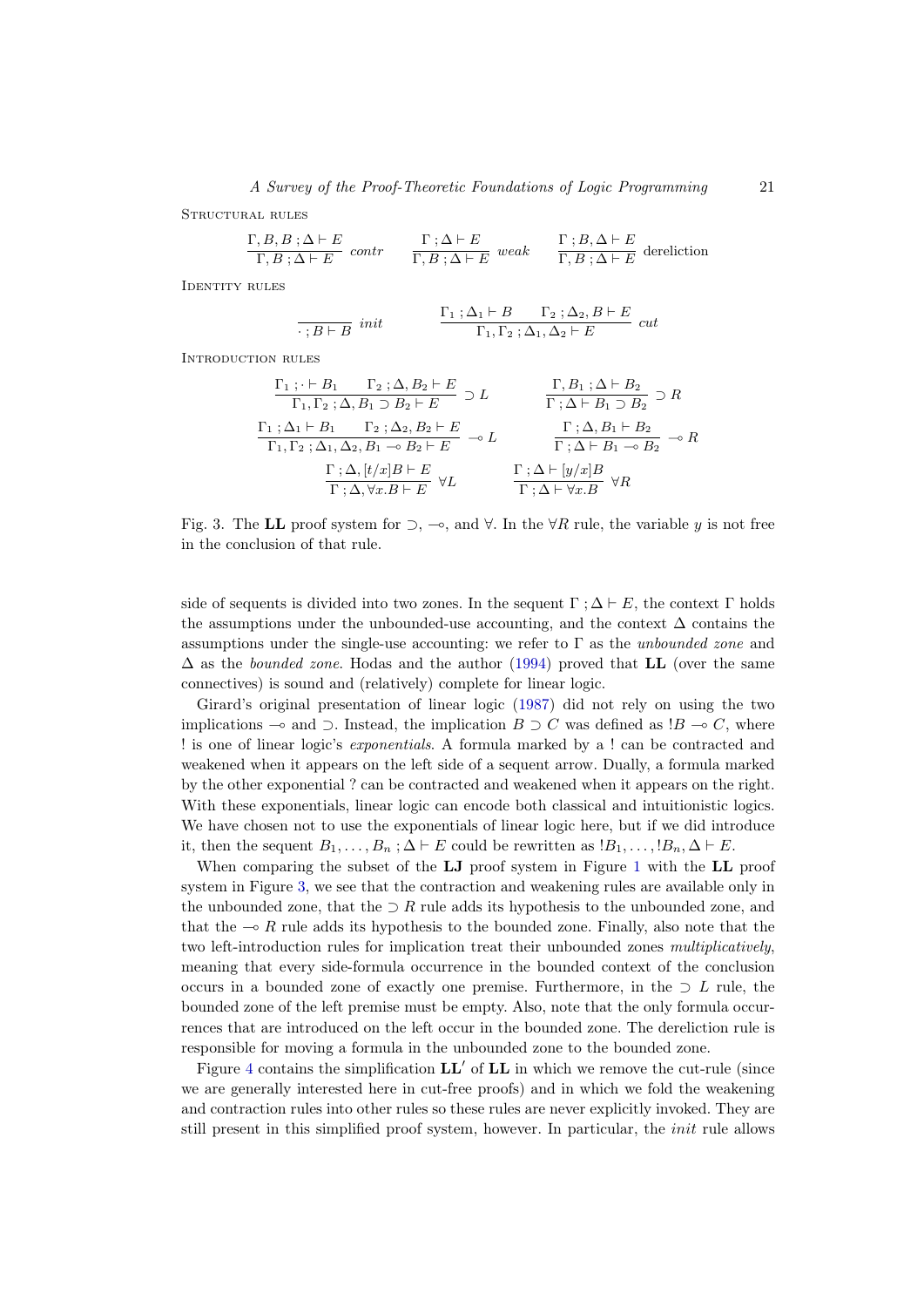$$
\frac{\Gamma, B, B; \Delta \vdash E}{\Gamma, B; \Delta \vdash E} \text{ contr } \frac{\Gamma; \Delta \vdash E}{\Gamma, B; \Delta \vdash E} \text{ weak } \frac{\Gamma; B, \Delta \vdash E}{\Gamma, B; \Delta \vdash E} \text{ dereliction}
$$

IDENTITY RULES

Structural rules

$$
\frac{\Gamma_1 \; ; \Delta_1 \vdash B \quad \Gamma_2 \; ; \Delta_2, B \vdash E}{\Gamma_1, \Gamma_2 \; ; \Delta_1, \Delta_2 \vdash E} \; cut
$$

Introduction rules

$$
\frac{\Gamma_1; \cdot \vdash B_1 \quad \Gamma_2; \Delta, B_2 \vdash E}{\Gamma_1, \Gamma_2; \Delta, B_1 \supset B_2 \vdash E} \supset L \qquad \frac{\Gamma, B_1; \Delta \vdash B_2}{\Gamma; \Delta \vdash B_1 \supset B_2} \supset R
$$
\n
$$
\frac{\Gamma_1; \Delta_1 \vdash B_1 \quad \Gamma_2; \Delta_2, B_2 \vdash E}{\Gamma_1, \Gamma_2; \Delta_1, \Delta_2, B_1 \multimap B_2 \vdash E} \multimap L \qquad \frac{\Gamma; \Delta, B_1 \vdash B_2}{\Gamma; \Delta \vdash B_1 \multimap B_2} \multimap R}
$$
\n
$$
\frac{\Gamma; \Delta, [t/x]B \vdash E}{\Gamma; \Delta, \forall x.B \vdash E} \forall L \qquad \frac{\Gamma; \Delta \vdash [y/x]B}{\Gamma; \Delta \vdash \forall x.B} \forall R
$$

<span id="page-20-0"></span>Fig. 3. The LL proof system for  $\supset$ ,  $\multimap$ , and  $\forall$ . In the  $\forall R$  rule, the variable y is not free in the conclusion of that rule.

side of sequents is divided into two zones. In the sequent  $\Gamma$ ;  $\Delta \vdash E$ , the context  $\Gamma$  holds the assumptions under the unbounded-use accounting, and the context  $\Delta$  contains the assumptions under the single-use accounting: we refer to  $\Gamma$  as the *unbounded zone* and  $\Delta$  as the *bounded zone*. Hodas and the author [\(1994\)](#page-39-9) proved that **LL** (over the same connectives) is sound and (relatively) complete for linear logic.

Girard's original presentation of linear logic [\(1987\)](#page-38-0) did not rely on using the two implications  $\multimap$  and  $\supset$ . Instead, the implication  $B \supset C$  was defined as  $B \multimap C$ , where ! is one of linear logic's exponentials. A formula marked by a ! can be contracted and weakened when it appears on the left side of a sequent arrow. Dually, a formula marked by the other exponential ? can be contracted and weakened when it appears on the right. With these exponentials, linear logic can encode both classical and intuitionistic logics. We have chosen not to use the exponentials of linear logic here, but if we did introduce it, then the sequent  $B_1, \ldots, B_n$ ;  $\Delta \vdash E$  could be rewritten as  $B_1, \ldots, B_n, \Delta \vdash E$ .

When comparing the subset of the LJ proof system in Figure [1](#page-9-1) with the LL proof system in Figure [3,](#page-20-0) we see that the contraction and weakening rules are available only in the unbounded zone, that the  $\supset R$  rule adds its hypothesis to the unbounded zone, and that the  $\sim R$  rule adds its hypothesis to the bounded zone. Finally, also note that the two left-introduction rules for implication treat their unbounded zones multiplicatively, meaning that every side-formula occurrence in the bounded context of the conclusion occurs in a bounded zone of exactly one premise. Furthermore, in the  $\supset L$  rule, the bounded zone of the left premise must be empty. Also, note that the only formula occurrences that are introduced on the left occur in the bounded zone. The dereliction rule is responsible for moving a formula in the unbounded zone to the bounded zone.

Figure [4](#page-21-0) contains the simplification  $LL'$  of  $LL$  in which we remove the cut-rule (since we are generally interested here in cut-free proofs) and in which we fold the weakening and contraction rules into other rules so these rules are never explicitly invoked. They are still present in this simplified proof system, however. In particular, the init rule allows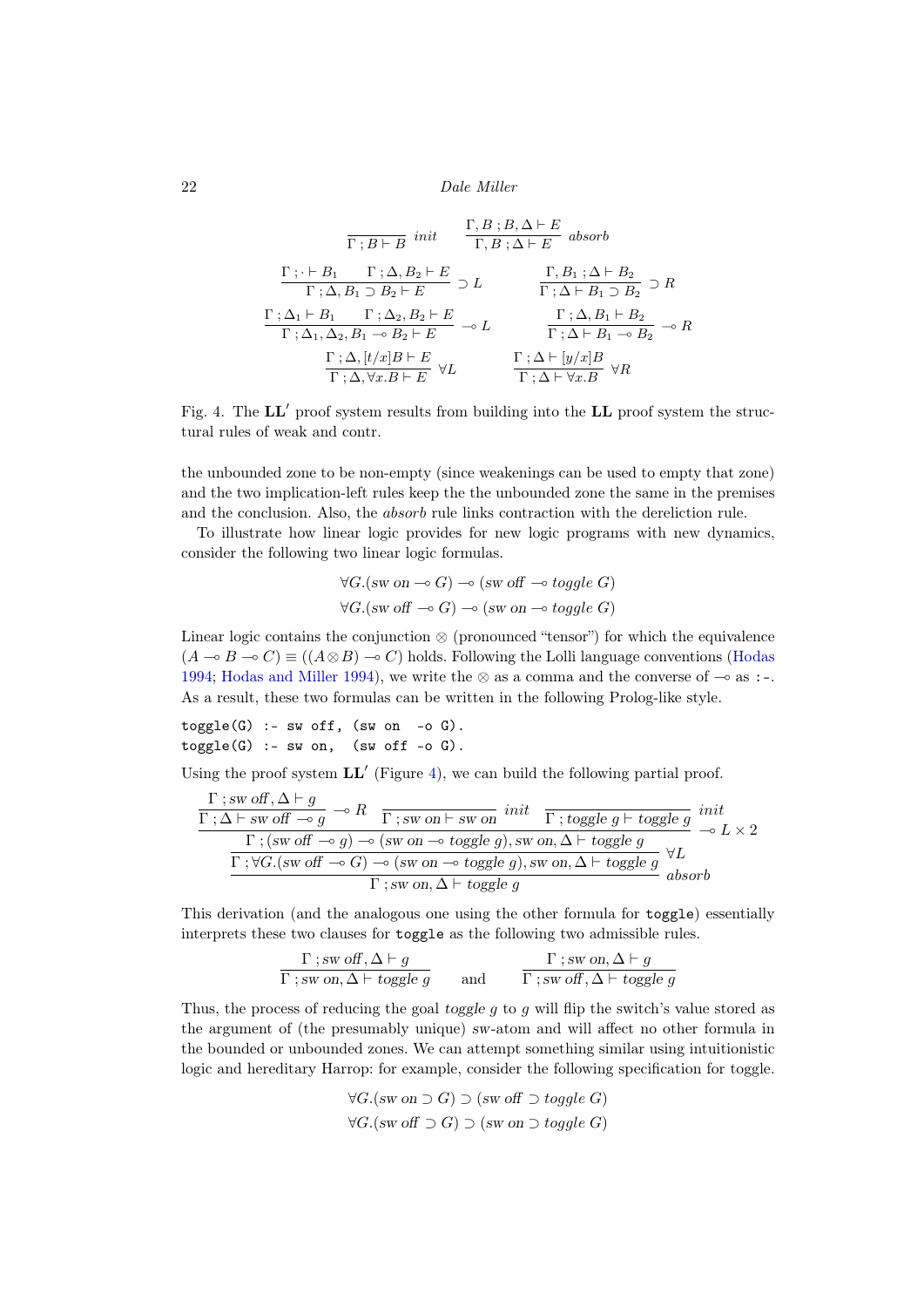$$
\frac{\Gamma; B : B \Delta \vdash E}{\Gamma; B \vdash B \text{ } init} \quad \frac{\Gamma, B : B, \Delta \vdash E}{\Gamma, B : \Delta \vdash E} \text{ absorb}
$$
\n
$$
\frac{\Gamma; \vdash B_1 \quad \Gamma; \Delta, B_2 \vdash E}{\Gamma; \Delta, B_1 \supset B_2 \vdash E} \supset L \quad \frac{\Gamma, B_1; \Delta \vdash B_2}{\Gamma; \Delta \vdash B_1 \supset B_2} \supset R
$$
\n
$$
\frac{\Gamma; \Delta_1 \vdash B_1 \quad \Gamma; \Delta_2, B_2 \vdash E}{\Gamma; \Delta_1, \Delta_2, B_1 \multimap B_2 \vdash E} \multimap L \quad \frac{\Gamma; \Delta, B_1 \vdash B_2}{\Gamma; \Delta \vdash B_1 \multimap B_2} \multimap R
$$
\n
$$
\frac{\Gamma; \Delta, [t/x]B \vdash E}{\Gamma; \Delta, \forall x.B \vdash E} \forall L \quad \frac{\Gamma; \Delta \vdash [y/x]B}{\Gamma; \Delta \vdash \forall x.B} \forall R
$$

<span id="page-21-0"></span>Fig. 4. The  $LL'$  proof system results from building into the  $LL$  proof system the structural rules of weak and contr.

the unbounded zone to be non-empty (since weakenings can be used to empty that zone) and the two implication-left rules keep the the unbounded zone the same in the premises and the conclusion. Also, the absorb rule links contraction with the dereliction rule.

To illustrate how linear logic provides for new logic programs with new dynamics, consider the following two linear logic formulas.

$$
\forall G. (sw on \neg o \ G) \neg o \ (sw \ off \neg o \ to g \)
$$
  

$$
\forall G. (sw \ off \neg o \ G) \neg o \ (sw \ on \neg o \ to g \) \in G)
$$

Linear logic contains the conjunction ⊗ (pronounced "tensor") for which the equivalence  $(A \rightarrow B \rightarrow C) \equiv ((A \otimes B) \rightarrow C)$  holds. Following the Lolli language conventions [\(Hodas](#page-39-12) [1994;](#page-39-12) [Hodas and Miller 1994\)](#page-39-9), we write the ⊗ as a comma and the converse of  $\sim$  as :-. As a result, these two formulas can be written in the following Prolog-like style.

 $toggle(G)$  :- sw off, (sw on -o G).  $toggle(G) :- sw on, (sw off -o G).$ 

Using the proof system  $LL'$  (Figure [4\)](#page-21-0), we can build the following partial proof.

$$
\frac{\Gamma \; ; \; \text{sw off}, \Delta \vdash g}{\Gamma \; ; \Delta \vdash \; \text{sw off} \; \multimap g} \multimap R \; \frac{\Gamma \; ; \; \text{sw on} \vdash \; \text{sw on} \; \text{init}}{\Gamma \; ; \; (\text{sw off} \multimap g) \multimap (\text{sw on} \multimap \text{toggle } g), \; \text{sw on}, \Delta \vdash \text{toggle } g} \multimap L \times 2
$$
\n
$$
\frac{\Gamma \; ; \; \forall G. (\text{sw off} \multimap G) \multimap (\text{sw on} \multimap \text{toggle } g), \text{sw on}, \Delta \vdash \text{toggle } g}{\Gamma \; ; \; \text{sw on}, \Delta \vdash \text{toggle } g}, \text{sw on} \Delta \vdash \text{toggle } g
$$

This derivation (and the analogous one using the other formula for toggle) essentially interprets these two clauses for toggle as the following two admissible rules.

$$
\frac{\Gamma \; ; \; sw \; off, \Delta \vdash g}{\Gamma \; ; \; sw \; on, \Delta \vdash \; together \; g} \qquad \text{and} \qquad \frac{\Gamma \; ; \; sw \; on, \Delta \vdash g}{\Gamma \; ; \; sw \; off, \Delta \vdash \; together \; g}
$$

Thus, the process of reducing the goal toggle  $g$  to  $g$  will flip the switch's value stored as the argument of (the presumably unique) sw-atom and will affect no other formula in the bounded or unbounded zones. We can attempt something similar using intuitionistic logic and hereditary Harrop: for example, consider the following specification for toggle.

$$
\forall G. (sw on \supset G) \supset (sw off \supset toggle G)
$$
  

$$
\forall G. (sw off \supset G) \supset (sw on \supset toggle G)
$$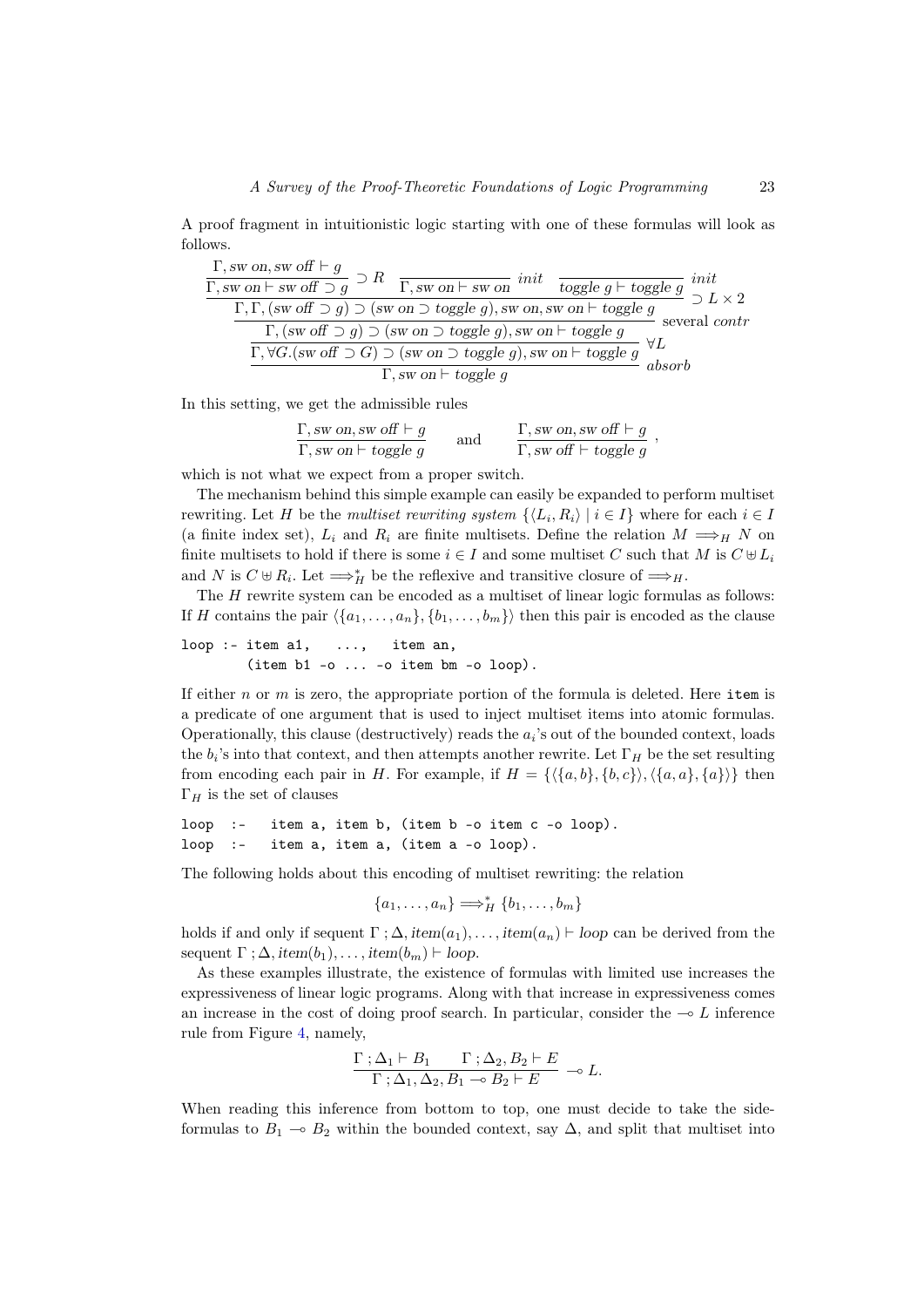A proof fragment in intuitionistic logic starting with one of these formulas will look as follows.

$$
\frac{\Gamma, \text{sw on, sw off }\vdash g}{\Gamma, \text{sw on }\vdash \text{sw off }\supset g} \supset R \quad \frac{\Gamma, \text{sw on }\vdash \text{sw on} \text{ } \text{ } init}{\Gamma, \text{sw on }\bigcirc \text{ toggle } g \vdash \text{ toggle } g} \quad \text{ } int
$$
\n
$$
\frac{\Gamma, \Gamma, (\text{sw off }\supset g) \supset (\text{sw on }\supset \text{ toggle } g), \text{sw on, sw on }\vdash \text{ toggle } g}{\Gamma, (\text{sw off }\supset g) \supset (\text{sw on }\supset \text{ toggle } g), \text{sw on }\vdash \text{ toggle } g} \quad \text{several contr}
$$
\n
$$
\frac{\Gamma, \forall G. (\text{sw off }\supset G) \supset (\text{sw on }\supset \text{ toggle } g), \text{sw on }\vdash \text{ toggle } g}{\Gamma, \text{sw on }\vdash \text{ toggle } g} \quad \text{absorb}
$$

In this setting, we get the admissible rules

$$
\frac{\Gamma, \text{sw on, sw off } \vdash g}{\Gamma, \text{sw on } \vdash \text{ toggle } g} \qquad \text{and} \qquad \frac{\Gamma, \text{sw on, sw off } \vdash g}{\Gamma, \text{sw off } \vdash \text{ toggle } g} \ ,
$$

which is not what we expect from a proper switch.

The mechanism behind this simple example can easily be expanded to perform multiset rewriting. Let H be the *multiset rewriting system*  $\{\langle L_i, R_i \rangle | i \in I\}$  where for each  $i \in I$ (a finite index set),  $L_i$  and  $R_i$  are finite multisets. Define the relation  $M \Longrightarrow_H N$  on finite multisets to hold if there is some  $i \in I$  and some multiset C such that M is  $C \oplus L_i$ and N is  $C \oplus R_i$ . Let  $\Longrightarrow_H^*$  be the reflexive and transitive closure of  $\Longrightarrow_H$ .

The  $H$  rewrite system can be encoded as a multiset of linear logic formulas as follows: If H contains the pair  $\langle \{a_1, \ldots, a_n\}, \{b_1, \ldots, b_m\} \rangle$  then this pair is encoded as the clause

 $loop :$ - item  $a1,$  ..., item an, (item b1 -o ... -o item bm -o loop).

If either  $n$  or  $m$  is zero, the appropriate portion of the formula is deleted. Here item is a predicate of one argument that is used to inject multiset items into atomic formulas. Operationally, this clause (destructively) reads the  $a_i$ 's out of the bounded context, loads the  $b_i$ 's into that context, and then attempts another rewrite. Let  $\Gamma_H$  be the set resulting from encoding each pair in H. For example, if  $H = \{\langle \{a, b\}, \{b, c\}\rangle, \langle \{a, a\}, \{a\}\rangle\}$  then  $\Gamma_H$  is the set of clauses

```
loop :- item a, item b, (item b -o item c -o loop).
loop :- item a, item a, (item a -o loop).
```
The following holds about this encoding of multiset rewriting: the relation

$$
\{a_1,\ldots,a_n\} \Longrightarrow_H^* \{b_1,\ldots,b_m\}
$$

holds if and only if sequent  $\Gamma$ ;  $\Delta$ , item $(a_1), \ldots$ , item $(a_n) \vdash$  loop can be derived from the sequent  $\Gamma$ ;  $\Delta$ , item $(b_1), \ldots$ , item $(b_m) \vdash loop$ .

As these examples illustrate, the existence of formulas with limited use increases the expressiveness of linear logic programs. Along with that increase in expressiveness comes an increase in the cost of doing proof search. In particular, consider the  $\sim L$  inference rule from Figure [4,](#page-21-0) namely,

$$
\frac{\Gamma \; ; \Delta_1 \vdash B_1 \quad \Gamma \; ; \Delta_2, B_2 \vdash E}{\Gamma \; ; \Delta_1, \Delta_2, B_1 \multimap B_2 \vdash E} \multimap L.
$$

When reading this inference from bottom to top, one must decide to take the sideformulas to  $B_1 \sim B_2$  within the bounded context, say  $\Delta$ , and split that multiset into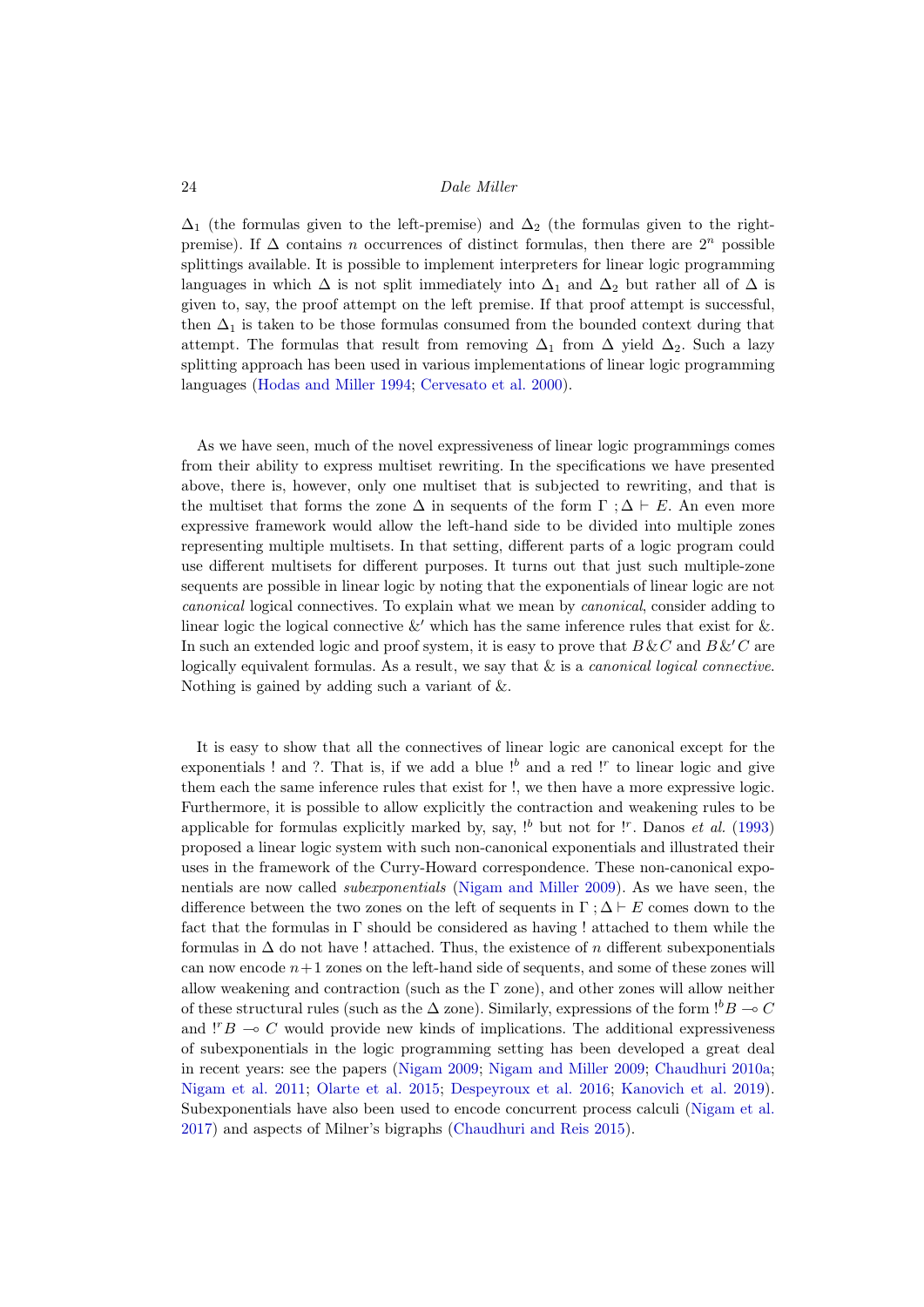$\Delta_1$  (the formulas given to the left-premise) and  $\Delta_2$  (the formulas given to the rightpremise). If  $\Delta$  contains *n* occurrences of distinct formulas, then there are  $2^n$  possible splittings available. It is possible to implement interpreters for linear logic programming languages in which  $\Delta$  is not split immediately into  $\Delta_1$  and  $\Delta_2$  but rather all of  $\Delta$  is given to, say, the proof attempt on the left premise. If that proof attempt is successful, then  $\Delta_1$  is taken to be those formulas consumed from the bounded context during that attempt. The formulas that result from removing  $\Delta_1$  from  $\Delta$  yield  $\Delta_2$ . Such a lazy splitting approach has been used in various implementations of linear logic programming languages [\(Hodas and Miller 1994;](#page-39-9) [Cervesato et al. 2000\)](#page-36-10).

As we have seen, much of the novel expressiveness of linear logic programmings comes from their ability to express multiset rewriting. In the specifications we have presented above, there is, however, only one multiset that is subjected to rewriting, and that is the multiset that forms the zone  $\Delta$  in sequents of the form  $\Gamma : \Delta \vdash E$ . An even more expressive framework would allow the left-hand side to be divided into multiple zones representing multiple multisets. In that setting, different parts of a logic program could use different multisets for different purposes. It turns out that just such multiple-zone sequents are possible in linear logic by noting that the exponentials of linear logic are not canonical logical connectives. To explain what we mean by canonical, consider adding to linear logic the logical connective  $\&'$  which has the same inference rules that exist for  $\&$ . In such an extended logic and proof system, it is easy to prove that  $B\&C$  and  $B\&C$  are logically equivalent formulas. As a result, we say that  $\&$  is a *canonical logical connective*. Nothing is gained by adding such a variant of &.

It is easy to show that all the connectives of linear logic are canonical except for the exponentials ! and ?. That is, if we add a blue  $!^b$  and a red  $!^r$  to linear logic and give them each the same inference rules that exist for !, we then have a more expressive logic. Furthermore, it is possible to allow explicitly the contraction and weakening rules to be applicable for formulas explicitly marked by, say,  $!^b$  but not for  $!^r$ . Danos *et al.* [\(1993\)](#page-37-7) proposed a linear logic system with such non-canonical exponentials and illustrated their uses in the framework of the Curry-Howard correspondence. These non-canonical exponentials are now called subexponentials [\(Nigam and Miller 2009\)](#page-43-13). As we have seen, the difference between the two zones on the left of sequents in  $\Gamma$ ;  $\Delta \vdash E$  comes down to the fact that the formulas in Γ should be considered as having ! attached to them while the formulas in  $\Delta$  do not have ! attached. Thus, the existence of n different subexponentials can now encode  $n+1$  zones on the left-hand side of sequents, and some of these zones will allow weakening and contraction (such as the  $\Gamma$  zone), and other zones will allow neither of these structural rules (such as the  $\Delta$  zone). Similarly, expressions of the form  $!^bB \sim C$ and  $\Gamma B \to C$  would provide new kinds of implications. The additional expressiveness of subexponentials in the logic programming setting has been developed a great deal in recent years: see the papers [\(Nigam 2009;](#page-43-14) [Nigam and Miller 2009;](#page-43-13) [Chaudhuri 2010a;](#page-36-11) [Nigam et al. 2011;](#page-43-15) [Olarte et al. 2015;](#page-43-16) [Despeyroux et al. 2016;](#page-37-8) [Kanovich et al. 2019\)](#page-40-13). Subexponentials have also been used to encode concurrent process calculi [\(Nigam et al.](#page-43-17) [2017\)](#page-43-17) and aspects of Milner's bigraphs [\(Chaudhuri and Reis 2015\)](#page-36-12).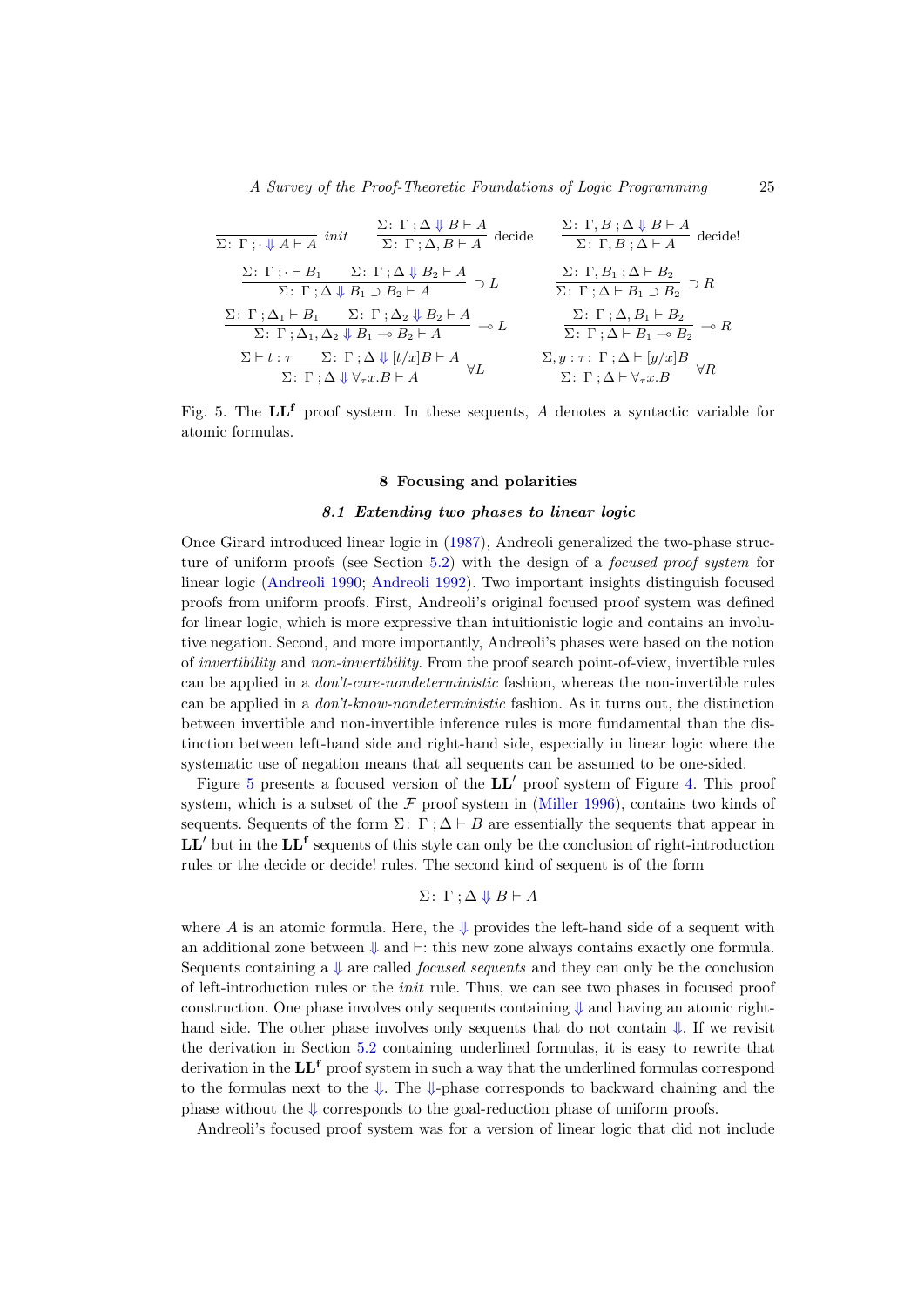$$
\frac{\Sigma: \Gamma: \Delta \Downarrow B \vdash A}{\Sigma: \Gamma: \cdot \Downarrow A \vdash A} \text{ init} \quad \frac{\Sigma: \Gamma: \Delta \Downarrow B \vdash A}{\Sigma: \Gamma: \Delta, B \vdash A} \text{ decide}
$$
\n
$$
\frac{\Sigma: \Gamma: \cdot \vdash B_1 \quad \Sigma: \Gamma: \Delta \Downarrow B_2 \vdash A}{\Sigma: \Gamma: B: \Delta \vdash A} \text{ decide!}
$$
\n
$$
\frac{\Sigma: \Gamma: \cdot \vdash B_1 \quad \Sigma: \Gamma: \Delta \Downarrow B_2 \vdash A}{\Sigma: \Gamma: \Delta \Downarrow B_1 \supset B_2 \vdash A} \supset L \quad \frac{\Sigma: \Gamma, B: \Delta \vdash B_2}{\Sigma: \Gamma: \Delta \vdash B_1 \supset B_2} \supset R
$$
\n
$$
\frac{\Sigma: \Gamma: \Delta_1 \vdash B_2}{\Sigma: \Gamma: \Delta_1, \Delta_2 \Downarrow B_1 \rightarrow B_2 \vdash A} \rightarrow L \quad \frac{\Sigma: \Gamma: \Delta, B_1 \vdash B_2}{\Sigma: \Gamma: \Delta \vdash B_1 \rightarrow B_2} \rightarrow R
$$
\n
$$
\frac{\Sigma \vdash t: \tau \quad \Sigma: \Gamma: \Delta \Downarrow [t/x]B \vdash A}{\Sigma: \Gamma: \Delta \Downarrow \forall \tau x. B \vdash A} \quad \forall L \quad \frac{\Sigma, y: \tau: \Gamma: \Delta \vdash [y/x]B}{\Sigma: \Gamma: \Delta \vdash \forall \tau x. B} \quad \forall R
$$

<span id="page-24-1"></span><span id="page-24-0"></span>Fig. 5. The  $LL^f$  proof system. In these sequents, A denotes a syntactic variable for atomic formulas.

# 8 Focusing and polarities

#### 8.1 Extending two phases to linear logic

Once Girard introduced linear logic in [\(1987\)](#page-38-0), Andreoli generalized the two-phase struc-ture of uniform proofs (see Section [5.2\)](#page-9-0) with the design of a *focused proof system* for linear logic [\(Andreoli 1990;](#page-34-5) [Andreoli 1992\)](#page-34-6). Two important insights distinguish focused proofs from uniform proofs. First, Andreoli's original focused proof system was defined for linear logic, which is more expressive than intuitionistic logic and contains an involutive negation. Second, and more importantly, Andreoli's phases were based on the notion of invertibility and non-invertibility. From the proof search point-of-view, invertible rules can be applied in a don't-care-nondeterministic fashion, whereas the non-invertible rules can be applied in a don't-know-nondeterministic fashion. As it turns out, the distinction between invertible and non-invertible inference rules is more fundamental than the distinction between left-hand side and right-hand side, especially in linear logic where the systematic use of negation means that all sequents can be assumed to be one-sided.

Figure [5](#page-24-1) presents a focused version of the  $LL'$  proof system of Figure [4.](#page-21-0) This proof system, which is a subset of the  $F$  proof system in [\(Miller 1996\)](#page-42-14), contains two kinds of sequents. Sequents of the form  $\Sigma: \Gamma: \Delta \vdash B$  are essentially the sequents that appear in  $LL'$  but in the  $LL^f$  sequents of this style can only be the conclusion of right-introduction rules or the decide or decide! rules. The second kind of sequent is of the form

$$
\Sigma: \Gamma: \Delta \Downarrow B \vdash A
$$

where A is an atomic formula. Here, the  $\downarrow$  provides the left-hand side of a sequent with an additional zone between  $\downarrow$  and  $\vdash$ : this new zone always contains exactly one formula. Sequents containing a  $\downarrow$  are called *focused sequents* and they can only be the conclusion of left-introduction rules or the init rule. Thus, we can see two phases in focused proof construction. One phase involves only sequents containing  $\downarrow$  and having an atomic righthand side. The other phase involves only sequents that do not contain  $\downarrow$ . If we revisit the derivation in Section [5.2](#page-9-0) containing underlined formulas, it is easy to rewrite that derivation in the  $\mathbf{L}\mathbf{L}^f$  proof system in such a way that the underlined formulas correspond to the formulas next to the  $\downarrow$ . The  $\downarrow$ -phase corresponds to backward chaining and the phase without the  $\Downarrow$  corresponds to the goal-reduction phase of uniform proofs.

Andreoli's focused proof system was for a version of linear logic that did not include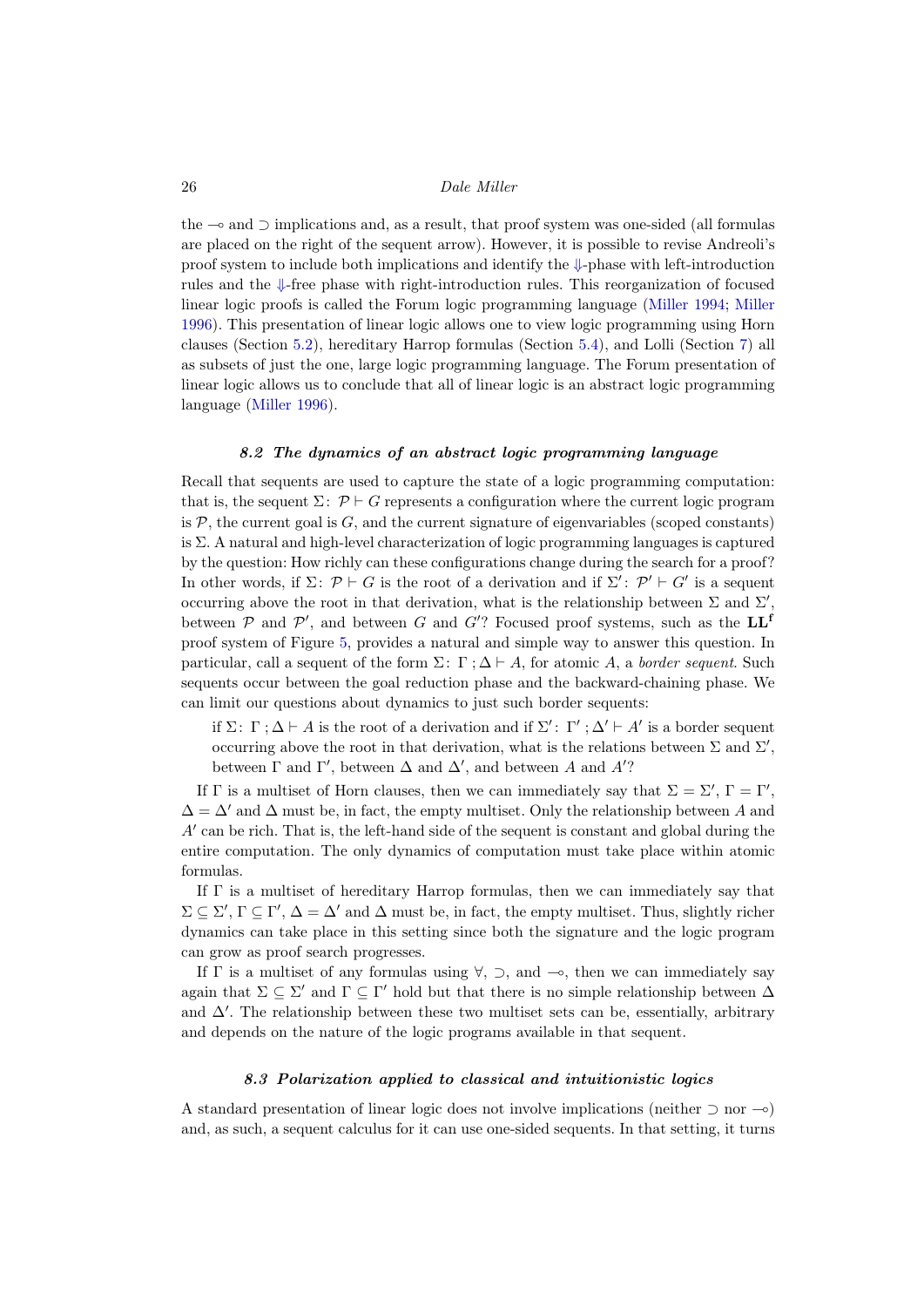the  $\sim$  and  $\supset$  implications and, as a result, that proof system was one-sided (all formulas are placed on the right of the sequent arrow). However, it is possible to revise Andreoli's proof system to include both implications and identify the ⇓-phase with left-introduction rules and the ⇓-free phase with right-introduction rules. This reorganization of focused linear logic proofs is called the Forum logic programming language [\(Miller 1994;](#page-42-16) [Miller](#page-42-14) [1996\)](#page-42-14). This presentation of linear logic allows one to view logic programming using Horn clauses (Section [5.2\)](#page-9-0), hereditary Harrop formulas (Section [5.4\)](#page-12-0), and Lolli (Section [7\)](#page-18-0) all as subsets of just the one, large logic programming language. The Forum presentation of linear logic allows us to conclude that all of linear logic is an abstract logic programming language [\(Miller 1996\)](#page-42-14).

# 8.2 The dynamics of an abstract logic programming language

Recall that sequents are used to capture the state of a logic programming computation: that is, the sequent  $\Sigma: \mathcal{P} \vdash G$  represents a configuration where the current logic program is  $P$ , the current goal is  $G$ , and the current signature of eigenvariables (scoped constants) is Σ. A natural and high-level characterization of logic programming languages is captured by the question: How richly can these configurations change during the search for a proof? In other words, if  $\Sigma: \mathcal{P} \vdash G$  is the root of a derivation and if  $\Sigma': \mathcal{P}' \vdash G'$  is a sequent occurring above the root in that derivation, what is the relationship between  $\Sigma$  and  $\Sigma'$ , between  $P$  and  $P'$ , and between G and G'? Focused proof systems, such as the  $LL<sup>f</sup>$ proof system of Figure [5,](#page-24-1) provides a natural and simple way to answer this question. In particular, call a sequent of the form  $\Sigma: \Gamma: \Delta \vdash A$ , for atomic A, a border sequent. Such sequents occur between the goal reduction phase and the backward-chaining phase. We can limit our questions about dynamics to just such border sequents:

if  $\Sigma: \Gamma: \Delta \vdash A$  is the root of a derivation and if  $\Sigma': \Gamma': \Delta' \vdash A'$  is a border sequent occurring above the root in that derivation, what is the relations between  $\Sigma$  and  $\Sigma'$ , between  $\Gamma$  and  $\Gamma'$ , between  $\Delta$  and  $\Delta'$ , and between A and  $A'$ ?

If  $\Gamma$  is a multiset of Horn clauses, then we can immediately say that  $\Sigma = \Sigma'$ ,  $\Gamma = \Gamma'$ ,  $\Delta = \Delta'$  and  $\Delta$  must be, in fact, the empty multiset. Only the relationship between A and  $A'$  can be rich. That is, the left-hand side of the sequent is constant and global during the entire computation. The only dynamics of computation must take place within atomic formulas.

If  $\Gamma$  is a multiset of hereditary Harrop formulas, then we can immediately say that  $\Sigma \subseteq \Sigma'$ ,  $\Gamma \subseteq \Gamma'$ ,  $\Delta = \Delta'$  and  $\Delta$  must be, in fact, the empty multiset. Thus, slightly richer dynamics can take place in this setting since both the signature and the logic program can grow as proof search progresses.

If  $\Gamma$  is a multiset of any formulas using  $\forall$ ,  $\supset$ , and  $\multimap$ , then we can immediately say again that  $\Sigma \subseteq \Sigma'$  and  $\Gamma \subseteq \Gamma'$  hold but that there is no simple relationship between  $\Delta$ and  $\Delta'$ . The relationship between these two multiset sets can be, essentially, arbitrary and depends on the nature of the logic programs available in that sequent.

# 8.3 Polarization applied to classical and intuitionistic logics

A standard presentation of linear logic does not involve implications (neither  $\supset$  nor  $-\circ$ ) and, as such, a sequent calculus for it can use one-sided sequents. In that setting, it turns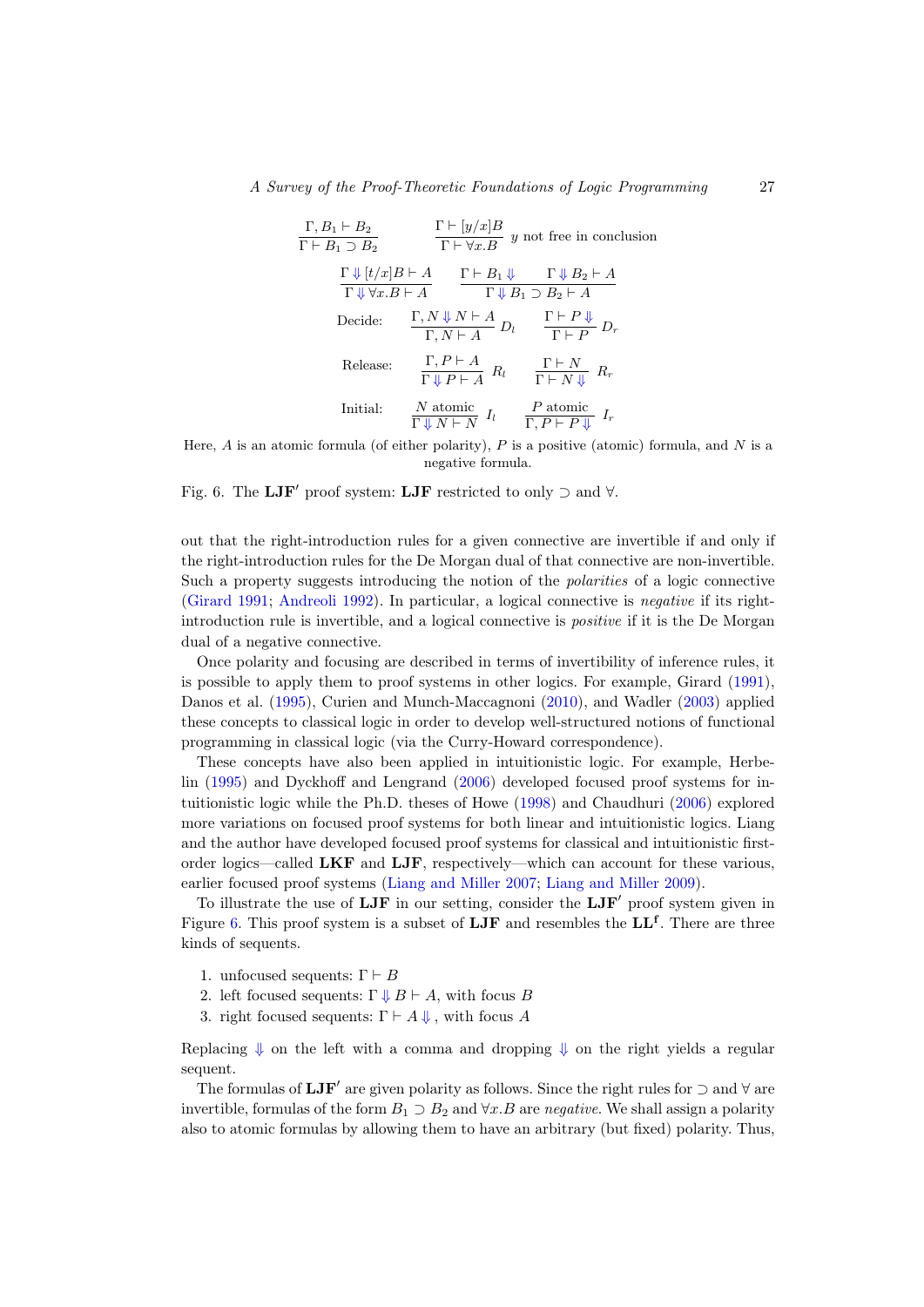| $\Gamma, B_1 \vdash B_2$                 | $\Gamma \vdash [y/x]B$                                      | $y$ not free in conclusion                        |                   |
|------------------------------------------|-------------------------------------------------------------|---------------------------------------------------|-------------------|
| $\Gamma \Downarrow [t/x]B \vdash A$      | $\Gamma \vdash B_1 \Downarrow$                              | $\Gamma \Downarrow B_2 \vdash A$                  |                   |
| $\Gamma \Downarrow \forall x.B \vdash A$ | $\Gamma \vdash B_1 \Downarrow$                              | $\Gamma \Downarrow B_2 \vdash A$                  |                   |
| Decide:                                  | $\Gamma, N \Downarrow N \vdash A$                           | $\Gamma \vdash P \Downarrow$                      |                   |
| Decide:                                  | $\Gamma, N \vdash A$                                        | $\Gamma \vdash P \Downarrow$                      |                   |
| Release:                                 | $\Gamma, P \vdash A$                                        | $R_l$                                             | $\Gamma \vdash N$ |
| Initial:                                 | $\frac{N \text{ atomic}}{\Gamma \Downarrow N \vdash N} I_l$ | $\frac{P \text{ atomic}}{\Gamma, P \vdash P} I_r$ |                   |

Here,  $A$  is an atomic formula (of either polarity),  $P$  is a positive (atomic) formula, and  $N$  is a negative formula.

<span id="page-26-0"></span>Fig. 6. The LJF' proof system: LJF restricted to only  $\supset$  and  $\forall$ .

out that the right-introduction rules for a given connective are invertible if and only if the right-introduction rules for the De Morgan dual of that connective are non-invertible. Such a property suggests introducing the notion of the polarities of a logic connective [\(Girard 1991;](#page-38-9) [Andreoli 1992\)](#page-34-6). In particular, a logical connective is negative if its rightintroduction rule is invertible, and a logical connective is *positive* if it is the De Morgan dual of a negative connective.

Once polarity and focusing are described in terms of invertibility of inference rules, it is possible to apply them to proof systems in other logics. For example, Girard [\(1991\)](#page-38-9), Danos et al. [\(1995\)](#page-37-9), Curien and Munch-Maccagnoni [\(2010\)](#page-37-10), and Wadler [\(2003\)](#page-45-10) applied these concepts to classical logic in order to develop well-structured notions of functional programming in classical logic (via the Curry-Howard correspondence).

These concepts have also been applied in intuitionistic logic. For example, Herbelin [\(1995\)](#page-39-13) and Dyckhoff and Lengrand [\(2006\)](#page-37-11) developed focused proof systems for intuitionistic logic while the Ph.D. theses of Howe [\(1998\)](#page-40-14) and Chaudhuri [\(2006\)](#page-36-13) explored more variations on focused proof systems for both linear and intuitionistic logics. Liang and the author have developed focused proof systems for classical and intuitionistic firstorder logics—called LKF and LJF, respectively—which can account for these various, earlier focused proof systems [\(Liang and Miller 2007;](#page-40-15) [Liang and Miller 2009\)](#page-40-16).

To illustrate the use of  $LJF$  in our setting, consider the  $LJF'$  proof system given in Figure [6.](#page-26-0) This proof system is a subset of  $LJF$  and resembles the  $LL^f$ . There are three kinds of sequents.

- 1. unfocused sequents:  $\Gamma \vdash B$
- 2. left focused sequents:  $\Gamma \downarrow B \vdash A$ , with focus B
- 3. right focused sequents:  $\Gamma \vdash A \Downarrow$ , with focus A

Replacing  $\Downarrow$  on the left with a comma and dropping  $\Downarrow$  on the right yields a regular sequent.

The formulas of  $\mathbf{LJF}'$  are given polarity as follows. Since the right rules for  $\supset$  and  $\forall$  are invertible, formulas of the form  $B_1 \supset B_2$  and  $\forall x.B$  are negative. We shall assign a polarity also to atomic formulas by allowing them to have an arbitrary (but fixed) polarity. Thus,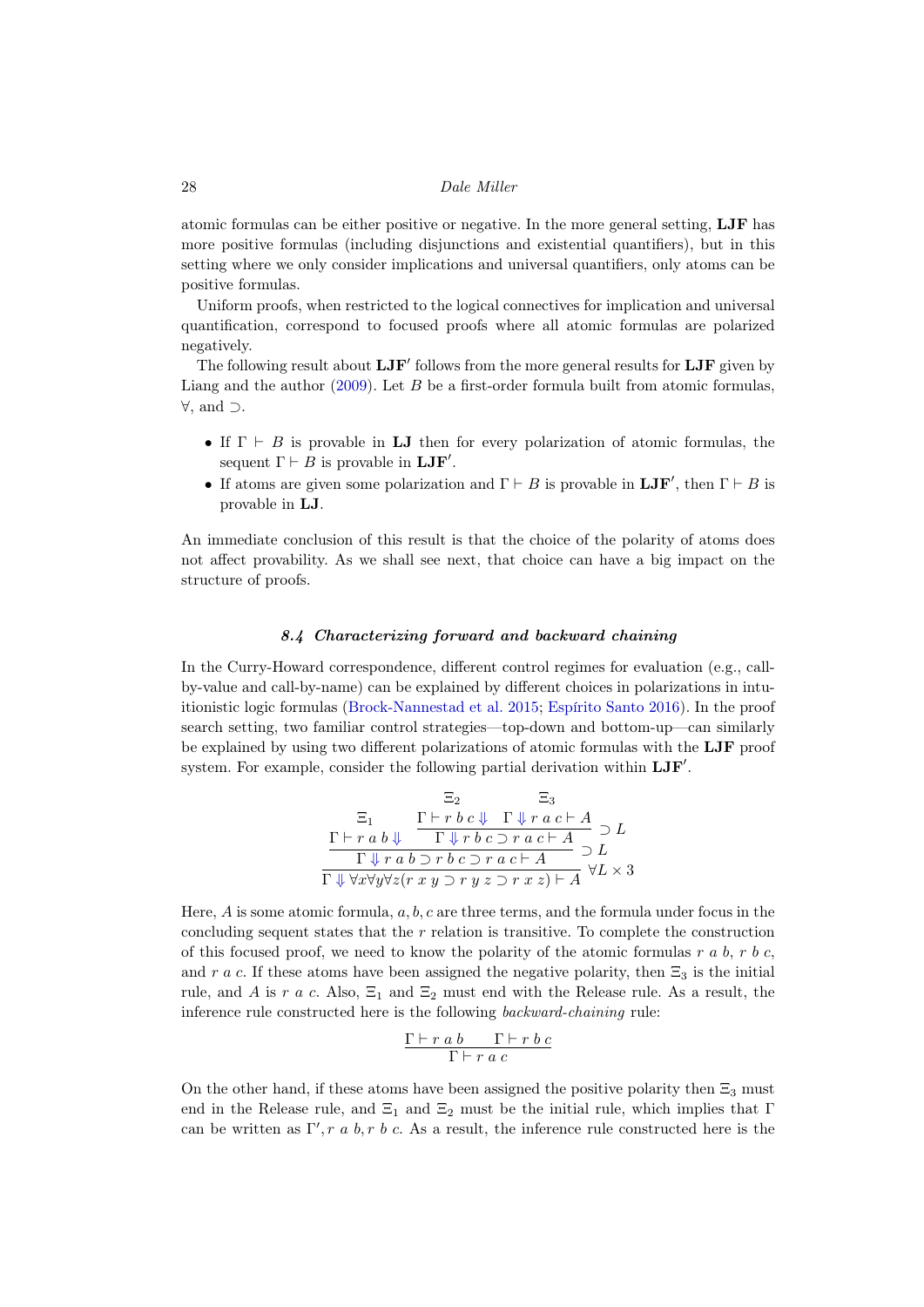atomic formulas can be either positive or negative. In the more general setting, LJF has more positive formulas (including disjunctions and existential quantifiers), but in this setting where we only consider implications and universal quantifiers, only atoms can be positive formulas.

Uniform proofs, when restricted to the logical connectives for implication and universal quantification, correspond to focused proofs where all atomic formulas are polarized negatively.

The following result about  $LJF'$  follows from the more general results for  $LJF$  given by Liang and the author  $(2009)$ . Let B be a first-order formula built from atomic formulas, ∀, and ⊃.

- If  $\Gamma \vdash B$  is provable in LJ then for every polarization of atomic formulas, the sequent  $\Gamma \vdash B$  is provable in  $\mathbf{LJF}'$ .
- If atoms are given some polarization and  $\Gamma \vdash B$  is provable in  $\mathbf{LJF}'$ , then  $\Gamma \vdash B$  is provable in LJ.

An immediate conclusion of this result is that the choice of the polarity of atoms does not affect provability. As we shall see next, that choice can have a big impact on the structure of proofs.

# 8.4 Characterizing forward and backward chaining

<span id="page-27-0"></span>In the Curry-Howard correspondence, different control regimes for evaluation (e.g., callby-value and call-by-name) can be explained by different choices in polarizations in intuitionistic logic formulas [\(Brock-Nannestad et al. 2015;](#page-35-13) [Espírito Santo 2016\)](#page-37-12). In the proof search setting, two familiar control strategies—top-down and bottom-up—can similarly be explained by using two different polarizations of atomic formulas with the LJF proof system. For example, consider the following partial derivation within  $LJF'$ .

$$
\frac{\Xi_2}{\Gamma \vdash r \ b \ c \Downarrow \ \Gamma \Downarrow r \ a \ c \vdash A} \supseteq L
$$
\n
$$
\frac{\Gamma \vdash r \ b \ c \Downarrow \ \Gamma \Downarrow r \ a \ c \vdash A}{\Gamma \Downarrow r \ b \ c \supset r \ a \ c \vdash A} \supseteq L
$$
\n
$$
\frac{\Gamma \vdash r \ a \ b \supset r \ b \ c \supset r \ a \ c \vdash A}{\Gamma \Downarrow r \ a \ b \supset r \ b \ c \supset r \ a \ c \vdash A} \ \forall L \times 3
$$

Here,  $A$  is some atomic formula,  $a, b, c$  are three terms, and the formula under focus in the concluding sequent states that the  $r$  relation is transitive. To complete the construction of this focused proof, we need to know the polarity of the atomic formulas  $r a b, r b c$ , and r a c. If these atoms have been assigned the negative polarity, then  $\Xi_3$  is the initial rule, and A is r a c. Also,  $\Xi_1$  and  $\Xi_2$  must end with the Release rule. As a result, the inference rule constructed here is the following backward-chaining rule:

$$
\frac{\Gamma\vdash r\; a\; b\qquad \Gamma\vdash r\; b\; c}{\Gamma\vdash r\; a\; c}
$$

On the other hand, if these atoms have been assigned the positive polarity then  $\Xi_3$  must end in the Release rule, and  $\Xi_1$  and  $\Xi_2$  must be the initial rule, which implies that  $\Gamma$ can be written as  $\Gamma', r, a, b, r, b, c$ . As a result, the inference rule constructed here is the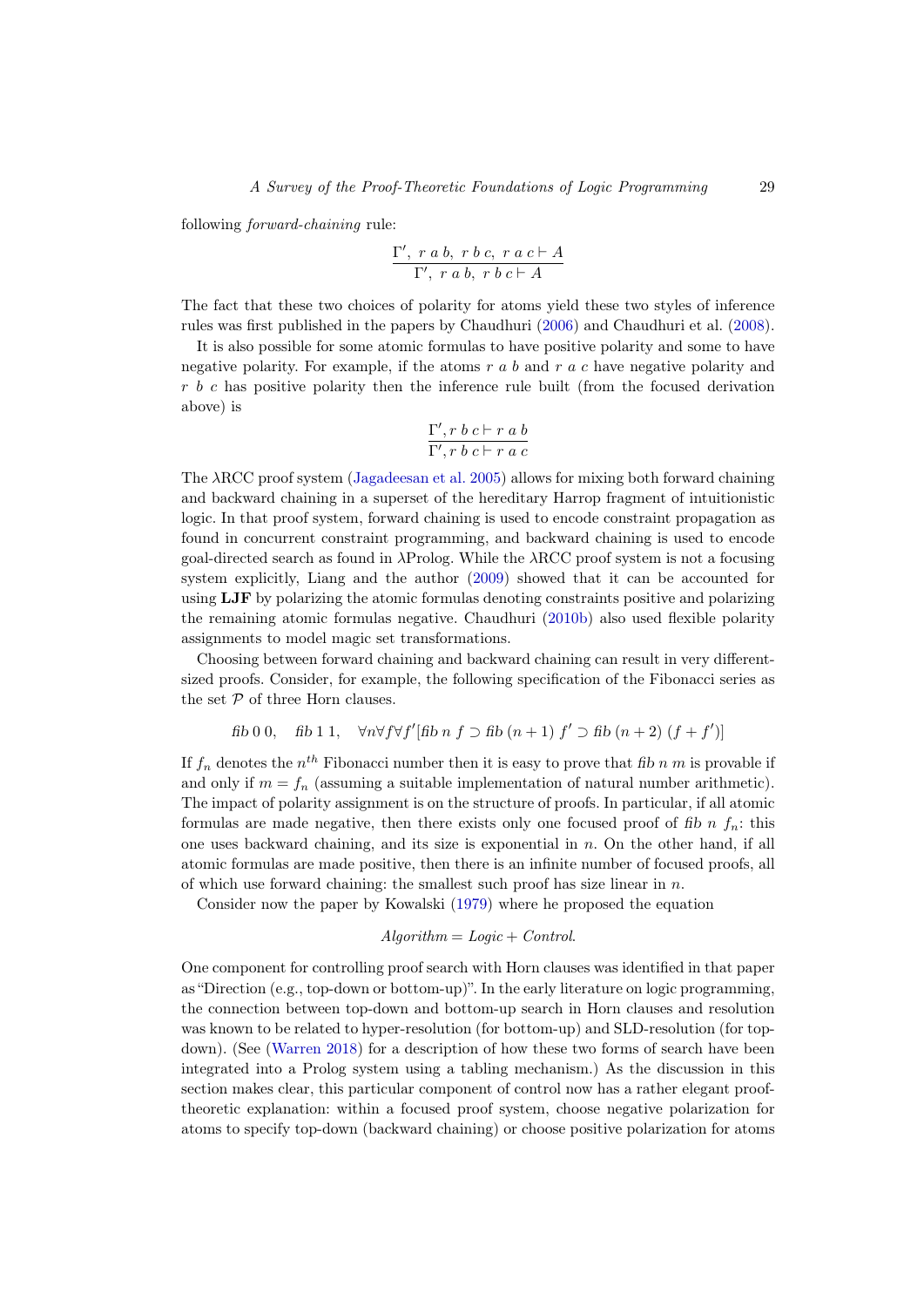following forward-chaining rule:

$$
\frac{\Gamma',\ r\ a\ b,\ r\ b\ c,\ r\ a\ c\vdash A}{\Gamma',\ r\ a\ b,\ r\ b\ c\vdash A}
$$

The fact that these two choices of polarity for atoms yield these two styles of inference rules was first published in the papers by Chaudhuri [\(2006\)](#page-36-13) and Chaudhuri et al. [\(2008\)](#page-36-14).

It is also possible for some atomic formulas to have positive polarity and some to have negative polarity. For example, if the atoms  $r a b$  and  $r a c$  have negative polarity and r b c has positive polarity then the inference rule built (from the focused derivation above) is

$$
\frac{\Gamma', r\; b\; c\vdash r\; a\; b}{\Gamma', r\; b\; c\vdash r\; a\; c}
$$

The λRCC proof system [\(Jagadeesan et al. 2005\)](#page-40-17) allows for mixing both forward chaining and backward chaining in a superset of the hereditary Harrop fragment of intuitionistic logic. In that proof system, forward chaining is used to encode constraint propagation as found in concurrent constraint programming, and backward chaining is used to encode goal-directed search as found in λProlog. While the λRCC proof system is not a focusing system explicitly, Liang and the author [\(2009\)](#page-40-16) showed that it can be accounted for using LJF by polarizing the atomic formulas denoting constraints positive and polarizing the remaining atomic formulas negative. Chaudhuri [\(2010b\)](#page-36-15) also used flexible polarity assignments to model magic set transformations.

Choosing between forward chaining and backward chaining can result in very differentsized proofs. Consider, for example, the following specification of the Fibonacci series as the set  $P$  of three Horn clauses.

fib 0 0, fib 1 1, 
$$
\forall n \forall f \forall f' [f \text{fib } n \text{ f } \supset f \text{fib } (n+1) \text{ f'} \supset f \text{fib } (n+2) \text{ (f + f')}]
$$

If  $f_n$  denotes the  $n^{th}$  Fibonacci number then it is easy to prove that fib n m is provable if and only if  $m = f_n$  (assuming a suitable implementation of natural number arithmetic). The impact of polarity assignment is on the structure of proofs. In particular, if all atomic formulas are made negative, then there exists only one focused proof of fib n  $f_n$ : this one uses backward chaining, and its size is exponential in  $n$ . On the other hand, if all atomic formulas are made positive, then there is an infinite number of focused proofs, all of which use forward chaining: the smallest such proof has size linear in  $n$ .

Consider now the paper by Kowalski [\(1979\)](#page-40-18) where he proposed the equation

#### $Algorithm = Logic + Control$ .

One component for controlling proof search with Horn clauses was identified in that paper as "Direction (e.g., top-down or bottom-up)". In the early literature on logic programming, the connection between top-down and bottom-up search in Horn clauses and resolution was known to be related to hyper-resolution (for bottom-up) and SLD-resolution (for topdown). (See [\(Warren 2018\)](#page-45-11) for a description of how these two forms of search have been integrated into a Prolog system using a tabling mechanism.) As the discussion in this section makes clear, this particular component of control now has a rather elegant prooftheoretic explanation: within a focused proof system, choose negative polarization for atoms to specify top-down (backward chaining) or choose positive polarization for atoms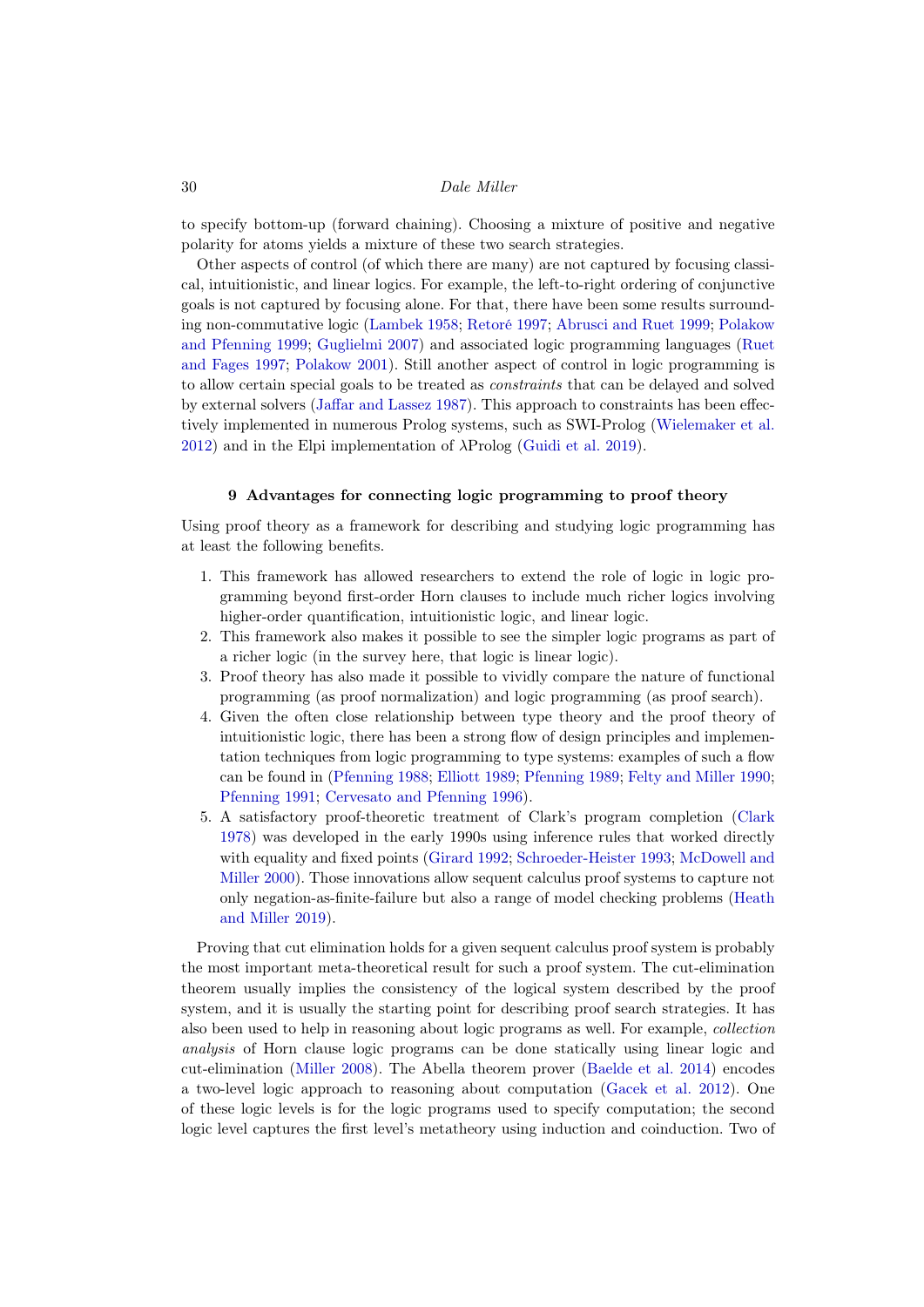to specify bottom-up (forward chaining). Choosing a mixture of positive and negative polarity for atoms yields a mixture of these two search strategies.

Other aspects of control (of which there are many) are not captured by focusing classical, intuitionistic, and linear logics. For example, the left-to-right ordering of conjunctive goals is not captured by focusing alone. For that, there have been some results surrounding non-commutative logic [\(Lambek 1958;](#page-40-6) [Retoré 1997;](#page-44-11) [Abrusci and Ruet 1999;](#page-34-7) [Polakow](#page-44-12) [and Pfenning 1999;](#page-44-12) [Guglielmi 2007\)](#page-39-14) and associated logic programming languages [\(Ruet](#page-44-10) [and Fages 1997;](#page-44-10) [Polakow 2001\)](#page-44-13). Still another aspect of control in logic programming is to allow certain special goals to be treated as constraints that can be delayed and solved by external solvers [\(Jaffar and Lassez 1987\)](#page-40-1). This approach to constraints has been effectively implemented in numerous Prolog systems, such as SWI-Prolog [\(Wielemaker et al.](#page-46-1) [2012\)](#page-46-1) and in the Elpi implementation of  $\lambda \text{Prolog}$  [\(Guidi et al. 2019\)](#page-39-15).

#### 9 Advantages for connecting logic programming to proof theory

<span id="page-29-0"></span>Using proof theory as a framework for describing and studying logic programming has at least the following benefits.

- 1. This framework has allowed researchers to extend the role of logic in logic programming beyond first-order Horn clauses to include much richer logics involving higher-order quantification, intuitionistic logic, and linear logic.
- 2. This framework also makes it possible to see the simpler logic programs as part of a richer logic (in the survey here, that logic is linear logic).
- 3. Proof theory has also made it possible to vividly compare the nature of functional programming (as proof normalization) and logic programming (as proof search).
- 4. Given the often close relationship between type theory and the proof theory of intuitionistic logic, there has been a strong flow of design principles and implementation techniques from logic programming to type systems: examples of such a flow can be found in [\(Pfenning 1988;](#page-44-14) [Elliott 1989;](#page-37-13) [Pfenning 1989;](#page-44-2) [Felty and Miller 1990;](#page-38-10) [Pfenning 1991;](#page-44-15) [Cervesato and Pfenning 1996\)](#page-36-16).
- 5. A satisfactory proof-theoretic treatment of Clark's program completion [\(Clark](#page-36-0) [1978\)](#page-36-0) was developed in the early 1990s using inference rules that worked directly with equality and fixed points [\(Girard 1992;](#page-38-11) [Schroeder-Heister 1993;](#page-44-16) [McDowell and](#page-41-13) [Miller 2000\)](#page-41-13). Those innovations allow sequent calculus proof systems to capture not only negation-as-finite-failure but also a range of model checking problems [\(Heath](#page-39-16) [and Miller 2019\)](#page-39-16).

Proving that cut elimination holds for a given sequent calculus proof system is probably the most important meta-theoretical result for such a proof system. The cut-elimination theorem usually implies the consistency of the logical system described by the proof system, and it is usually the starting point for describing proof search strategies. It has also been used to help in reasoning about logic programs as well. For example, collection analysis of Horn clause logic programs can be done statically using linear logic and cut-elimination [\(Miller 2008\)](#page-42-17). The Abella theorem prover [\(Baelde et al. 2014\)](#page-35-14) encodes a two-level logic approach to reasoning about computation [\(Gacek et al. 2012\)](#page-38-12). One of these logic levels is for the logic programs used to specify computation; the second logic level captures the first level's metatheory using induction and coinduction. Two of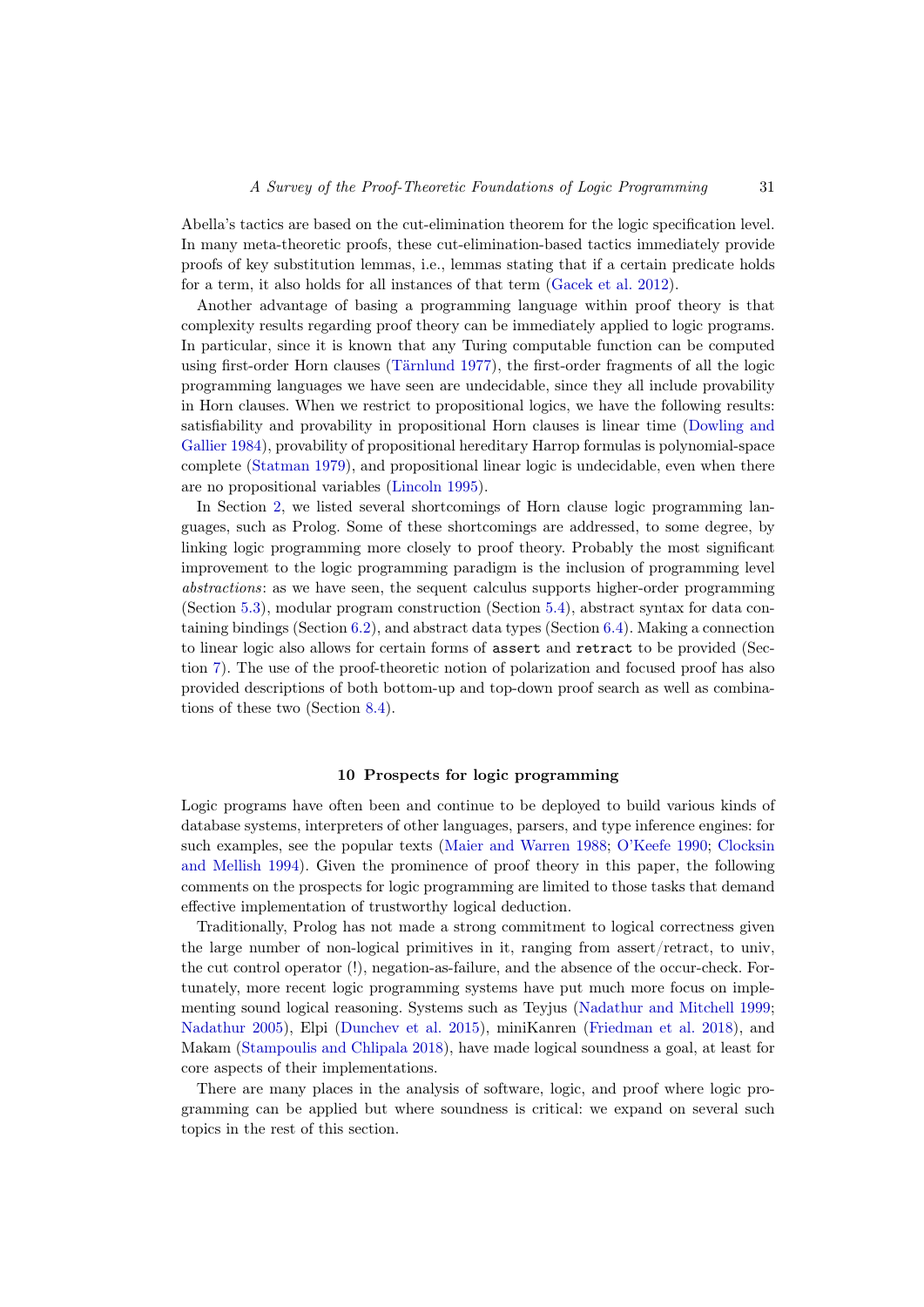Abella's tactics are based on the cut-elimination theorem for the logic specification level. In many meta-theoretic proofs, these cut-elimination-based tactics immediately provide proofs of key substitution lemmas, i.e., lemmas stating that if a certain predicate holds for a term, it also holds for all instances of that term [\(Gacek et al. 2012\)](#page-38-12).

Another advantage of basing a programming language within proof theory is that complexity results regarding proof theory can be immediately applied to logic programs. In particular, since it is known that any Turing computable function can be computed using first-order Horn clauses [\(Tärnlund 1977\)](#page-45-1), the first-order fragments of all the logic programming languages we have seen are undecidable, since they all include provability in Horn clauses. When we restrict to propositional logics, we have the following results: satisfiability and provability in propositional Horn clauses is linear time [\(Dowling and](#page-37-14) [Gallier 1984\)](#page-37-14), provability of propositional hereditary Harrop formulas is polynomial-space complete [\(Statman 1979\)](#page-45-12), and propositional linear logic is undecidable, even when there are no propositional variables [\(Lincoln 1995\)](#page-41-14).

In Section [2,](#page-1-0) we listed several shortcomings of Horn clause logic programming languages, such as Prolog. Some of these shortcomings are addressed, to some degree, by linking logic programming more closely to proof theory. Probably the most significant improvement to the logic programming paradigm is the inclusion of programming level abstractions: as we have seen, the sequent calculus supports higher-order programming (Section [5.3\)](#page-11-0), modular program construction (Section [5.4\)](#page-12-0), abstract syntax for data containing bindings (Section [6.2\)](#page-14-0), and abstract data types (Section [6.4\)](#page-17-0). Making a connection to linear logic also allows for certain forms of assert and retract to be provided (Section [7\)](#page-18-0). The use of the proof-theoretic notion of polarization and focused proof has also provided descriptions of both bottom-up and top-down proof search as well as combinations of these two (Section [8.4\)](#page-27-0).

# 10 Prospects for logic programming

<span id="page-30-0"></span>Logic programs have often been and continue to be deployed to build various kinds of database systems, interpreters of other languages, parsers, and type inference engines: for such examples, see the popular texts [\(Maier and Warren 1988;](#page-41-15) [O'Keefe 1990;](#page-43-18) [Clocksin](#page-36-8) [and Mellish 1994\)](#page-36-8). Given the prominence of proof theory in this paper, the following comments on the prospects for logic programming are limited to those tasks that demand effective implementation of trustworthy logical deduction.

Traditionally, Prolog has not made a strong commitment to logical correctness given the large number of non-logical primitives in it, ranging from assert/retract, to univ, the cut control operator (!), negation-as-failure, and the absence of the occur-check. Fortunately, more recent logic programming systems have put much more focus on implementing sound logical reasoning. Systems such as Teyjus [\(Nadathur and Mitchell 1999;](#page-43-19) [Nadathur 2005\)](#page-43-20), Elpi [\(Dunchev et al. 2015\)](#page-37-4), miniKanren [\(Friedman et al. 2018\)](#page-38-13), and Makam [\(Stampoulis and Chlipala 2018\)](#page-45-13), have made logical soundness a goal, at least for core aspects of their implementations.

There are many places in the analysis of software, logic, and proof where logic programming can be applied but where soundness is critical: we expand on several such topics in the rest of this section.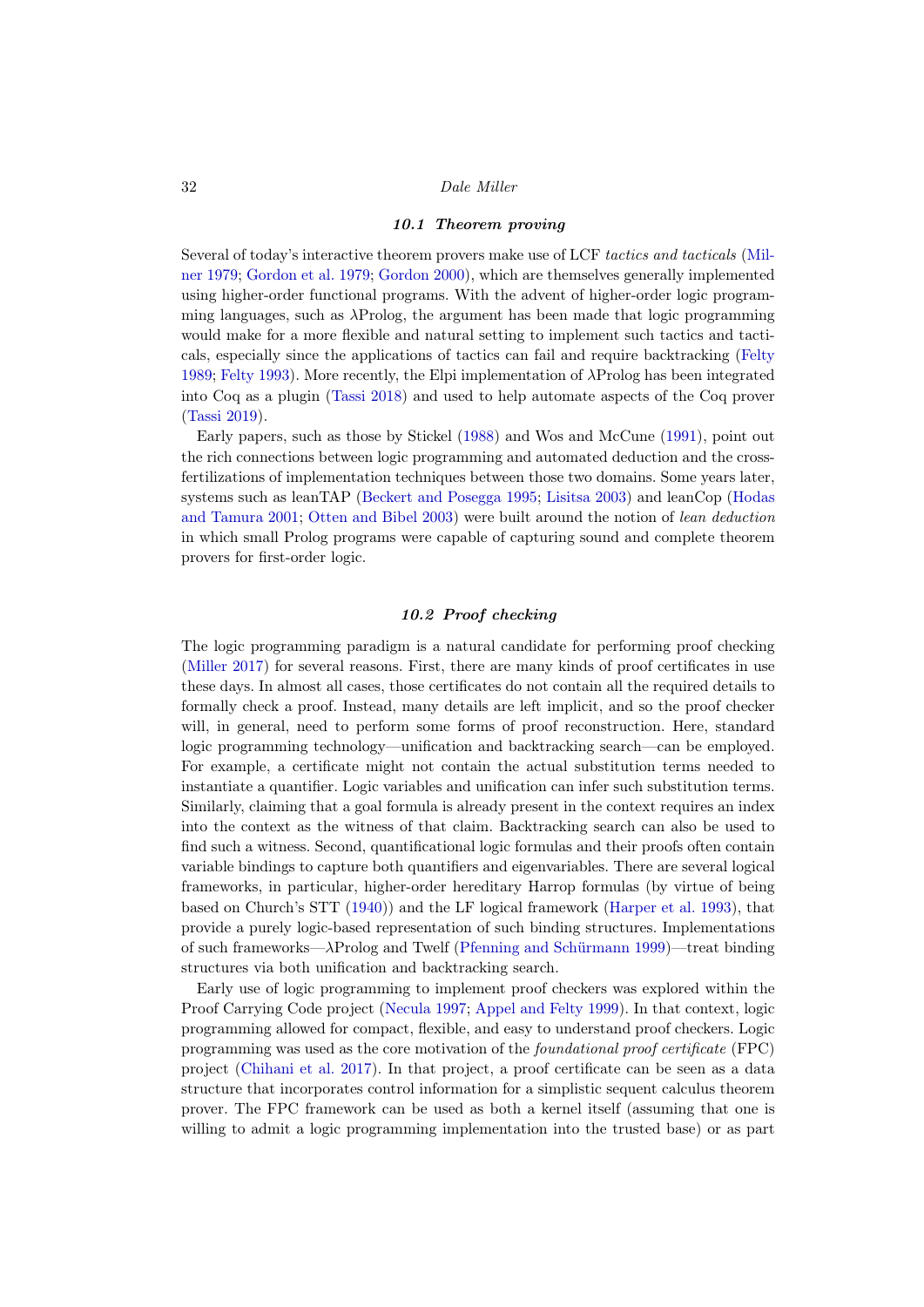# 10.1 Theorem proving

Several of today's interactive theorem provers make use of LCF tactics and tacticals [\(Mil](#page-42-18)[ner 1979;](#page-42-18) [Gordon et al. 1979;](#page-38-14) [Gordon 2000\)](#page-38-15), which are themselves generally implemented using higher-order functional programs. With the advent of higher-order logic programming languages, such as  $\lambda \text{Prolog}$ , the argument has been made that logic programming would make for a more flexible and natural setting to implement such tactics and tacticals, especially since the applications of tactics can fail and require backtracking [\(Felty](#page-38-16) [1989;](#page-38-16) [Felty 1993\)](#page-38-17). More recently, the Elpi implementation of λProlog has been integrated into Coq as a plugin [\(Tassi 2018\)](#page-45-14) and used to help automate aspects of the Coq prover [\(Tassi 2019\)](#page-45-15).

Early papers, such as those by Stickel [\(1988\)](#page-45-16) and Wos and McCune [\(1991\)](#page-46-2), point out the rich connections between logic programming and automated deduction and the crossfertilizations of implementation techniques between those two domains. Some years later, systems such as leanTAP [\(Beckert and Posegga 1995;](#page-35-15) [Lisitsa 2003\)](#page-41-16) and leanCop [\(Hodas](#page-39-17) [and Tamura 2001;](#page-39-17) [Otten and Bibel 2003\)](#page-43-21) were built around the notion of lean deduction in which small Prolog programs were capable of capturing sound and complete theorem provers for first-order logic.

# 10.2 Proof checking

The logic programming paradigm is a natural candidate for performing proof checking [\(Miller 2017\)](#page-42-19) for several reasons. First, there are many kinds of proof certificates in use these days. In almost all cases, those certificates do not contain all the required details to formally check a proof. Instead, many details are left implicit, and so the proof checker will, in general, need to perform some forms of proof reconstruction. Here, standard logic programming technology—unification and backtracking search—can be employed. For example, a certificate might not contain the actual substitution terms needed to instantiate a quantifier. Logic variables and unification can infer such substitution terms. Similarly, claiming that a goal formula is already present in the context requires an index into the context as the witness of that claim. Backtracking search can also be used to find such a witness. Second, quantificational logic formulas and their proofs often contain variable bindings to capture both quantifiers and eigenvariables. There are several logical frameworks, in particular, higher-order hereditary Harrop formulas (by virtue of being based on Church's STT [\(1940\)](#page-36-5)) and the LF logical framework [\(Harper et al. 1993\)](#page-39-5), that provide a purely logic-based representation of such binding structures. Implementations of such frameworks—λProlog and Twelf [\(Pfenning and Schürmann 1999\)](#page-44-5)—treat binding structures via both unification and backtracking search.

Early use of logic programming to implement proof checkers was explored within the Proof Carrying Code project [\(Necula 1997;](#page-43-22) [Appel and Felty 1999\)](#page-35-16). In that context, logic programming allowed for compact, flexible, and easy to understand proof checkers. Logic programming was used as the core motivation of the foundational proof certificate (FPC) project [\(Chihani et al. 2017\)](#page-36-17). In that project, a proof certificate can be seen as a data structure that incorporates control information for a simplistic sequent calculus theorem prover. The FPC framework can be used as both a kernel itself (assuming that one is willing to admit a logic programming implementation into the trusted base) or as part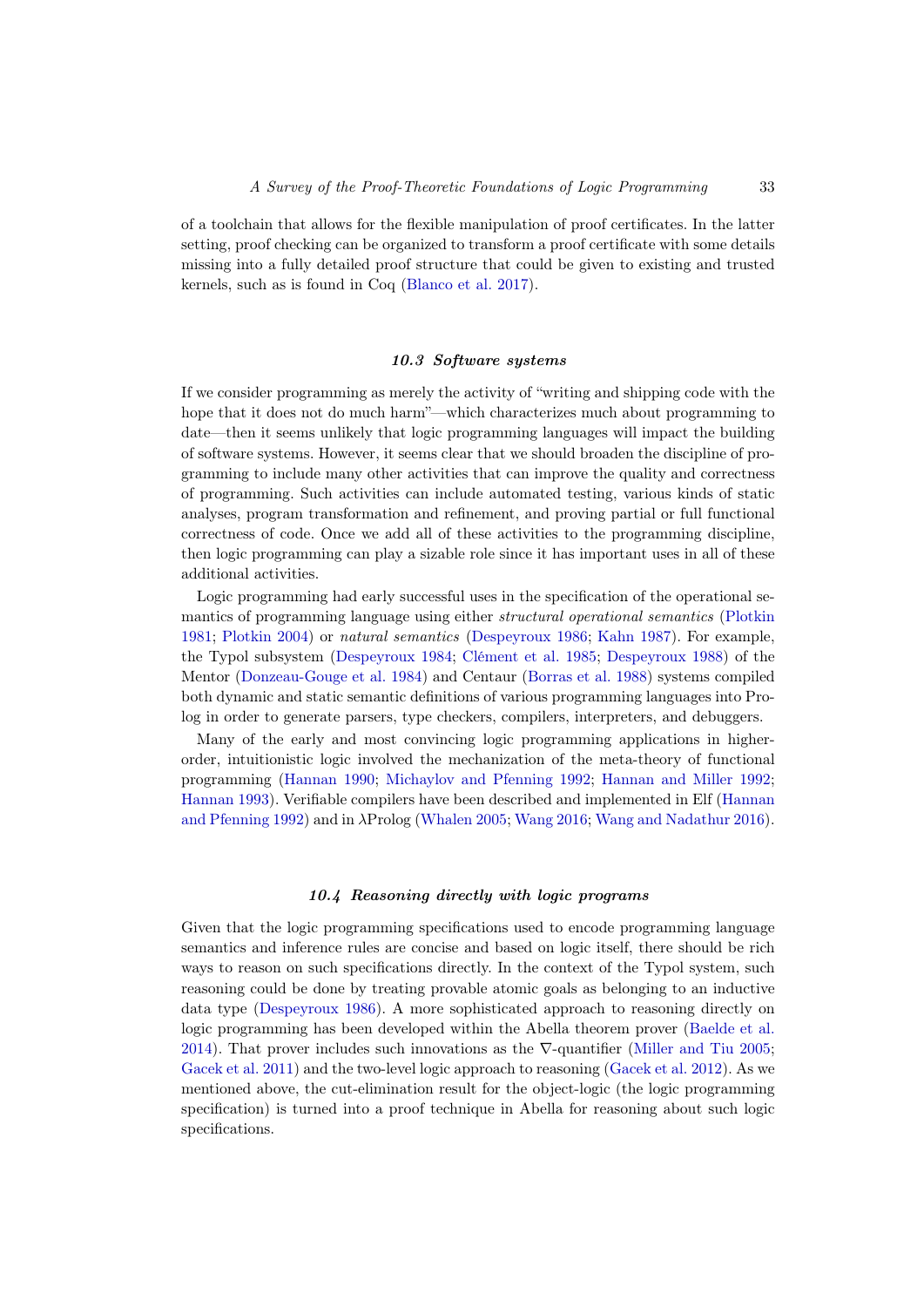of a toolchain that allows for the flexible manipulation of proof certificates. In the latter setting, proof checking can be organized to transform a proof certificate with some details missing into a fully detailed proof structure that could be given to existing and trusted kernels, such as is found in Coq [\(Blanco et al. 2017\)](#page-35-17).

# 10.3 Software systems

If we consider programming as merely the activity of "writing and shipping code with the hope that it does not do much harm"—which characterizes much about programming to date—then it seems unlikely that logic programming languages will impact the building of software systems. However, it seems clear that we should broaden the discipline of programming to include many other activities that can improve the quality and correctness of programming. Such activities can include automated testing, various kinds of static analyses, program transformation and refinement, and proving partial or full functional correctness of code. Once we add all of these activities to the programming discipline, then logic programming can play a sizable role since it has important uses in all of these additional activities.

Logic programming had early successful uses in the specification of the operational semantics of programming language using either structural operational semantics [\(Plotkin](#page-44-17) [1981;](#page-44-17) [Plotkin 2004\)](#page-44-18) or natural semantics [\(Despeyroux 1986;](#page-37-15) [Kahn 1987\)](#page-40-19). For example, the Typol subsystem [\(Despeyroux 1984;](#page-37-16) [Clément et al. 1985;](#page-36-18) [Despeyroux 1988\)](#page-37-17) of the Mentor [\(Donzeau-Gouge et al. 1984\)](#page-37-18) and Centaur [\(Borras et al. 1988\)](#page-35-18) systems compiled both dynamic and static semantic definitions of various programming languages into Prolog in order to generate parsers, type checkers, compilers, interpreters, and debuggers.

Many of the early and most convincing logic programming applications in higherorder, intuitionistic logic involved the mechanization of the meta-theory of functional programming [\(Hannan 1990;](#page-39-18) [Michaylov and Pfenning 1992;](#page-41-17) [Hannan and Miller 1992;](#page-39-19) [Hannan 1993\)](#page-39-20). Verifiable compilers have been described and implemented in Elf [\(Hannan](#page-39-21) [and Pfenning 1992\)](#page-39-21) and in λProlog [\(Whalen 2005;](#page-46-3) [Wang 2016;](#page-45-17) [Wang and Nadathur 2016\)](#page-45-18).

# 10.4 Reasoning directly with logic programs

<span id="page-32-0"></span>Given that the logic programming specifications used to encode programming language semantics and inference rules are concise and based on logic itself, there should be rich ways to reason on such specifications directly. In the context of the Typol system, such reasoning could be done by treating provable atomic goals as belonging to an inductive data type [\(Despeyroux 1986\)](#page-37-15). A more sophisticated approach to reasoning directly on logic programming has been developed within the Abella theorem prover [\(Baelde et al.](#page-35-14) [2014\)](#page-35-14). That prover includes such innovations as the  $\nabla$ -quantifier [\(Miller and Tiu 2005;](#page-42-20) [Gacek et al. 2011\)](#page-38-18) and the two-level logic approach to reasoning [\(Gacek et al. 2012\)](#page-38-12). As we mentioned above, the cut-elimination result for the object-logic (the logic programming specification) is turned into a proof technique in Abella for reasoning about such logic specifications.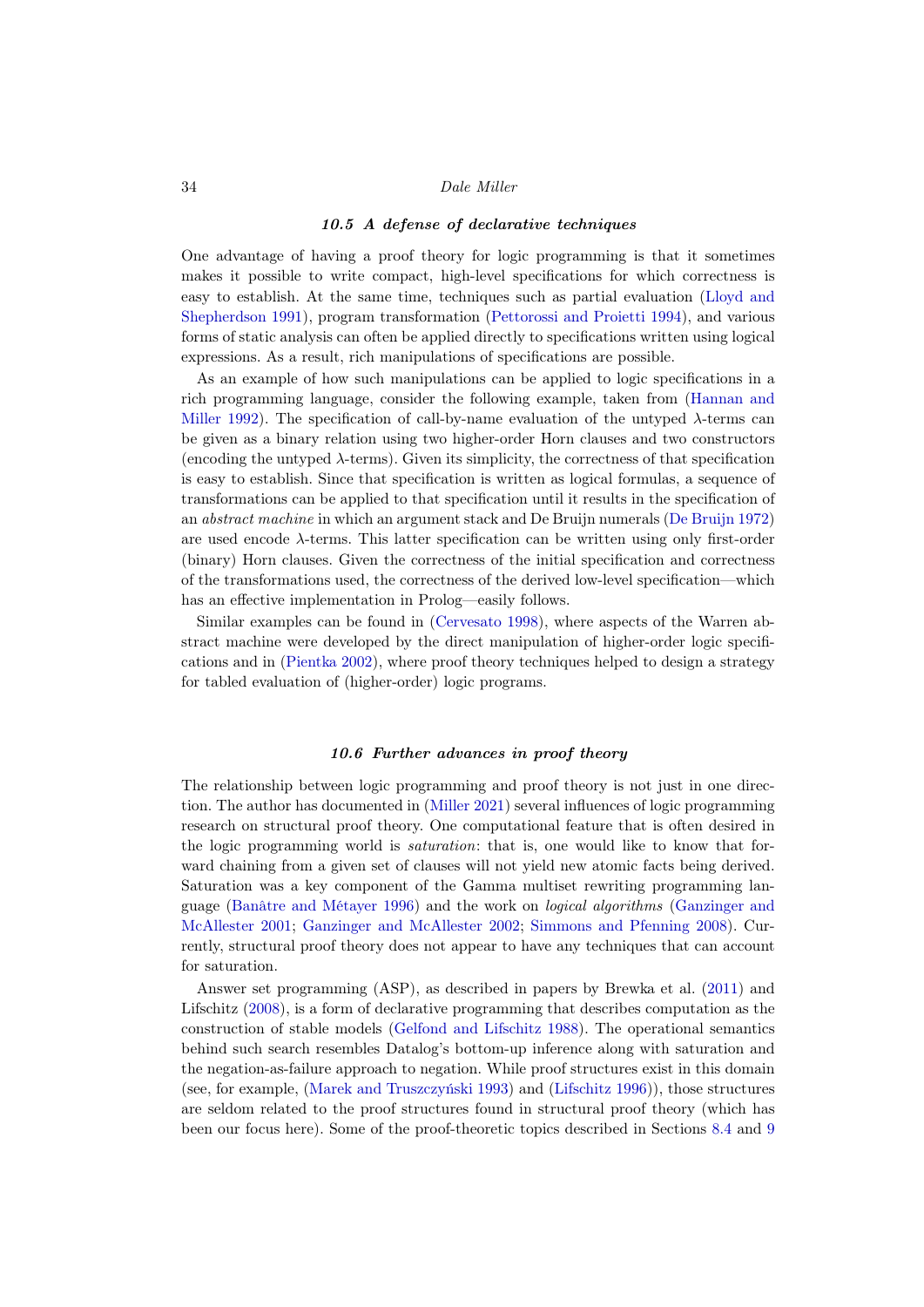# 10.5 A defense of declarative techniques

One advantage of having a proof theory for logic programming is that it sometimes makes it possible to write compact, high-level specifications for which correctness is easy to establish. At the same time, techniques such as partial evaluation [\(Lloyd and](#page-41-18) [Shepherdson 1991\)](#page-41-18), program transformation [\(Pettorossi and Proietti 1994\)](#page-44-19), and various forms of static analysis can often be applied directly to specifications written using logical expressions. As a result, rich manipulations of specifications are possible.

As an example of how such manipulations can be applied to logic specifications in a rich programming language, consider the following example, taken from [\(Hannan and](#page-39-19) [Miller 1992\)](#page-39-19). The specification of call-by-name evaluation of the untyped  $\lambda$ -terms can be given as a binary relation using two higher-order Horn clauses and two constructors (encoding the untyped  $\lambda$ -terms). Given its simplicity, the correctness of that specification is easy to establish. Since that specification is written as logical formulas, a sequence of transformations can be applied to that specification until it results in the specification of an abstract machine in which an argument stack and De Bruijn numerals [\(De Bruijn 1972\)](#page-36-19) are used encode λ-terms. This latter specification can be written using only first-order (binary) Horn clauses. Given the correctness of the initial specification and correctness of the transformations used, the correctness of the derived low-level specification—which has an effective implementation in Prolog—easily follows.

Similar examples can be found in [\(Cervesato 1998\)](#page-36-20), where aspects of the Warren abstract machine were developed by the direct manipulation of higher-order logic specifications and in [\(Pientka 2002\)](#page-44-20), where proof theory techniques helped to design a strategy for tabled evaluation of (higher-order) logic programs.

# 10.6 Further advances in proof theory

<span id="page-33-0"></span>The relationship between logic programming and proof theory is not just in one direction. The author has documented in [\(Miller 2021\)](#page-42-2) several influences of logic programming research on structural proof theory. One computational feature that is often desired in the logic programming world is saturation: that is, one would like to know that forward chaining from a given set of clauses will not yield new atomic facts being derived. Saturation was a key component of the Gamma multiset rewriting programming language [\(Banâtre and Métayer 1996\)](#page-35-19) and the work on logical algorithms [\(Ganzinger and](#page-38-19) [McAllester 2001;](#page-38-19) [Ganzinger and McAllester 2002;](#page-38-20) [Simmons and Pfenning 2008\)](#page-45-19). Currently, structural proof theory does not appear to have any techniques that can account for saturation.

Answer set programming (ASP), as described in papers by Brewka et al. [\(2011\)](#page-35-0) and Lifschitz [\(2008\)](#page-41-1), is a form of declarative programming that describes computation as the construction of stable models [\(Gelfond and Lifschitz 1988\)](#page-38-1). The operational semantics behind such search resembles Datalog's bottom-up inference along with saturation and the negation-as-failure approach to negation. While proof structures exist in this domain (see, for example, [\(Marek and Truszczyński 1993\)](#page-41-19) and [\(Lifschitz 1996\)](#page-40-20)), those structures are seldom related to the proof structures found in structural proof theory (which has been our focus here). Some of the proof-theoretic topics described in Sections [8.4](#page-27-0) and [9](#page-29-0)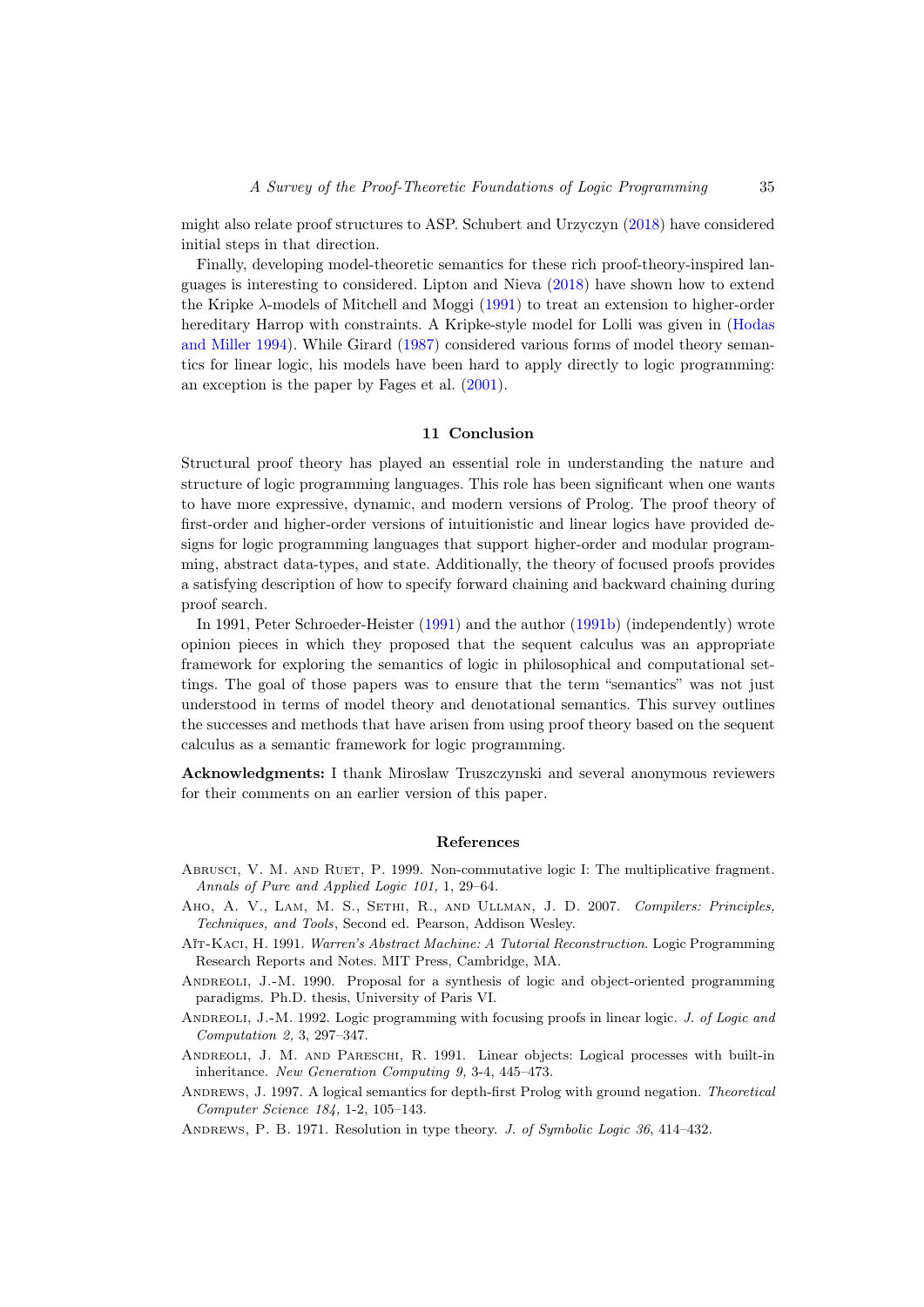might also relate proof structures to ASP. Schubert and Urzyczyn [\(2018\)](#page-44-21) have considered initial steps in that direction.

Finally, developing model-theoretic semantics for these rich proof-theory-inspired languages is interesting to considered. Lipton and Nieva [\(2018\)](#page-41-20) have shown how to extend the Kripke λ-models of Mitchell and Moggi [\(1991\)](#page-42-21) to treat an extension to higher-order hereditary Harrop with constraints. A Kripke-style model for Lolli was given in [\(Hodas](#page-39-9) [and Miller 1994\)](#page-39-9). While Girard [\(1987\)](#page-38-0) considered various forms of model theory semantics for linear logic, his models have been hard to apply directly to logic programming: an exception is the paper by Fages et al. [\(2001\)](#page-38-21).

# 11 Conclusion

Structural proof theory has played an essential role in understanding the nature and structure of logic programming languages. This role has been significant when one wants to have more expressive, dynamic, and modern versions of Prolog. The proof theory of first-order and higher-order versions of intuitionistic and linear logics have provided designs for logic programming languages that support higher-order and modular programming, abstract data-types, and state. Additionally, the theory of focused proofs provides a satisfying description of how to specify forward chaining and backward chaining during proof search.

In 1991, Peter Schroeder-Heister [\(1991\)](#page-44-22) and the author [\(1991b\)](#page-42-22) (independently) wrote opinion pieces in which they proposed that the sequent calculus was an appropriate framework for exploring the semantics of logic in philosophical and computational settings. The goal of those papers was to ensure that the term "semantics" was not just understood in terms of model theory and denotational semantics. This survey outlines the successes and methods that have arisen from using proof theory based on the sequent calculus as a semantic framework for logic programming.

Acknowledgments: I thank Miroslaw Truszczynski and several anonymous reviewers for their comments on an earlier version of this paper.

# References

- <span id="page-34-7"></span>Abrusci, V. M. and Ruet, P. 1999. Non-commutative logic I: The multiplicative fragment. Annals of Pure and Applied Logic 101, 1, 29–64.
- <span id="page-34-0"></span>Aho, A. V., Lam, M. S., Sethi, R., and Ullman, J. D. 2007. Compilers: Principles, Techniques, and Tools, Second ed. Pearson, Addison Wesley.
- <span id="page-34-1"></span>Aït-Kaci, H. 1991. Warren's Abstract Machine: A Tutorial Reconstruction. Logic Programming Research Reports and Notes. MIT Press, Cambridge, MA.
- <span id="page-34-5"></span>ANDREOLI, J.-M. 1990. Proposal for a synthesis of logic and object-oriented programming paradigms. Ph.D. thesis, University of Paris VI.
- <span id="page-34-6"></span>ANDREOLI, J.-M. 1992. Logic programming with focusing proofs in linear logic. J. of Logic and Computation 2, 3, 297–347.
- <span id="page-34-4"></span>Andreoli, J. M. and Pareschi, R. 1991. Linear objects: Logical processes with built-in inheritance. New Generation Computing 9, 3-4, 445–473.
- <span id="page-34-2"></span>ANDREWS, J. 1997. A logical semantics for depth-first Prolog with ground negation. Theoretical Computer Science 184, 1-2, 105–143.

<span id="page-34-3"></span>ANDREWS, P. B. 1971. Resolution in type theory. J. of Symbolic Logic 36, 414-432.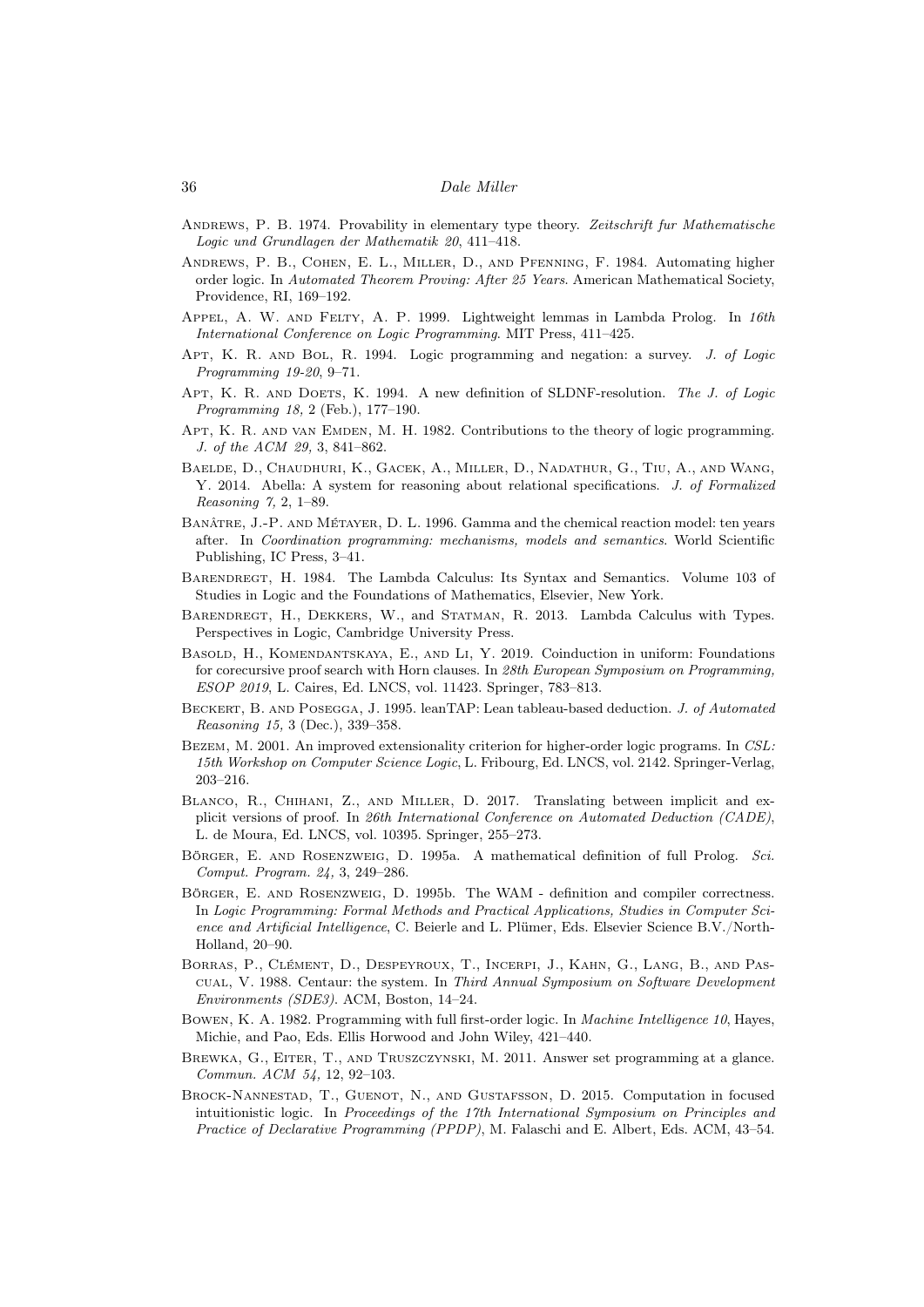- <span id="page-35-12"></span>ANDREWS, P. B. 1974. Provability in elementary type theory. Zeitschrift fur Mathematische Logic und Grundlagen der Mathematik 20, 411–418.
- <span id="page-35-9"></span>Andrews, P. B., Cohen, E. L., Miller, D., and Pfenning, F. 1984. Automating higher order logic. In Automated Theorem Proving: After 25 Years. American Mathematical Society, Providence, RI, 169–192.
- <span id="page-35-16"></span>Appel, A. W. and Felty, A. P. 1999. Lightweight lemmas in Lambda Prolog. In 16th International Conference on Logic Programming. MIT Press, 411–425.
- <span id="page-35-2"></span>Apt, K. R. and Bol, R. 1994. Logic programming and negation: a survey. J. of Logic Programming 19-20, 9–71.
- <span id="page-35-3"></span>APT, K. R. AND DOETS, K. 1994. A new definition of SLDNF-resolution. The J. of Logic Programming 18, 2 (Feb.), 177–190.
- <span id="page-35-1"></span>APT, K. R. AND VAN EMDEN, M. H. 1982. Contributions to the theory of logic programming. J. of the ACM 29, 3, 841–862.
- <span id="page-35-14"></span>Baelde, D., Chaudhuri, K., Gacek, A., Miller, D., Nadathur, G., Tiu, A., and Wang, Y. 2014. Abella: A system for reasoning about relational specifications. J. of Formalized Reasoning 7, 2, 1–89.
- <span id="page-35-19"></span>Banâtre, J.-P. and Métayer, D. L. 1996. Gamma and the chemical reaction model: ten years after. In Coordination programming: mechanisms, models and semantics. World Scientific Publishing, IC Press, 3–41.
- <span id="page-35-6"></span>Barendregt, H. 1984. The Lambda Calculus: Its Syntax and Semantics. Volume 103 of Studies in Logic and the Foundations of Mathematics, Elsevier, New York.
- <span id="page-35-7"></span>Barendregt, H., Dekkers, W., and Statman, R. 2013. Lambda Calculus with Types. Perspectives in Logic, Cambridge University Press.
- <span id="page-35-11"></span>Basold, H., Komendantskaya, E., and Li, Y. 2019. Coinduction in uniform: Foundations for corecursive proof search with Horn clauses. In 28th European Symposium on Programming, ESOP 2019, L. Caires, Ed. LNCS, vol. 11423. Springer, 783–813.
- <span id="page-35-15"></span>BECKERT, B. AND POSEGGA, J. 1995. leanTAP: Lean tableau-based deduction. J. of Automated Reasoning 15, 3 (Dec.), 339–358.
- <span id="page-35-10"></span>Bezem, M. 2001. An improved extensionality criterion for higher-order logic programs. In CSL: 15th Workshop on Computer Science Logic, L. Fribourg, Ed. LNCS, vol. 2142. Springer-Verlag, 203–216.
- <span id="page-35-17"></span>Blanco, R., Chihani, Z., and Miller, D. 2017. Translating between implicit and explicit versions of proof. In 26th International Conference on Automated Deduction (CADE), L. de Moura, Ed. LNCS, vol. 10395. Springer, 255–273.
- <span id="page-35-5"></span>Börger, E. and Rosenzweig, D. 1995a. A mathematical definition of full Prolog. Sci. Comput. Program. 24, 3, 249–286.
- <span id="page-35-4"></span>Börger, E. and Rosenzweig, D. 1995b. The WAM - definition and compiler correctness. In Logic Programming: Formal Methods and Practical Applications, Studies in Computer Science and Artificial Intelligence, C. Beierle and L. Plümer, Eds. Elsevier Science B.V./North-Holland, 20–90.
- <span id="page-35-18"></span>Borras, P., Clément, D., Despeyroux, T., Incerpi, J., Kahn, G., Lang, B., and Pascual, V. 1988. Centaur: the system. In Third Annual Symposium on Software Development Environments (SDE3). ACM, Boston, 14–24.
- <span id="page-35-8"></span>Bowen, K. A. 1982. Programming with full first-order logic. In Machine Intelligence 10, Hayes, Michie, and Pao, Eds. Ellis Horwood and John Wiley, 421–440.
- <span id="page-35-0"></span>Brewka, G., Eiter, T., and Truszczynski, M. 2011. Answer set programming at a glance. Commun. ACM 54, 12, 92–103.
- <span id="page-35-13"></span>Brock-Nannestad, T., Guenot, N., and Gustafsson, D. 2015. Computation in focused intuitionistic logic. In Proceedings of the 17th International Symposium on Principles and Practice of Declarative Programming (PPDP), M. Falaschi and E. Albert, Eds. ACM, 43–54.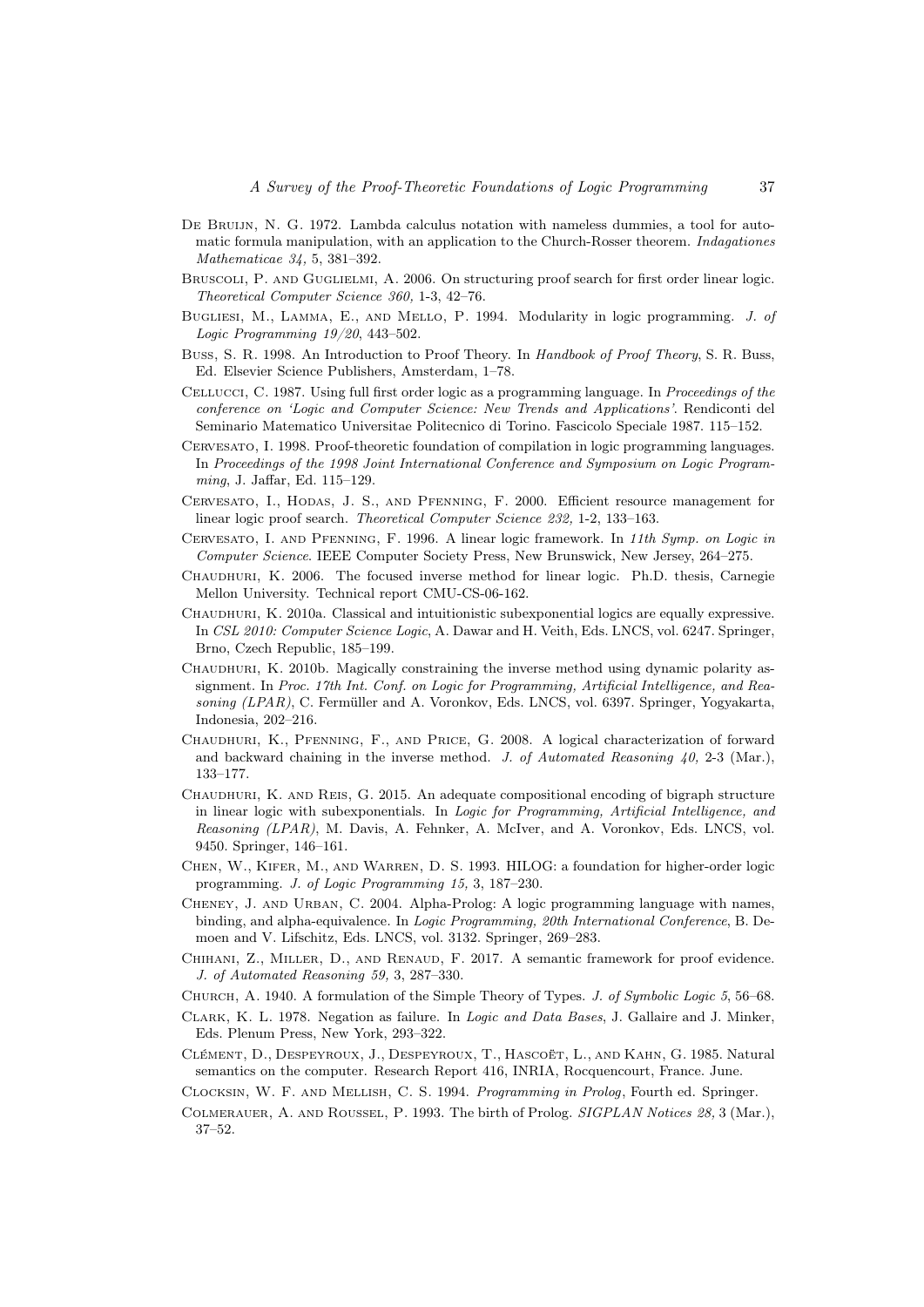- <span id="page-36-19"></span>DE BRUIJN, N. G. 1972. Lambda calculus notation with nameless dummies, a tool for automatic formula manipulation, with an application to the Church-Rosser theorem. Indagationes Mathematicae 34, 5, 381–392.
- <span id="page-36-9"></span>BRUSCOLI, P. AND GUGLIELMI, A. 2006. On structuring proof search for first order linear logic. Theoretical Computer Science 360, 1-3, 42–76.
- <span id="page-36-6"></span>Bugliesi, M., Lamma, E., and Mello, P. 1994. Modularity in logic programming. J. of Logic Programming 19/20, 443–502.
- <span id="page-36-2"></span>Buss, S. R. 1998. An Introduction to Proof Theory. In Handbook of Proof Theory, S. R. Buss, Ed. Elsevier Science Publishers, Amsterdam, 1–78.
- <span id="page-36-3"></span>Cellucci, C. 1987. Using full first order logic as a programming language. In Proceedings of the conference on 'Logic and Computer Science: New Trends and Applications'. Rendiconti del Seminario Matematico Universitae Politecnico di Torino. Fascicolo Speciale 1987. 115–152.
- <span id="page-36-20"></span>Cervesato, I. 1998. Proof-theoretic foundation of compilation in logic programming languages. In Proceedings of the 1998 Joint International Conference and Symposium on Logic Programming, J. Jaffar, Ed. 115–129.
- <span id="page-36-10"></span>Cervesato, I., Hodas, J. S., and Pfenning, F. 2000. Efficient resource management for linear logic proof search. Theoretical Computer Science 232, 1-2, 133–163.
- <span id="page-36-16"></span>Cervesato, I. and Pfenning, F. 1996. A linear logic framework. In 11th Symp. on Logic in Computer Science. IEEE Computer Society Press, New Brunswick, New Jersey, 264–275.
- <span id="page-36-13"></span>Chaudhuri, K. 2006. The focused inverse method for linear logic. Ph.D. thesis, Carnegie Mellon University. Technical report CMU-CS-06-162.
- <span id="page-36-11"></span>Chaudhuri, K. 2010a. Classical and intuitionistic subexponential logics are equally expressive. In CSL 2010: Computer Science Logic, A. Dawar and H. Veith, Eds. LNCS, vol. 6247. Springer, Brno, Czech Republic, 185–199.
- <span id="page-36-15"></span>CHAUDHURI, K. 2010b. Magically constraining the inverse method using dynamic polarity assignment. In Proc. 17th Int. Conf. on Logic for Programming, Artificial Intelligence, and Reasoning (LPAR), C. Fermüller and A. Voronkov, Eds. LNCS, vol. 6397. Springer, Yogyakarta, Indonesia, 202–216.
- <span id="page-36-14"></span>Chaudhuri, K., Pfenning, F., and Price, G. 2008. A logical characterization of forward and backward chaining in the inverse method. J. of Automated Reasoning  $\angle 40$ , 2-3 (Mar.), 133–177.
- <span id="page-36-12"></span>Chaudhuri, K. and Reis, G. 2015. An adequate compositional encoding of bigraph structure in linear logic with subexponentials. In Logic for Programming, Artificial Intelligence, and Reasoning (LPAR), M. Davis, A. Fehnker, A. McIver, and A. Voronkov, Eds. LNCS, vol. 9450. Springer, 146–161.
- <span id="page-36-4"></span>CHEN, W., KIFER, M., AND WARREN, D. S. 1993. HILOG: a foundation for higher-order logic programming. J. of Logic Programming 15, 3, 187–230.
- <span id="page-36-7"></span>CHENEY, J. AND URBAN, C. 2004. Alpha-Prolog: A logic programming language with names, binding, and alpha-equivalence. In Logic Programming, 20th International Conference, B. Demoen and V. Lifschitz, Eds. LNCS, vol. 3132. Springer, 269–283.
- <span id="page-36-17"></span>CHIHANI, Z., MILLER, D., AND RENAUD, F. 2017. A semantic framework for proof evidence. J. of Automated Reasoning 59, 3, 287–330.
- <span id="page-36-5"></span>CHURCH, A. 1940. A formulation of the Simple Theory of Types. J. of Symbolic Logic 5, 56–68.
- <span id="page-36-0"></span>Clark, K. L. 1978. Negation as failure. In Logic and Data Bases, J. Gallaire and J. Minker, Eds. Plenum Press, New York, 293–322.
- <span id="page-36-18"></span>Clément, D., Despeyroux, J., Despeyroux, T., Hascoët, L., and Kahn, G. 1985. Natural semantics on the computer. Research Report 416, INRIA, Rocquencourt, France. June.
- <span id="page-36-8"></span>Clocksin, W. F. and Mellish, C. S. 1994. Programming in Prolog, Fourth ed. Springer.
- <span id="page-36-1"></span>Colmerauer, A. and Roussel, P. 1993. The birth of Prolog. SIGPLAN Notices 28, 3 (Mar.), 37–52.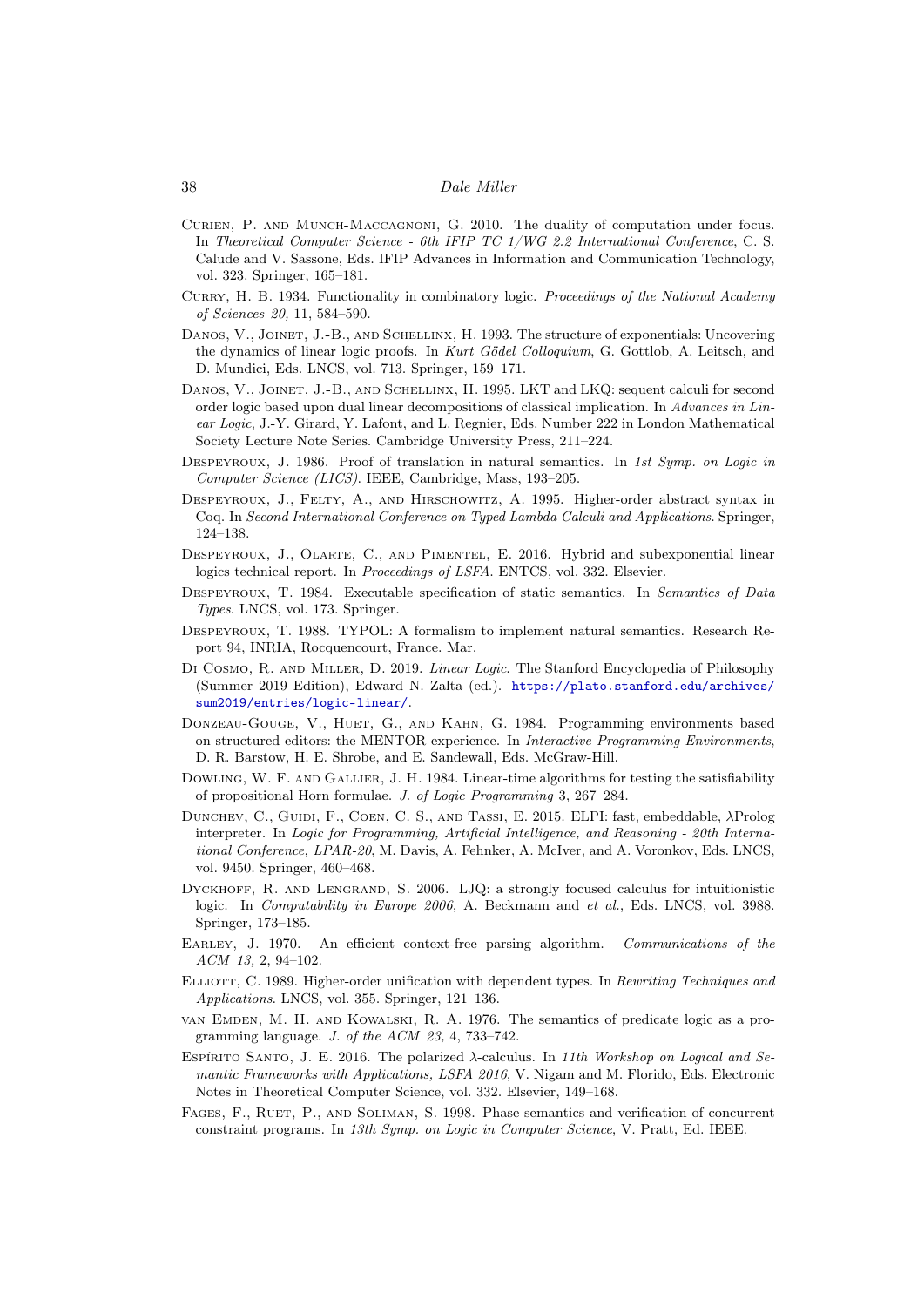- <span id="page-37-10"></span>Curien, P. and Munch-Maccagnoni, G. 2010. The duality of computation under focus. In Theoretical Computer Science - 6th IFIP TC 1/WG 2.2 International Conference, C. S. Calude and V. Sassone, Eds. IFIP Advances in Information and Communication Technology, vol. 323. Springer, 165–181.
- <span id="page-37-0"></span>CURRY, H. B. 1934. Functionality in combinatory logic. Proceedings of the National Academy of Sciences 20, 11, 584–590.
- <span id="page-37-7"></span>DANOS, V., JOINET, J.-B., AND SCHELLINX, H. 1993. The structure of exponentials: Uncovering the dynamics of linear logic proofs. In Kurt Gödel Colloquium, G. Gottlob, A. Leitsch, and D. Mundici, Eds. LNCS, vol. 713. Springer, 159–171.
- <span id="page-37-9"></span>Danos, V., Joinet, J.-B., and Schellinx, H. 1995. LKT and LKQ: sequent calculi for second order logic based upon dual linear decompositions of classical implication. In Advances in Linear Logic, J.-Y. Girard, Y. Lafont, and L. Regnier, Eds. Number 222 in London Mathematical Society Lecture Note Series. Cambridge University Press, 211–224.
- <span id="page-37-15"></span>DESPEYROUX, J. 1986. Proof of translation in natural semantics. In 1st Symp. on Logic in Computer Science (LICS). IEEE, Cambridge, Mass, 193–205.
- <span id="page-37-3"></span>DESPEYROUX, J., FELTY, A., AND HIRSCHOWITZ, A. 1995. Higher-order abstract syntax in Coq. In Second International Conference on Typed Lambda Calculi and Applications. Springer, 124–138.
- <span id="page-37-8"></span>Despeyroux, J., Olarte, C., and Pimentel, E. 2016. Hybrid and subexponential linear logics technical report. In Proceedings of LSFA. ENTCS, vol. 332. Elsevier.
- <span id="page-37-16"></span>DESPEYROUX, T. 1984. Executable specification of static semantics. In Semantics of Data Types. LNCS, vol. 173. Springer.
- <span id="page-37-17"></span>Despeyroux, T. 1988. TYPOL: A formalism to implement natural semantics. Research Report 94, INRIA, Rocquencourt, France. Mar.
- <span id="page-37-5"></span>Di Cosmo, R. and Miller, D. 2019. Linear Logic. The Stanford Encyclopedia of Philosophy (Summer 2019 Edition), Edward N. Zalta (ed.). [https://plato.stanford.edu/archives/](https://plato.stanford.edu/archives/sum2019/entries/logic-linear/) [sum2019/entries/logic-linear/](https://plato.stanford.edu/archives/sum2019/entries/logic-linear/).
- <span id="page-37-18"></span>Donzeau-Gouge, V., Huet, G., and Kahn, G. 1984. Programming environments based on structured editors: the MENTOR experience. In Interactive Programming Environments, D. R. Barstow, H. E. Shrobe, and E. Sandewall, Eds. McGraw-Hill.
- <span id="page-37-14"></span>DOWLING, W. F. AND GALLIER, J. H. 1984. Linear-time algorithms for testing the satisfiability of propositional Horn formulae. J. of Logic Programming 3, 267–284.
- <span id="page-37-4"></span>Dunchev, C., Guidi, F., Coen, C. S., and Tassi, E. 2015. ELPI: fast, embeddable, λProlog interpreter. In Logic for Programming, Artificial Intelligence, and Reasoning - 20th International Conference, LPAR-20, M. Davis, A. Fehnker, A. McIver, and A. Voronkov, Eds. LNCS, vol. 9450. Springer, 460–468.
- <span id="page-37-11"></span>DYCKHOFF, R. AND LENGRAND, S. 2006. LJQ: a strongly focused calculus for intuitionistic logic. In Computability in Europe 2006, A. Beckmann and et al., Eds. LNCS, vol. 3988. Springer, 173–185.
- <span id="page-37-1"></span>EARLEY, J. 1970. An efficient context-free parsing algorithm. Communications of the ACM 13, 2, 94–102.
- <span id="page-37-13"></span>ELLIOTT, C. 1989. Higher-order unification with dependent types. In Rewriting Techniques and Applications. LNCS, vol. 355. Springer, 121–136.
- <span id="page-37-2"></span>van Emden, M. H. and Kowalski, R. A. 1976. The semantics of predicate logic as a programming language. J. of the ACM 23, 4, 733–742.
- <span id="page-37-12"></span>ESPÍRITO SANTO, J. E. 2016. The polarized  $\lambda$ -calculus. In 11th Workshop on Logical and Semantic Frameworks with Applications, LSFA 2016, V. Nigam and M. Florido, Eds. Electronic Notes in Theoretical Computer Science, vol. 332. Elsevier, 149–168.
- <span id="page-37-6"></span>FAGES, F., RUET, P., AND SOLIMAN, S. 1998. Phase semantics and verification of concurrent constraint programs. In 13th Symp. on Logic in Computer Science, V. Pratt, Ed. IEEE.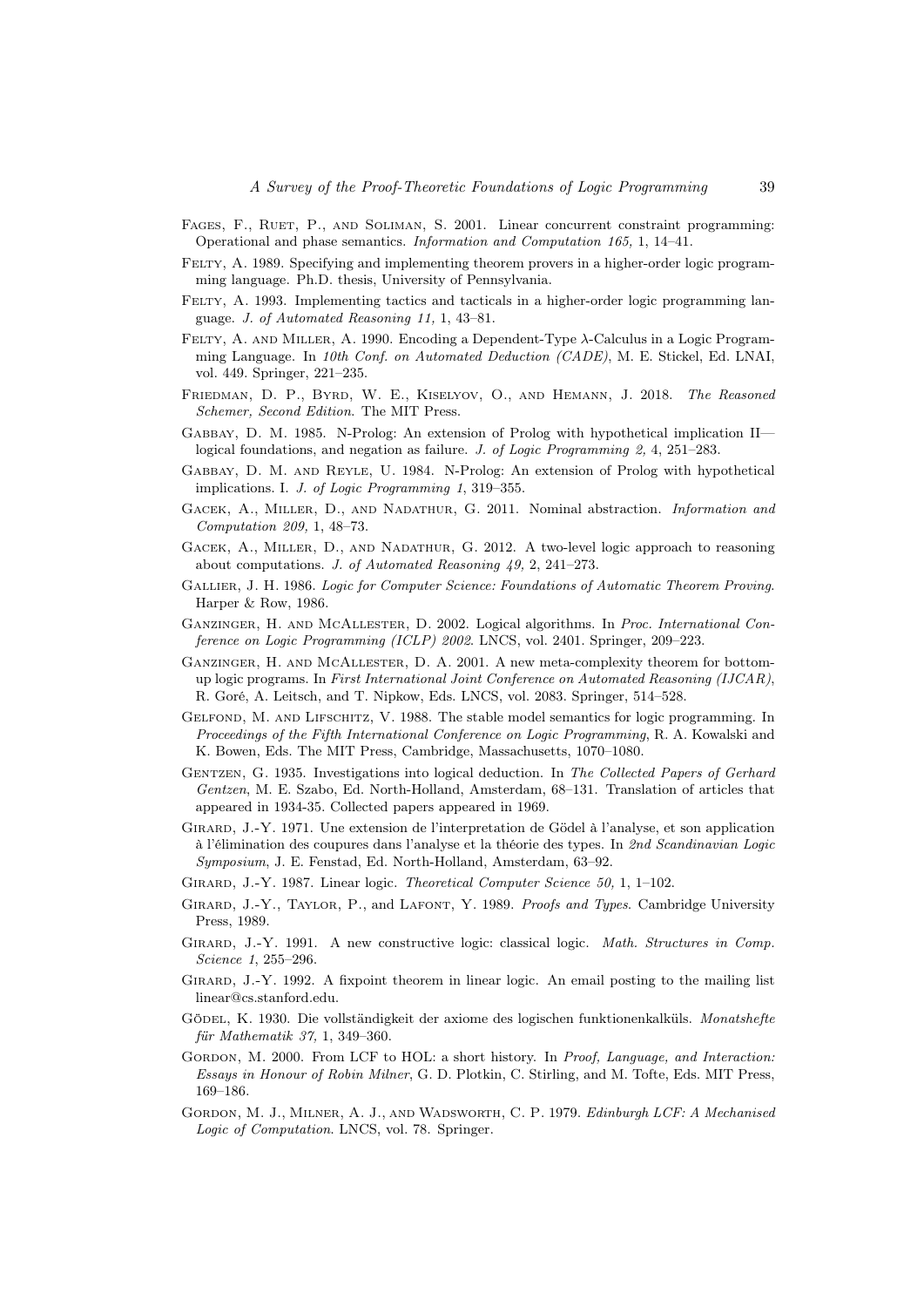- <span id="page-38-21"></span>FAGES, F., RUET, P., AND SOLIMAN, S. 2001. Linear concurrent constraint programming: Operational and phase semantics. Information and Computation 165, 1, 14–41.
- <span id="page-38-16"></span>FELTY, A. 1989. Specifying and implementing theorem provers in a higher-order logic programming language. Ph.D. thesis, University of Pennsylvania.
- <span id="page-38-17"></span>FELTY, A. 1993. Implementing tactics and tacticals in a higher-order logic programming language. J. of Automated Reasoning 11, 1, 43–81.
- <span id="page-38-10"></span>Felty, A. and Miller, A. 1990. Encoding a Dependent-Type λ-Calculus in a Logic Programming Language. In 10th Conf. on Automated Deduction (CADE), M. E. Stickel, Ed. LNAI, vol. 449. Springer, 221–235.
- <span id="page-38-13"></span>Friedman, D. P., Byrd, W. E., Kiselyov, O., and Hemann, J. 2018. The Reasoned Schemer, Second Edition. The MIT Press.
- <span id="page-38-7"></span>Gabbay, D. M. 1985. N-Prolog: An extension of Prolog with hypothetical implication II logical foundations, and negation as failure. J. of Logic Programming 2, 4, 251–283.
- <span id="page-38-6"></span>Gabbay, D. M. and Reyle, U. 1984. N-Prolog: An extension of Prolog with hypothetical implications. I. J. of Logic Programming 1, 319–355.
- <span id="page-38-18"></span>GACEK, A., MILLER, D., AND NADATHUR, G. 2011. Nominal abstraction. Information and Computation 209, 1, 48–73.
- <span id="page-38-12"></span>GACEK, A., MILLER, D., AND NADATHUR, G. 2012. A two-level logic approach to reasoning about computations. J. of Automated Reasoning 49, 2, 241–273.
- <span id="page-38-4"></span>Gallier, J. H. 1986. Logic for Computer Science: Foundations of Automatic Theorem Proving. Harper & Row, 1986.
- <span id="page-38-20"></span>GANZINGER, H. AND MCALLESTER, D. 2002. Logical algorithms. In *Proc. International Con*ference on Logic Programming (ICLP) 2002. LNCS, vol. 2401. Springer, 209–223.
- <span id="page-38-19"></span>Ganzinger, H. and McAllester, D. A. 2001. A new meta-complexity theorem for bottomup logic programs. In First International Joint Conference on Automated Reasoning (IJCAR), R. Goré, A. Leitsch, and T. Nipkow, Eds. LNCS, vol. 2083. Springer, 514–528.
- <span id="page-38-1"></span>GELFOND, M. AND LIFSCHITZ, V. 1988. The stable model semantics for logic programming. In Proceedings of the Fifth International Conference on Logic Programming, R. A. Kowalski and K. Bowen, Eds. The MIT Press, Cambridge, Massachusetts, 1070–1080.
- <span id="page-38-3"></span>Gentzen, G. 1935. Investigations into logical deduction. In The Collected Papers of Gerhard Gentzen, M. E. Szabo, Ed. North-Holland, Amsterdam, 68–131. Translation of articles that appeared in 1934-35. Collected papers appeared in 1969.
- <span id="page-38-8"></span>Girard, J.-Y. 1971. Une extension de l'interpretation de Gödel à l'analyse, et son application à l'élimination des coupures dans l'analyse et la théorie des types. In 2nd Scandinavian Logic Symposium, J. E. Fenstad, Ed. North-Holland, Amsterdam, 63–92.
- <span id="page-38-0"></span>GIRARD, J.-Y. 1987. Linear logic. Theoretical Computer Science 50, 1, 1–102.
- <span id="page-38-5"></span>GIRARD, J.-Y., TAYLOR, P., and LAFONT, Y. 1989. Proofs and Types. Cambridge University Press, 1989.
- <span id="page-38-9"></span>GIRARD, J.-Y. 1991. A new constructive logic: classical logic. Math. Structures in Comp. Science 1, 255–296.
- <span id="page-38-11"></span>Girard, J.-Y. 1992. A fixpoint theorem in linear logic. An email posting to the mailing list linear@cs.stanford.edu.
- <span id="page-38-2"></span>GÖDEL, K. 1930. Die vollständigkeit der axiome des logischen funktionenkalküls. Monatshefte für Mathematik 37, 1, 349–360.
- <span id="page-38-15"></span>GORDON, M. 2000. From LCF to HOL: a short history. In *Proof, Language, and Interaction:* Essays in Honour of Robin Milner, G. D. Plotkin, C. Stirling, and M. Tofte, Eds. MIT Press, 169–186.
- <span id="page-38-14"></span>Gordon, M. J., Milner, A. J., and Wadsworth, C. P. 1979. Edinburgh LCF: A Mechanised Logic of Computation. LNCS, vol. 78. Springer.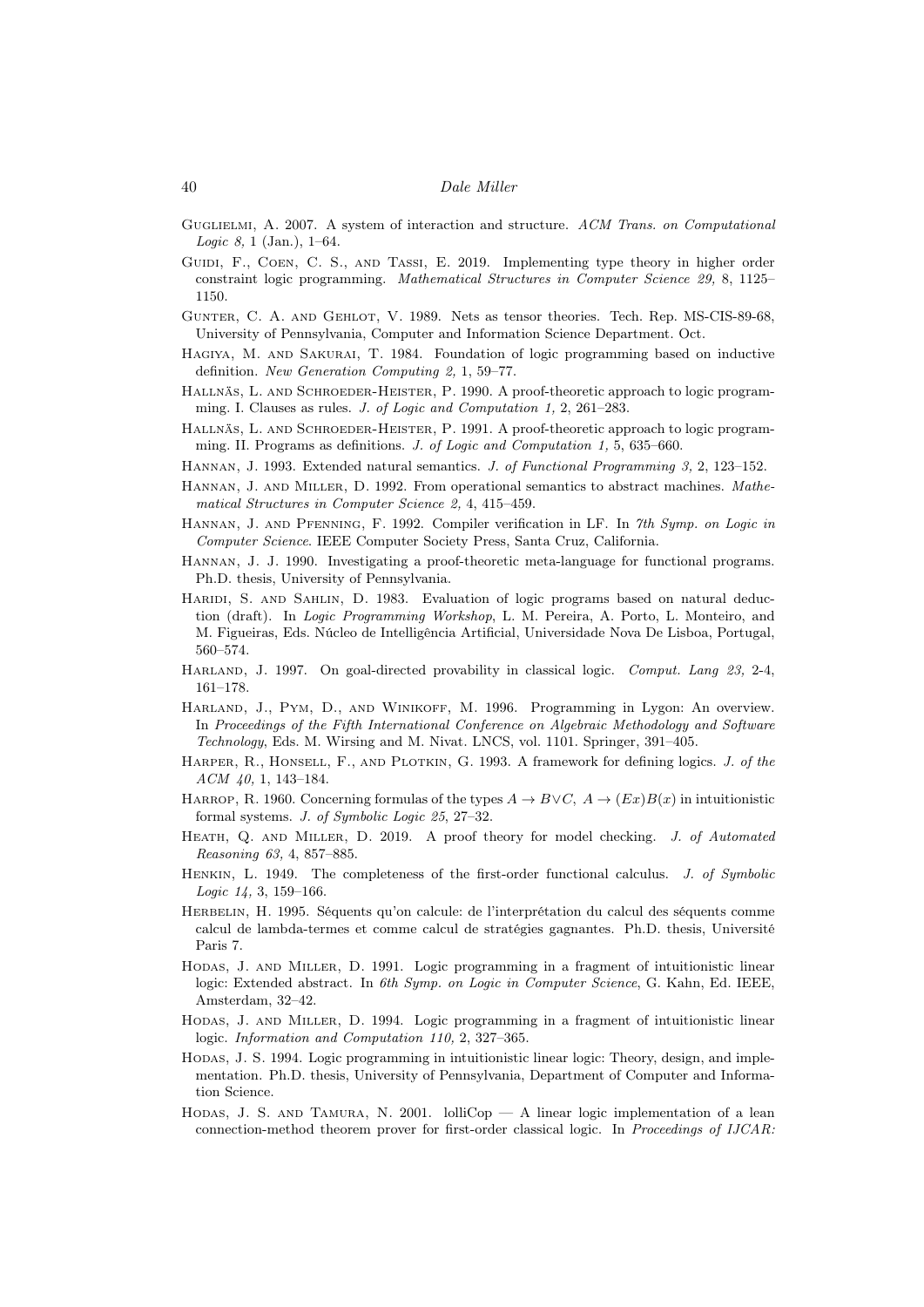- <span id="page-39-14"></span>Guglielmi, A. 2007. A system of interaction and structure. ACM Trans. on Computational *Logic 8*, 1 (Jan.),  $1-64$ .
- <span id="page-39-15"></span>GUIDI, F., COEN, C. S., AND TASSI, E. 2019. Implementing type theory in higher order constraint logic programming. Mathematical Structures in Computer Science 29, 8, 1125– 1150.
- <span id="page-39-11"></span>Gunter, C. A. and Gehlot, V. 1989. Nets as tensor theories. Tech. Rep. MS-CIS-89-68, University of Pennsylvania, Computer and Information Science Department. Oct.
- <span id="page-39-1"></span>Hagiya, M. and Sakurai, T. 1984. Foundation of logic programming based on inductive definition. New Generation Computing 2, 1, 59–77.
- <span id="page-39-3"></span>HALLNÄS, L. AND SCHROEDER-HEISTER, P. 1990. A proof-theoretic approach to logic programming. I. Clauses as rules. J. of Logic and Computation 1, 2, 261–283.
- <span id="page-39-4"></span>HALLNÄS, L. AND SCHROEDER-HEISTER, P. 1991. A proof-theoretic approach to logic programming. II. Programs as definitions. J. of Logic and Computation 1, 5, 635–660.
- <span id="page-39-20"></span>Hannan, J. 1993. Extended natural semantics. J. of Functional Programming 3, 2, 123–152.
- <span id="page-39-19"></span>Hannan, J. and Miller, D. 1992. From operational semantics to abstract machines. Mathematical Structures in Computer Science 2, 4, 415–459.
- <span id="page-39-21"></span>Hannan, J. and Pfenning, F. 1992. Compiler verification in LF. In 7th Symp. on Logic in Computer Science. IEEE Computer Society Press, Santa Cruz, California.
- <span id="page-39-18"></span>Hannan, J. J. 1990. Investigating a proof-theoretic meta-language for functional programs. Ph.D. thesis, University of Pennsylvania.
- <span id="page-39-2"></span>HARIDI, S. AND SAHLIN, D. 1983. Evaluation of logic programs based on natural deduction (draft). In Logic Programming Workshop, L. M. Pereira, A. Porto, L. Monteiro, and M. Figueiras, Eds. Núcleo de Intelligência Artificial, Universidade Nova De Lisboa, Portugal, 560–574.
- <span id="page-39-7"></span>HARLAND, J. 1997. On goal-directed provability in classical logic. Comput. Lang 23, 2-4, 161–178.
- <span id="page-39-10"></span>Harland, J., Pym, D., and Winikoff, M. 1996. Programming in Lygon: An overview. In Proceedings of the Fifth International Conference on Algebraic Methodology and Software Technology, Eds. M. Wirsing and M. Nivat. LNCS, vol. 1101. Springer, 391–405.
- <span id="page-39-5"></span>HARPER, R., HONSELL, F., AND PLOTKIN, G. 1993. A framework for defining logics. J. of the ACM 40, 1, 143–184.
- <span id="page-39-6"></span>HARROP, R. 1960. Concerning formulas of the types  $A \to B \lor C$ ,  $A \to (Ex)B(x)$  in intuitionistic formal systems. J. of Symbolic Logic 25, 27–32.
- <span id="page-39-16"></span>HEATH, Q. AND MILLER, D. 2019. A proof theory for model checking. J. of Automated Reasoning 63, 4, 857–885.
- <span id="page-39-0"></span>HENKIN, L. 1949. The completeness of the first-order functional calculus. J. of Symbolic Logic 14, 3, 159–166.
- <span id="page-39-13"></span>HERBELIN, H. 1995. Séquents qu'on calcule: de l'interprétation du calcul des séquents comme calcul de lambda-termes et comme calcul de stratégies gagnantes. Ph.D. thesis, Université Paris 7.
- <span id="page-39-8"></span>Hodas, J. and Miller, D. 1991. Logic programming in a fragment of intuitionistic linear logic: Extended abstract. In 6th Symp. on Logic in Computer Science, G. Kahn, Ed. IEEE, Amsterdam, 32–42.
- <span id="page-39-9"></span>Hodas, J. and Miller, D. 1994. Logic programming in a fragment of intuitionistic linear logic. Information and Computation 110, 2, 327–365.
- <span id="page-39-12"></span>Hodas, J. S. 1994. Logic programming in intuitionistic linear logic: Theory, design, and implementation. Ph.D. thesis, University of Pennsylvania, Department of Computer and Information Science.
- <span id="page-39-17"></span>HODAS, J. S. AND TAMURA, N. 2001. lolliCop — A linear logic implementation of a lean connection-method theorem prover for first-order classical logic. In Proceedings of IJCAR: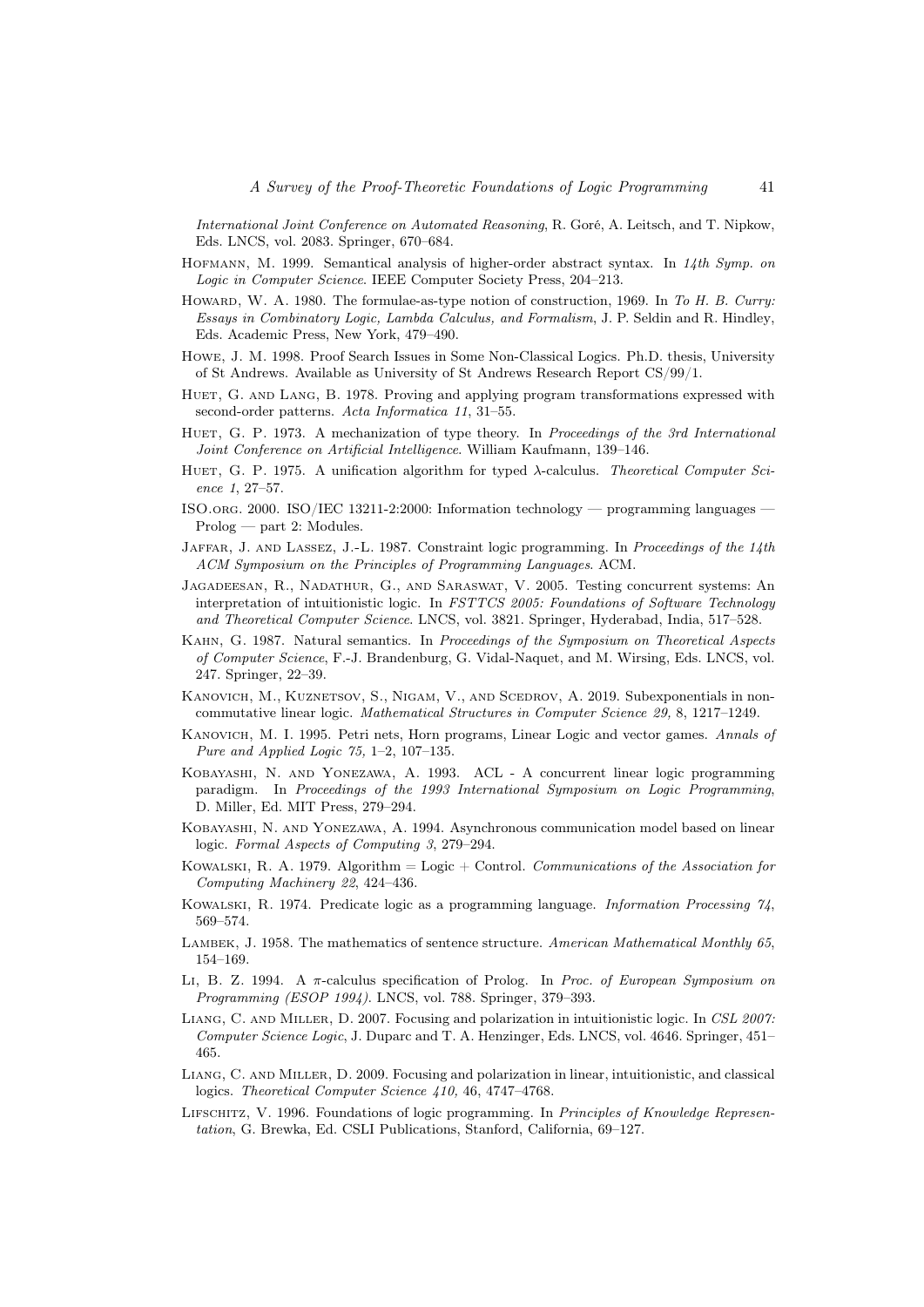International Joint Conference on Automated Reasoning, R. Goré, A. Leitsch, and T. Nipkow, Eds. LNCS, vol. 2083. Springer, 670–684.

- <span id="page-40-9"></span>HOFMANN, M. 1999. Semantical analysis of higher-order abstract syntax. In 14th Symp. on Logic in Computer Science. IEEE Computer Society Press, 204–213.
- <span id="page-40-0"></span>HOWARD, W. A. 1980. The formulae-as-type notion of construction, 1969. In To H. B. Curry: Essays in Combinatory Logic, Lambda Calculus, and Formalism, J. P. Seldin and R. Hindley, Eds. Academic Press, New York, 479–490.
- <span id="page-40-14"></span>Howe, J. M. 1998. Proof Search Issues in Some Non-Classical Logics. Ph.D. thesis, University of St Andrews. Available as University of St Andrews Research Report CS/99/1.
- <span id="page-40-8"></span>HUET, G. AND LANG, B. 1978. Proving and applying program transformations expressed with second-order patterns. Acta Informatica 11, 31–55.
- <span id="page-40-4"></span>HUET, G. P. 1973. A mechanization of type theory. In Proceedings of the 3rd International Joint Conference on Artificial Intelligence. William Kaufmann, 139–146.
- <span id="page-40-7"></span>HUET, G. P. 1975. A unification algorithm for typed λ-calculus. Theoretical Computer Science 1, 27–57.
- <span id="page-40-2"></span>ISO.org. 2000. ISO/IEC 13211-2:2000: Information technology — programming languages — Prolog — part 2: Modules.
- <span id="page-40-1"></span>JAFFAR, J. AND LASSEZ, J.-L. 1987. Constraint logic programming. In Proceedings of the 14th ACM Symposium on the Principles of Programming Languages. ACM.
- <span id="page-40-17"></span>Jagadeesan, R., Nadathur, G., and Saraswat, V. 2005. Testing concurrent systems: An interpretation of intuitionistic logic. In FSTTCS 2005: Foundations of Software Technology and Theoretical Computer Science. LNCS, vol. 3821. Springer, Hyderabad, India, 517–528.
- <span id="page-40-19"></span>Kahn, G. 1987. Natural semantics. In Proceedings of the Symposium on Theoretical Aspects of Computer Science, F.-J. Brandenburg, G. Vidal-Naquet, and M. Wirsing, Eds. LNCS, vol. 247. Springer, 22–39.
- <span id="page-40-13"></span>KANOVICH, M., KUZNETSOV, S., NIGAM, V., AND SCEDROV, A. 2019. Subexponentials in noncommutative linear logic. Mathematical Structures in Computer Science 29, 8, 1217–1249.
- <span id="page-40-12"></span>Kanovich, M. I. 1995. Petri nets, Horn programs, Linear Logic and vector games. Annals of Pure and Applied Logic 75, 1–2, 107–135.
- <span id="page-40-10"></span>Kobayashi, N. and Yonezawa, A. 1993. ACL - A concurrent linear logic programming paradigm. In Proceedings of the 1993 International Symposium on Logic Programming, D. Miller, Ed. MIT Press, 279–294.
- <span id="page-40-11"></span>Kobayashi, N. and Yonezawa, A. 1994. Asynchronous communication model based on linear logic. Formal Aspects of Computing 3, 279–294.
- <span id="page-40-18"></span>KOWALSKI, R. A. 1979. Algorithm = Logic + Control. Communications of the Association for Computing Machinery 22, 424–436.
- <span id="page-40-3"></span>Kowalski, R. 1974. Predicate logic as a programming language. Information Processing 74, 569–574.
- <span id="page-40-6"></span>LAMBEK, J. 1958. The mathematics of sentence structure. American Mathematical Monthly 65, 154–169.
- <span id="page-40-5"></span>LI, B. Z. 1994. A  $\pi$ -calculus specification of Prolog. In *Proc. of European Symposium on* Programming (ESOP 1994). LNCS, vol. 788. Springer, 379–393.
- <span id="page-40-15"></span>LIANG, C. AND MILLER, D. 2007. Focusing and polarization in intuitionistic logic. In CSL 2007: Computer Science Logic, J. Duparc and T. A. Henzinger, Eds. LNCS, vol. 4646. Springer, 451– 465.
- <span id="page-40-16"></span>Liang, C. and Miller, D. 2009. Focusing and polarization in linear, intuitionistic, and classical logics. Theoretical Computer Science 410, 46, 4747–4768.
- <span id="page-40-20"></span>LIFSCHITZ, V. 1996. Foundations of logic programming. In Principles of Knowledge Representation, G. Brewka, Ed. CSLI Publications, Stanford, California, 69–127.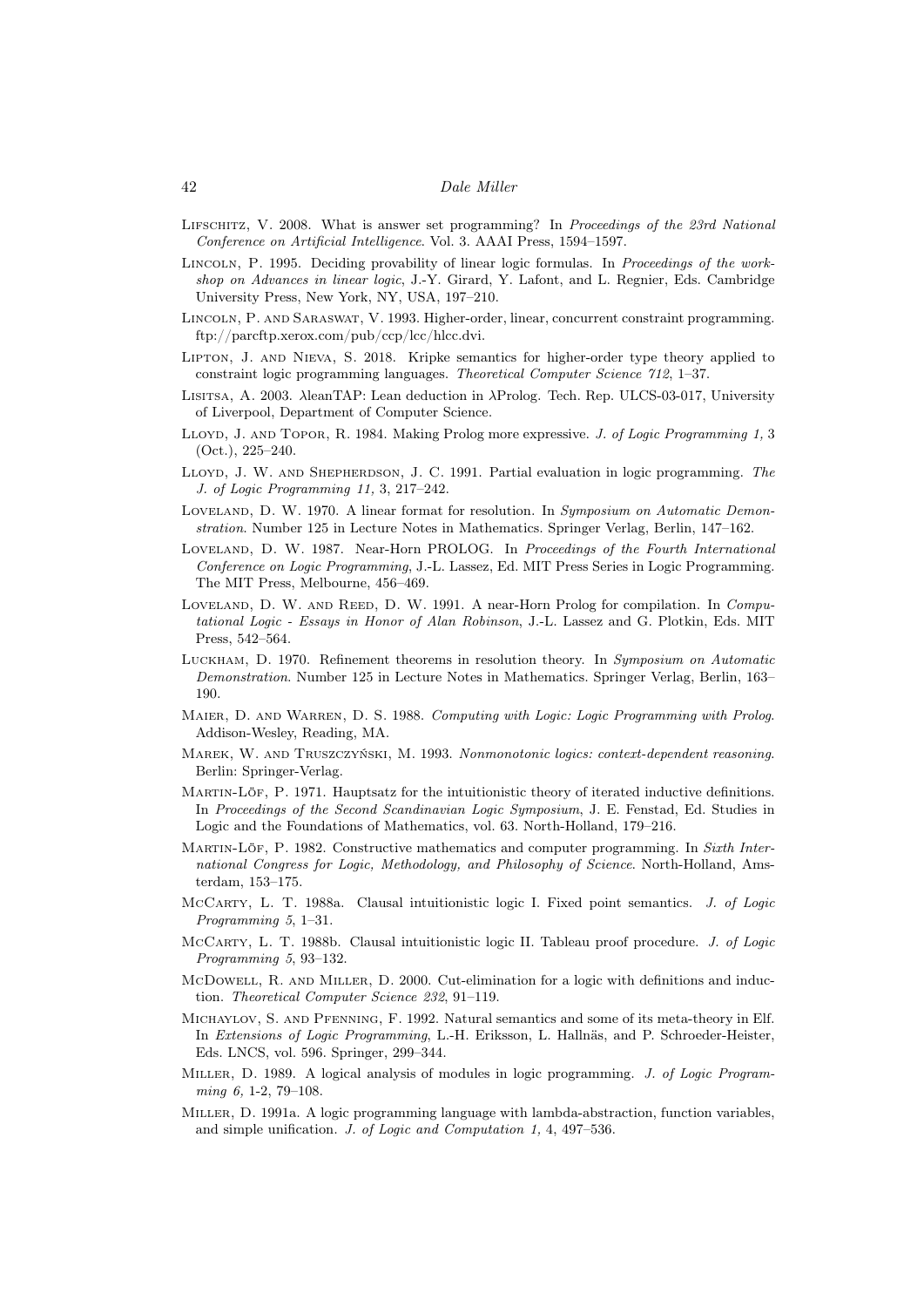- <span id="page-41-1"></span>Lifschitz, V. 2008. What is answer set programming? In Proceedings of the 23rd National Conference on Artificial Intelligence. Vol. 3. AAAI Press, 1594–1597.
- <span id="page-41-14"></span>LINCOLN, P. 1995. Deciding provability of linear logic formulas. In Proceedings of the workshop on Advances in linear logic, J.-Y. Girard, Y. Lafont, and L. Regnier, Eds. Cambridge University Press, New York, NY, USA, 197–210.
- <span id="page-41-12"></span>Lincoln, P. and Saraswat, V. 1993. Higher-order, linear, concurrent constraint programming. ftp://parcftp.xerox.com/pub/ccp/lcc/hlcc.dvi.
- <span id="page-41-20"></span>Lipton, J. and Nieva, S. 2018. Kripke semantics for higher-order type theory applied to constraint logic programming languages. Theoretical Computer Science 712, 1–37.
- <span id="page-41-16"></span>Lisitsa, A. 2003. λleanTAP: Lean deduction in λProlog. Tech. Rep. ULCS-03-017, University of Liverpool, Department of Computer Science.
- <span id="page-41-4"></span>LLOYD, J. AND TOPOR, R. 1984. Making Prolog more expressive. J. of Logic Programming 1, 3 (Oct.), 225–240.
- <span id="page-41-18"></span>LLOYD, J. W. AND SHEPHERDSON, J. C. 1991. Partial evaluation in logic programming. The J. of Logic Programming 11, 3, 217–242.
- <span id="page-41-2"></span>Loveland, D. W. 1970. A linear format for resolution. In Symposium on Automatic Demonstration. Number 125 in Lecture Notes in Mathematics. Springer Verlag, Berlin, 147–162.
- <span id="page-41-5"></span>LOVELAND, D. W. 1987. Near-Horn PROLOG. In Proceedings of the Fourth International Conference on Logic Programming, J.-L. Lassez, Ed. MIT Press Series in Logic Programming. The MIT Press, Melbourne, 456–469.
- <span id="page-41-6"></span>LOVELAND, D. W. AND REED, D. W. 1991. A near-Horn Prolog for compilation. In Computational Logic - Essays in Honor of Alan Robinson, J.-L. Lassez and G. Plotkin, Eds. MIT Press, 542–564.
- <span id="page-41-3"></span>Luckham, D. 1970. Refinement theorems in resolution theory. In Symposium on Automatic Demonstration. Number 125 in Lecture Notes in Mathematics. Springer Verlag, Berlin, 163– 190.
- <span id="page-41-15"></span>MAIER, D. AND WARREN, D. S. 1988. Computing with Logic: Logic Programming with Prolog. Addison-Wesley, Reading, MA.
- <span id="page-41-19"></span>Marek, W. and Truszczyński, M. 1993. Nonmonotonic logics: context-dependent reasoning. Berlin: Springer-Verlag.
- <span id="page-41-7"></span>Martin-Löf, P. 1971. Hauptsatz for the intuitionistic theory of iterated inductive definitions. In Proceedings of the Second Scandinavian Logic Symposium, J. E. Fenstad, Ed. Studies in Logic and the Foundations of Mathematics, vol. 63. North-Holland, 179–216.
- <span id="page-41-0"></span>MARTIN-LÖF, P. 1982. Constructive mathematics and computer programming. In Sixth International Congress for Logic, Methodology, and Philosophy of Science. North-Holland, Amsterdam, 153–175.
- <span id="page-41-8"></span>McCARTY, L. T. 1988a. Clausal intuitionistic logic I. Fixed point semantics. J. of Logic Programming 5, 1–31.
- <span id="page-41-9"></span>McCARTY, L. T. 1988b. Clausal intuitionistic logic II. Tableau proof procedure. J. of Logic Programming 5, 93–132.
- <span id="page-41-13"></span>McDowell, R. AND MILLER, D. 2000. Cut-elimination for a logic with definitions and induction. Theoretical Computer Science 232, 91–119.
- <span id="page-41-17"></span>Michaylov, S. and Pfenning, F. 1992. Natural semantics and some of its meta-theory in Elf. In Extensions of Logic Programming, L.-H. Eriksson, L. Hallnäs, and P. Schroeder-Heister, Eds. LNCS, vol. 596. Springer, 299–344.
- <span id="page-41-10"></span>MILLER, D. 1989. A logical analysis of modules in logic programming. J. of Logic Programming 6, 1-2, 79-108.
- <span id="page-41-11"></span>Miller, D. 1991a. A logic programming language with lambda-abstraction, function variables, and simple unification. J. of Logic and Computation 1, 4, 497–536.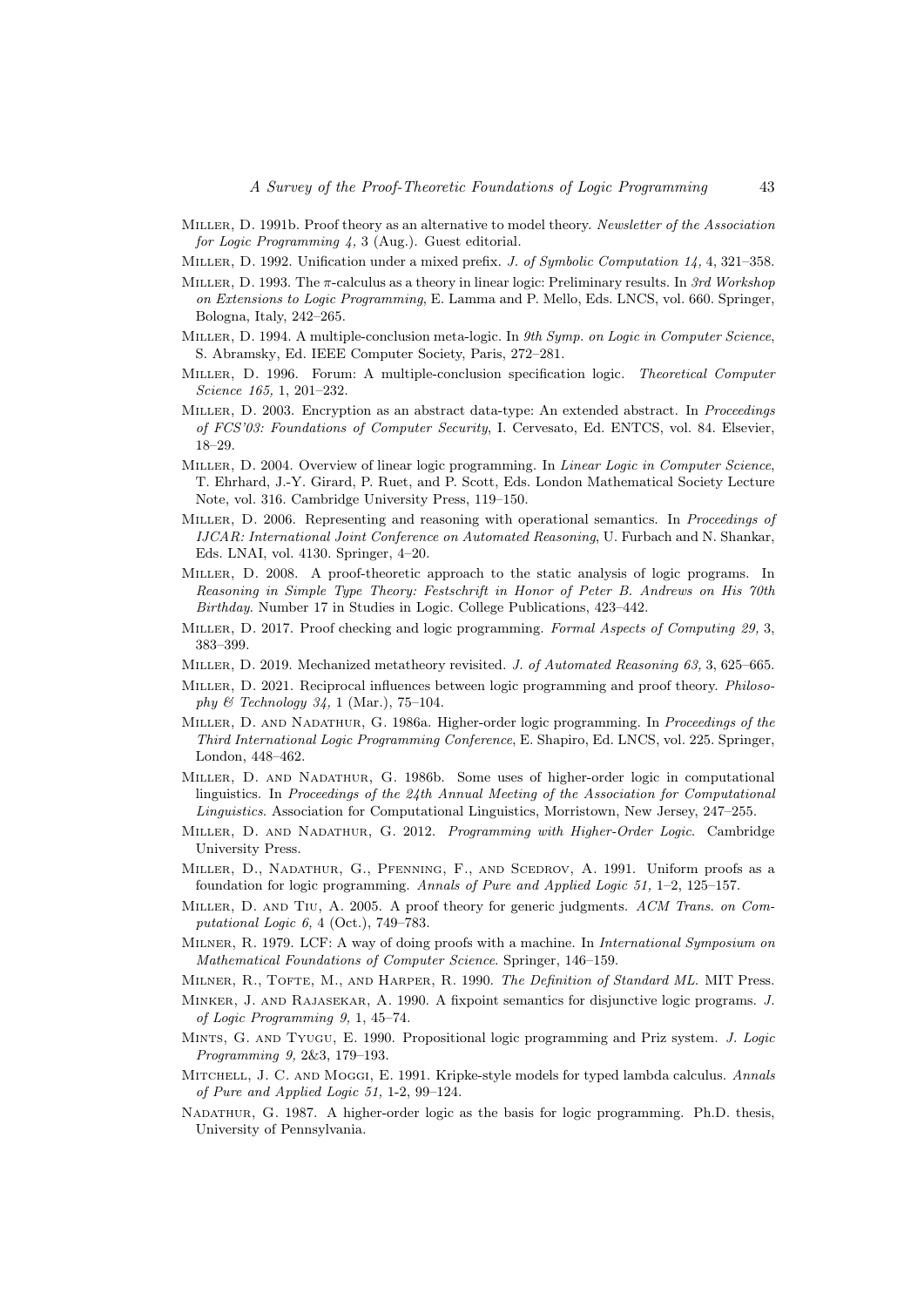- <span id="page-42-22"></span>MILLER, D. 1991b. Proof theory as an alternative to model theory. Newsletter of the Association for Logic Programming 4, 3 (Aug.). Guest editorial.
- <span id="page-42-11"></span>MILLER, D. 1992. Unification under a mixed prefix. J. of Symbolic Computation 14, 4, 321-358.
- <span id="page-42-15"></span>MILLER, D. 1993. The  $\pi$ -calculus as a theory in linear logic: Preliminary results. In 3rd Workshop on Extensions to Logic Programming, E. Lamma and P. Mello, Eds. LNCS, vol. 660. Springer, Bologna, Italy, 242–265.
- <span id="page-42-16"></span>MILLER, D. 1994. A multiple-conclusion meta-logic. In 9th Symp. on Logic in Computer Science, S. Abramsky, Ed. IEEE Computer Society, Paris, 272–281.
- <span id="page-42-14"></span>MILLER, D. 1996. Forum: A multiple-conclusion specification logic. Theoretical Computer Science 165, 1, 201–232.
- <span id="page-42-12"></span>Miller, D. 2003. Encryption as an abstract data-type: An extended abstract. In Proceedings of FCS'03: Foundations of Computer Security, I. Cervesato, Ed. ENTCS, vol. 84. Elsevier, 18–29.
- <span id="page-42-13"></span>MILLER, D. 2004. Overview of linear logic programming. In Linear Logic in Computer Science, T. Ehrhard, J.-Y. Girard, P. Ruet, and P. Scott, Eds. London Mathematical Society Lecture Note, vol. 316. Cambridge University Press, 119–150.
- <span id="page-42-0"></span>Miller, D. 2006. Representing and reasoning with operational semantics. In Proceedings of IJCAR: International Joint Conference on Automated Reasoning, U. Furbach and N. Shankar, Eds. LNAI, vol. 4130. Springer, 4–20.
- <span id="page-42-17"></span>Miller, D. 2008. A proof-theoretic approach to the static analysis of logic programs. In Reasoning in Simple Type Theory: Festschrift in Honor of Peter B. Andrews on His 70th Birthday. Number 17 in Studies in Logic. College Publications, 423–442.
- <span id="page-42-19"></span>MILLER, D. 2017. Proof checking and logic programming. Formal Aspects of Computing 29, 3, 383–399.
- <span id="page-42-10"></span>MILLER, D. 2019. Mechanized metatheory revisited. J. of Automated Reasoning 63, 3, 625–665.
- <span id="page-42-2"></span>Miller, D. 2021. Reciprocal influences between logic programming and proof theory. Philosophy  $\mathcal{B}$  Technology 34, 1 (Mar.), 75–104.
- <span id="page-42-6"></span>MILLER, D. AND NADATHUR, G. 1986a. Higher-order logic programming. In Proceedings of the Third International Logic Programming Conference, E. Shapiro, Ed. LNCS, vol. 225. Springer, London, 448–462.
- <span id="page-42-9"></span>Miller, D. and Nadathur, G. 1986b. Some uses of higher-order logic in computational linguistics. In Proceedings of the 24th Annual Meeting of the Association for Computational Linguistics. Association for Computational Linguistics, Morristown, New Jersey, 247–255.
- <span id="page-42-3"></span>MILLER, D. AND NADATHUR, G. 2012. Programming with Higher-Order Logic. Cambridge University Press.
- <span id="page-42-4"></span>Miller, D., Nadathur, G., Pfenning, F., and Scedrov, A. 1991. Uniform proofs as a foundation for logic programming. Annals of Pure and Applied Logic 51, 1–2, 125–157.
- <span id="page-42-20"></span>Miller, D. and Tiu, A. 2005. A proof theory for generic judgments. ACM Trans. on Computational Logic 6, 4 (Oct.), 749–783.
- <span id="page-42-18"></span>MILNER, R. 1979. LCF: A way of doing proofs with a machine. In *International Symposium on* Mathematical Foundations of Computer Science. Springer, 146–159.
- <span id="page-42-8"></span>MILNER, R., TOFTE, M., AND HARPER, R. 1990. The Definition of Standard ML. MIT Press.
- <span id="page-42-1"></span>Minker, J. and Rajasekar, A. 1990. A fixpoint semantics for disjunctive logic programs. J. of Logic Programming 9, 1, 45–74.
- <span id="page-42-5"></span>Mints, G. and Tyugu, E. 1990. Propositional logic programming and Priz system. J. Logic Programming 9, 2&3, 179–193.
- <span id="page-42-21"></span>MITCHELL, J. C. AND MOGGI, E. 1991. Kripke-style models for typed lambda calculus. Annals of Pure and Applied Logic 51, 1-2, 99–124.
- <span id="page-42-7"></span>Nadathur, G. 1987. A higher-order logic as the basis for logic programming. Ph.D. thesis, University of Pennsylvania.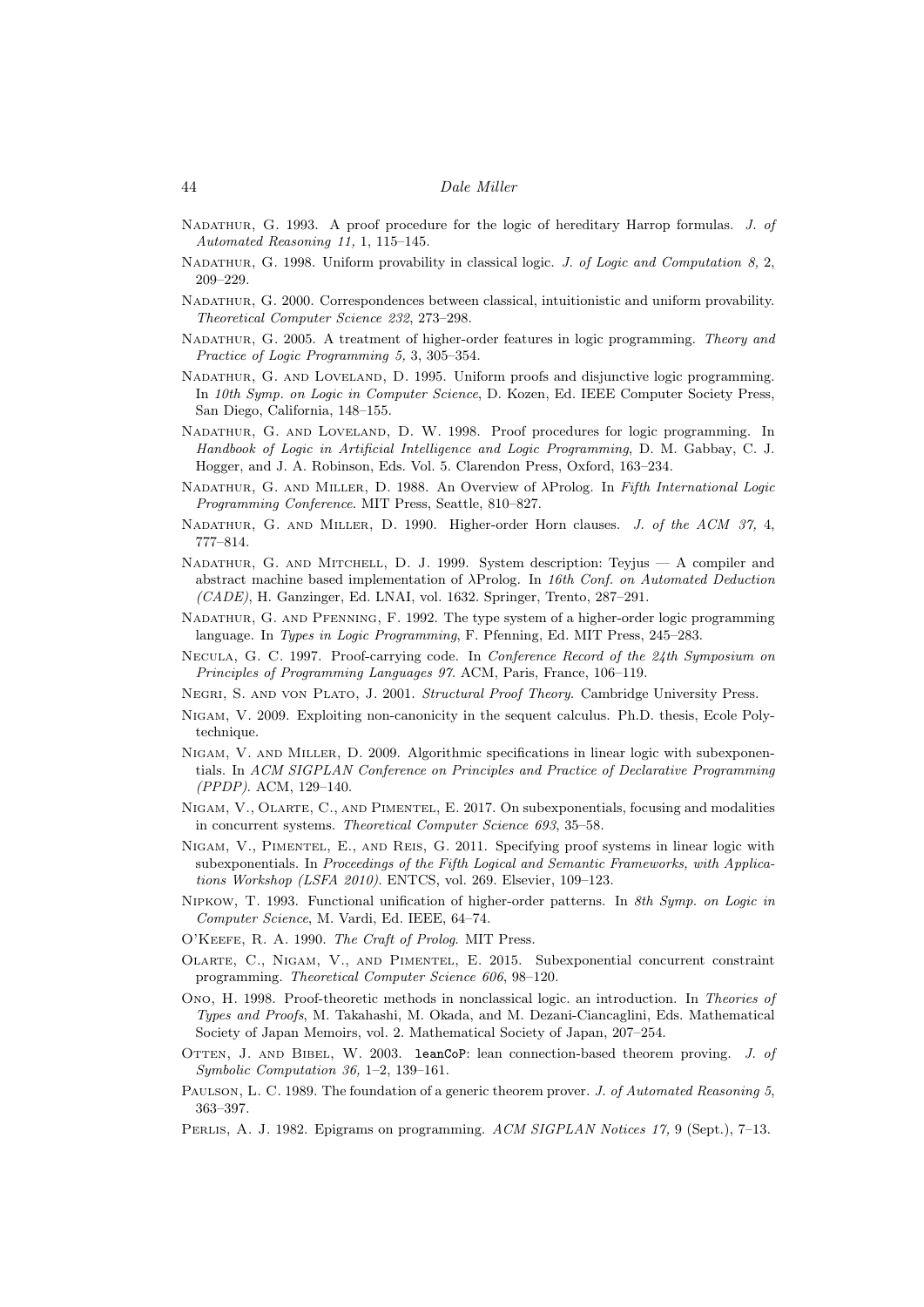- <span id="page-43-8"></span>NADATHUR, G. 1993. A proof procedure for the logic of hereditary Harrop formulas. J. of Automated Reasoning 11, 1, 115–145.
- <span id="page-43-9"></span>NADATHUR, G. 1998. Uniform provability in classical logic. J. of Logic and Computation 8, 2, 209–229.
- <span id="page-43-10"></span>Nadathur, G. 2000. Correspondences between classical, intuitionistic and uniform provability. Theoretical Computer Science 232, 273–298.
- <span id="page-43-20"></span>NADATHUR, G. 2005. A treatment of higher-order features in logic programming. Theory and Practice of Logic Programming 5, 3, 305-354.
- <span id="page-43-0"></span>NADATHUR, G. AND LOVELAND, D. 1995. Uniform proofs and disjunctive logic programming. In 10th Symp. on Logic in Computer Science, D. Kozen, Ed. IEEE Computer Society Press, San Diego, California, 148–155.
- <span id="page-43-1"></span>Nadathur, G. and Loveland, D. W. 1998. Proof procedures for logic programming. In Handbook of Logic in Artificial Intelligence and Logic Programming, D. M. Gabbay, C. J. Hogger, and J. A. Robinson, Eds. Vol. 5. Clarendon Press, Oxford, 163–234.
- <span id="page-43-4"></span>Nadathur, G. and Miller, D. 1988. An Overview of λProlog. In Fifth International Logic Programming Conference. MIT Press, Seattle, 810–827.
- <span id="page-43-6"></span>Nadathur, G. and Miller, D. 1990. Higher-order Horn clauses. J. of the ACM 37, 4, 777–814.
- <span id="page-43-19"></span>Nadathur, G. and Mitchell, D. J. 1999. System description: Teyjus — A compiler and abstract machine based implementation of λProlog. In 16th Conf. on Automated Deduction (CADE), H. Ganzinger, Ed. LNAI, vol. 1632. Springer, Trento, 287–291.
- <span id="page-43-7"></span>Nadathur, G. and Pfenning, F. 1992. The type system of a higher-order logic programming language. In Types in Logic Programming, F. Pfenning, Ed. MIT Press, 245–283.
- <span id="page-43-22"></span>Necula, G. C. 1997. Proof-carrying code. In Conference Record of the 24th Symposium on Principles of Programming Languages 97. ACM, Paris, France, 106–119.
- <span id="page-43-3"></span>Negri, S. and von Plato, J. 2001. Structural Proof Theory. Cambridge University Press.
- <span id="page-43-14"></span>Nigam, V. 2009. Exploiting non-canonicity in the sequent calculus. Ph.D. thesis, Ecole Polytechnique.
- <span id="page-43-13"></span>Nigam, V. and Miller, D. 2009. Algorithmic specifications in linear logic with subexponentials. In ACM SIGPLAN Conference on Principles and Practice of Declarative Programming (PPDP). ACM, 129–140.
- <span id="page-43-17"></span>Nigam, V., Olarte, C., and Pimentel, E. 2017. On subexponentials, focusing and modalities in concurrent systems. Theoretical Computer Science 693, 35–58.
- <span id="page-43-15"></span>Nigam, V., Pimentel, E., and Reis, G. 2011. Specifying proof systems in linear logic with subexponentials. In Proceedings of the Fifth Logical and Semantic Frameworks, with Applications Workshop (LSFA 2010). ENTCS, vol. 269. Elsevier, 109–123.
- <span id="page-43-12"></span>Nipkow, T. 1993. Functional unification of higher-order patterns. In 8th Symp. on Logic in Computer Science, M. Vardi, Ed. IEEE, 64–74.
- <span id="page-43-18"></span>O'Keefe, R. A. 1990. The Craft of Prolog. MIT Press.
- <span id="page-43-16"></span>Olarte, C., Nigam, V., and Pimentel, E. 2015. Subexponential concurrent constraint programming. Theoretical Computer Science 606, 98–120.
- <span id="page-43-2"></span>Ono, H. 1998. Proof-theoretic methods in nonclassical logic. an introduction. In Theories of Types and Proofs, M. Takahashi, M. Okada, and M. Dezani-Ciancaglini, Eds. Mathematical Society of Japan Memoirs, vol. 2. Mathematical Society of Japan, 207–254.
- <span id="page-43-21"></span>OTTEN, J. AND BIBEL, W. 2003. leanCoP: lean connection-based theorem proving. J. of Symbolic Computation 36, 1–2, 139–161.
- <span id="page-43-5"></span>PAULSON, L. C. 1989. The foundation of a generic theorem prover. J. of Automated Reasoning 5, 363–397.
- <span id="page-43-11"></span>Perlis, A. J. 1982. Epigrams on programming. ACM SIGPLAN Notices 17, 9 (Sept.), 7–13.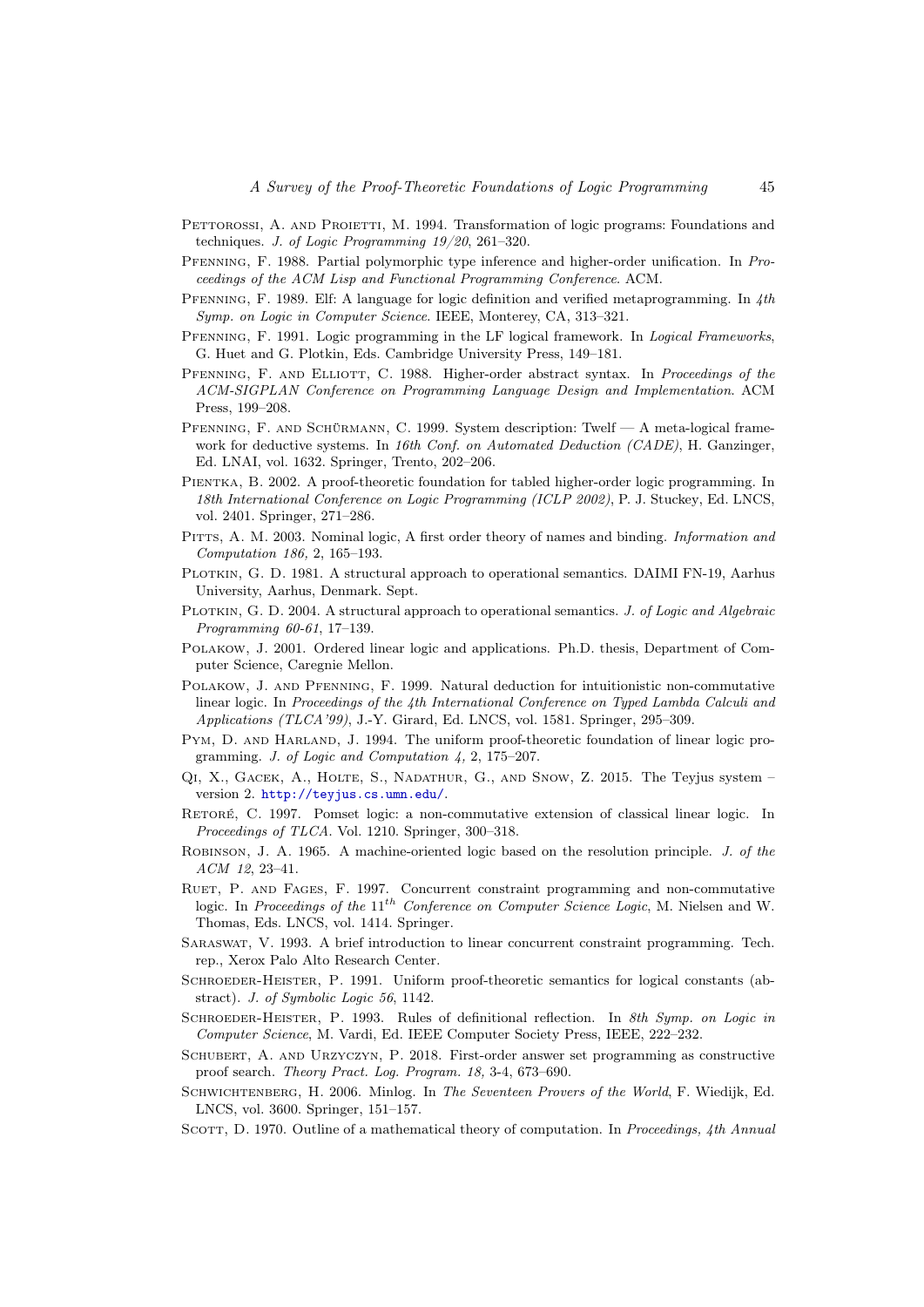- <span id="page-44-19"></span>PETTOROSSI, A. AND PROIETTI, M. 1994. Transformation of logic programs: Foundations and techniques. J. of Logic Programming 19/20, 261–320.
- <span id="page-44-14"></span>Pfenning, F. 1988. Partial polymorphic type inference and higher-order unification. In Proceedings of the ACM Lisp and Functional Programming Conference. ACM.
- <span id="page-44-2"></span>PFENNING, F. 1989. Elf: A language for logic definition and verified metaprogramming. In 4th Symp. on Logic in Computer Science. IEEE, Monterey, CA, 313–321.
- <span id="page-44-15"></span>PFENNING, F. 1991. Logic programming in the LF logical framework. In *Logical Frameworks*, G. Huet and G. Plotkin, Eds. Cambridge University Press, 149–181.
- <span id="page-44-3"></span>PFENNING, F. AND ELLIOTT, C. 1988. Higher-order abstract syntax. In Proceedings of the ACM-SIGPLAN Conference on Programming Language Design and Implementation. ACM Press, 199–208.
- <span id="page-44-5"></span>Pfenning, F. and Schürmann, C. 1999. System description: Twelf — A meta-logical framework for deductive systems. In 16th Conf. on Automated Deduction (CADE), H. Ganzinger, Ed. LNAI, vol. 1632. Springer, Trento, 202–206.
- <span id="page-44-20"></span>PIENTKA, B. 2002. A proof-theoretic foundation for tabled higher-order logic programming. In 18th International Conference on Logic Programming (ICLP 2002), P. J. Stuckey, Ed. LNCS, vol. 2401. Springer, 271–286.
- <span id="page-44-4"></span>PITTS, A. M. 2003. Nominal logic, A first order theory of names and binding. *Information and* Computation 186, 2, 165–193.
- <span id="page-44-17"></span>PLOTKIN, G. D. 1981. A structural approach to operational semantics. DAIMI FN-19, Aarhus University, Aarhus, Denmark. Sept.
- <span id="page-44-18"></span>PLOTKIN, G. D. 2004. A structural approach to operational semantics. J. of Logic and Algebraic Programming 60-61, 17–139.
- <span id="page-44-13"></span>Polakow, J. 2001. Ordered linear logic and applications. Ph.D. thesis, Department of Computer Science, Caregnie Mellon.
- <span id="page-44-12"></span>Polakow, J. and Pfenning, F. 1999. Natural deduction for intuitionistic non-commutative linear logic. In Proceedings of the 4th International Conference on Typed Lambda Calculi and Applications (TLCA'99), J.-Y. Girard, Ed. LNCS, vol. 1581. Springer, 295–309.
- <span id="page-44-8"></span>PYM, D. AND HARLAND, J. 1994. The uniform proof-theoretic foundation of linear logic programming. J. of Logic and Computation 4, 2, 175–207.
- <span id="page-44-6"></span>Qi, X., Gacek, A., Holte, S., Nadathur, G., and Snow, Z. 2015. The Teyjus system – version 2. <http://teyjus.cs.umn.edu/>.
- <span id="page-44-11"></span>Retoré, C. 1997. Pomset logic: a non-commutative extension of classical linear logic. In Proceedings of TLCA. Vol. 1210. Springer, 300–318.
- <span id="page-44-0"></span>ROBINSON, J. A. 1965. A machine-oriented logic based on the resolution principle. J. of the ACM 12, 23–41.
- <span id="page-44-10"></span>RUET, P. AND FAGES, F. 1997. Concurrent constraint programming and non-commutative logic. In Proceedings of the 11<sup>th</sup> Conference on Computer Science Logic, M. Nielsen and W. Thomas, Eds. LNCS, vol. 1414. Springer.
- <span id="page-44-9"></span>Saraswat, V. 1993. A brief introduction to linear concurrent constraint programming. Tech. rep., Xerox Palo Alto Research Center.
- <span id="page-44-22"></span>SCHROEDER-HEISTER, P. 1991. Uniform proof-theoretic semantics for logical constants (abstract). J. of Symbolic Logic 56, 1142.
- <span id="page-44-16"></span>SCHROEDER-HEISTER, P. 1993. Rules of definitional reflection. In 8th Symp. on Logic in Computer Science, M. Vardi, Ed. IEEE Computer Society Press, IEEE, 222–232.
- <span id="page-44-21"></span>Schubert, A. and Urzyczyn, P. 2018. First-order answer set programming as constructive proof search. Theory Pract. Log. Program. 18, 3-4, 673–690.
- <span id="page-44-7"></span>SCHWICHTENBERG, H. 2006. Minlog. In The Seventeen Provers of the World, F. Wiedijk, Ed. LNCS, vol. 3600. Springer, 151–157.
- <span id="page-44-1"></span>SCOTT, D. 1970. Outline of a mathematical theory of computation. In Proceedings, 4th Annual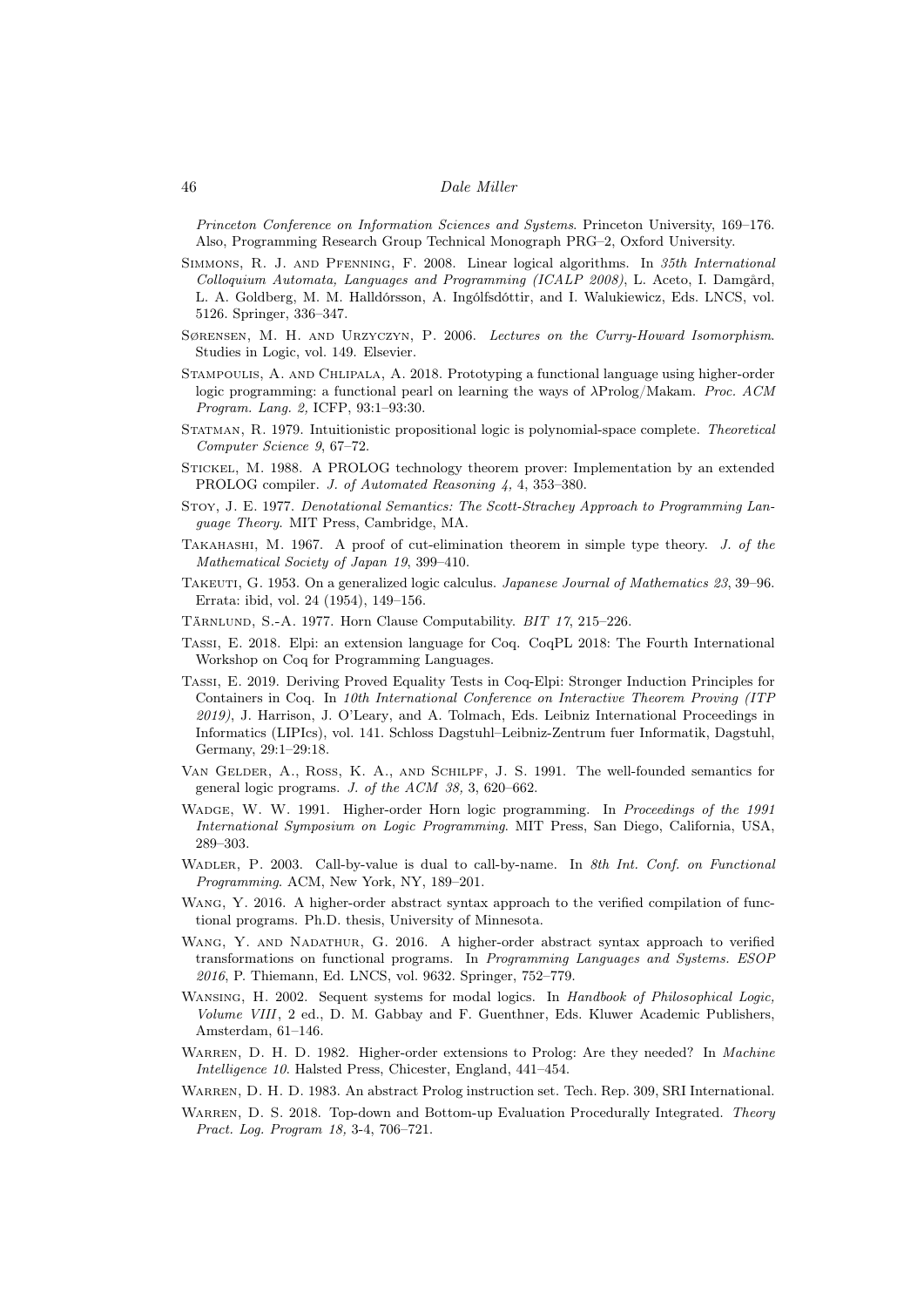Princeton Conference on Information Sciences and Systems. Princeton University, 169–176. Also, Programming Research Group Technical Monograph PRG–2, Oxford University.

- <span id="page-45-19"></span>Simmons, R. J. and Pfenning, F. 2008. Linear logical algorithms. In 35th International Colloquium Automata, Languages and Programming (ICALP 2008), L. Aceto, I. Damgård, L. A. Goldberg, M. M. Halldórsson, A. Ingólfsdóttir, and I. Walukiewicz, Eds. LNCS, vol. 5126. Springer, 336–347.
- <span id="page-45-0"></span>Sørensen, M. H. and Urzyczyn, P. 2006. Lectures on the Curry-Howard Isomorphism. Studies in Logic, vol. 149. Elsevier.
- <span id="page-45-13"></span>Stampoulis, A. and Chlipala, A. 2018. Prototyping a functional language using higher-order logic programming: a functional pearl on learning the ways of λProlog/Makam. Proc. ACM Program. Lang. 2, ICFP, 93:1–93:30.
- <span id="page-45-12"></span>Statman, R. 1979. Intuitionistic propositional logic is polynomial-space complete. Theoretical Computer Science 9, 67–72.
- <span id="page-45-16"></span>Stickel, M. 1988. A PROLOG technology theorem prover: Implementation by an extended PROLOG compiler. J. of Automated Reasoning 4, 4, 353–380.
- <span id="page-45-2"></span>Stoy, J. E. 1977. Denotational Semantics: The Scott-Strachey Approach to Programming Language Theory. MIT Press, Cambridge, MA.
- <span id="page-45-8"></span>TAKAHASHI, M. 1967. A proof of cut-elimination theorem in simple type theory. J. of the Mathematical Society of Japan 19, 399–410.
- <span id="page-45-7"></span>Takeuti, G. 1953. On a generalized logic calculus. Japanese Journal of Mathematics 23, 39–96. Errata: ibid, vol. 24 (1954), 149–156.
- <span id="page-45-1"></span>Tärnlund, S.-A. 1977. Horn Clause Computability. BIT 17, 215–226.
- <span id="page-45-14"></span>Tassi, E. 2018. Elpi: an extension language for Coq. CoqPL 2018: The Fourth International Workshop on Coq for Programming Languages.
- <span id="page-45-15"></span>Tassi, E. 2019. Deriving Proved Equality Tests in Coq-Elpi: Stronger Induction Principles for Containers in Coq. In 10th International Conference on Interactive Theorem Proving (ITP 2019), J. Harrison, J. O'Leary, and A. Tolmach, Eds. Leibniz International Proceedings in Informatics (LIPIcs), vol. 141. Schloss Dagstuhl–Leibniz-Zentrum fuer Informatik, Dagstuhl, Germany, 29:1–29:18.
- <span id="page-45-3"></span>Van Gelder, A., Ross, K. A., and Schilpf, J. S. 1991. The well-founded semantics for general logic programs. J. of the ACM 38, 3, 620–662.
- <span id="page-45-9"></span>WADGE, W. W. 1991. Higher-order Horn logic programming. In Proceedings of the 1991 International Symposium on Logic Programming. MIT Press, San Diego, California, USA, 289–303.
- <span id="page-45-10"></span>WADLER, P. 2003. Call-by-value is dual to call-by-name. In 8th Int. Conf. on Functional Programming. ACM, New York, NY, 189–201.
- <span id="page-45-17"></span>WANG, Y. 2016. A higher-order abstract syntax approach to the verified compilation of functional programs. Ph.D. thesis, University of Minnesota.
- <span id="page-45-18"></span>WANG, Y. AND NADATHUR, G. 2016. A higher-order abstract syntax approach to verified transformations on functional programs. In Programming Languages and Systems. ESOP 2016, P. Thiemann, Ed. LNCS, vol. 9632. Springer, 752–779.
- <span id="page-45-5"></span>WANSING, H. 2002. Sequent systems for modal logics. In Handbook of Philosophical Logic, Volume VIII, 2 ed., D. M. Gabbay and F. Guenthner, Eds. Kluwer Academic Publishers, Amsterdam, 61–146.
- <span id="page-45-6"></span>WARREN, D. H. D. 1982. Higher-order extensions to Prolog: Are they needed? In Machine Intelligence 10. Halsted Press, Chicester, England, 441–454.
- <span id="page-45-4"></span>Warren, D. H. D. 1983. An abstract Prolog instruction set. Tech. Rep. 309, SRI International.
- <span id="page-45-11"></span>WARREN, D. S. 2018. Top-down and Bottom-up Evaluation Procedurally Integrated. Theory Pract. Log. Program 18, 3-4, 706–721.